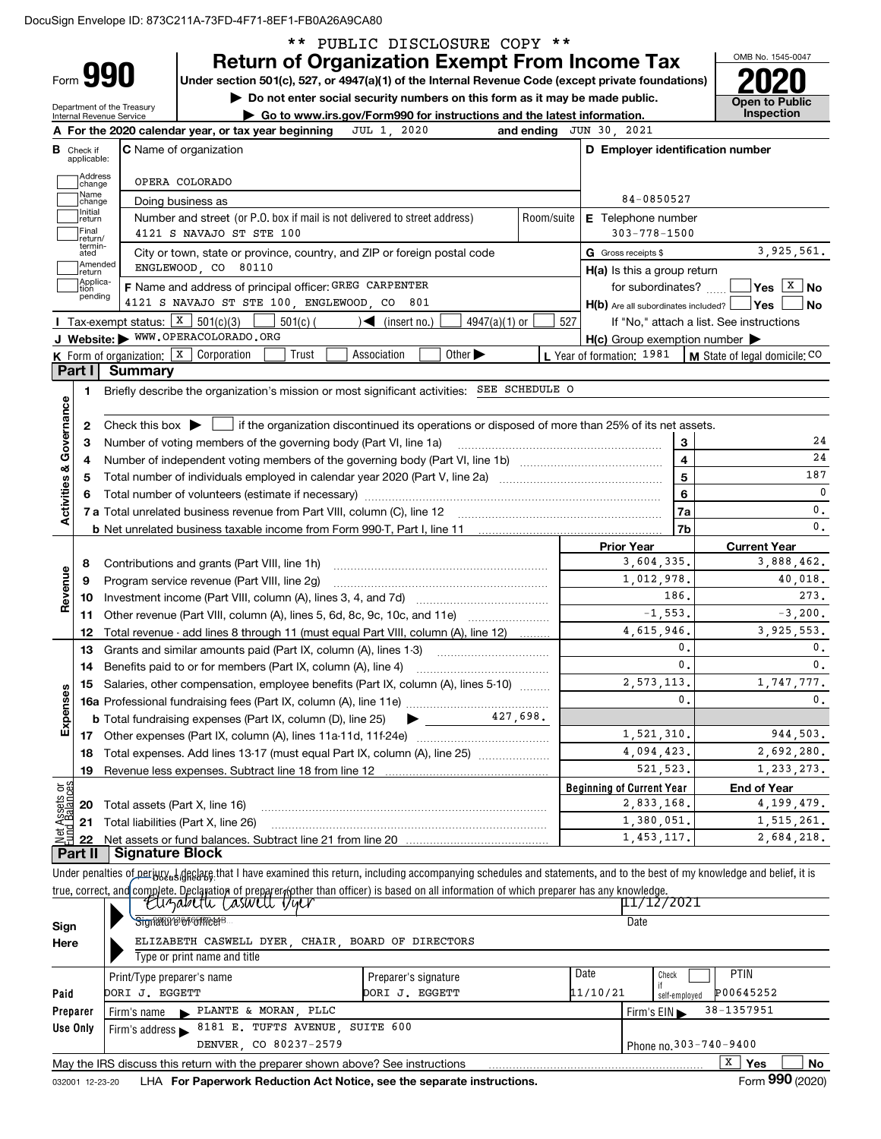|                                      | Form 990<br>Department of the Treasury<br><b>Internal Revenue Service</b> |                                                                          | <b>Return of Organization Exempt From Income Tax</b><br>Under section 501(c), 527, or 4947(a)(1) of the Internal Revenue Code (except private foundations)<br>Do not enter social security numbers on this form as it may be made public.<br>► Go to www.irs.gov/Form990 for instructions and the latest information. |                        |                                                     | <b>Open to Public</b><br>Inspection                         |
|--------------------------------------|---------------------------------------------------------------------------|--------------------------------------------------------------------------|-----------------------------------------------------------------------------------------------------------------------------------------------------------------------------------------------------------------------------------------------------------------------------------------------------------------------|------------------------|-----------------------------------------------------|-------------------------------------------------------------|
|                                      |                                                                           | A For the 2020 calendar year, or tax year beginning                      | JUL 1, 2020                                                                                                                                                                                                                                                                                                           |                        | and ending JUN 30, 2021                             |                                                             |
| <b>B</b> Check if                    |                                                                           | <b>C</b> Name of organization                                            |                                                                                                                                                                                                                                                                                                                       |                        | D Employer identification number                    |                                                             |
|                                      | applicable:                                                               |                                                                          |                                                                                                                                                                                                                                                                                                                       |                        |                                                     |                                                             |
|                                      | Address<br> change                                                        | OPERA COLORADO                                                           |                                                                                                                                                                                                                                                                                                                       |                        |                                                     |                                                             |
|                                      | Name<br>change                                                            | Doing business as                                                        |                                                                                                                                                                                                                                                                                                                       |                        | 84-0850527                                          |                                                             |
|                                      | Initial<br>return                                                         |                                                                          | Number and street (or P.O. box if mail is not delivered to street address)                                                                                                                                                                                                                                            | Room/suite             | E Telephone number                                  |                                                             |
|                                      | Final<br>return/<br>termin-                                               | 4121 S NAVAJO ST STE 100                                                 |                                                                                                                                                                                                                                                                                                                       |                        | $303 - 778 - 1500$                                  |                                                             |
|                                      | ated<br> Amended                                                          |                                                                          | City or town, state or province, country, and ZIP or foreign postal code                                                                                                                                                                                                                                              |                        | G Gross receipts \$                                 | 3,925,561.                                                  |
|                                      | return<br> Applica-                                                       | ENGLEWOOD, CO 80110                                                      |                                                                                                                                                                                                                                                                                                                       |                        | H(a) Is this a group return                         |                                                             |
| tion                                 | pending                                                                   | F Name and address of principal officer: GREG CARPENTER                  |                                                                                                                                                                                                                                                                                                                       |                        | for subordinates?                                   | $Yes \begin{array}{ c c } \hline X & \text{No} \end{array}$ |
|                                      |                                                                           | 4121 S NAVAJO ST STE 100, ENGLEWOOD, CO 801                              |                                                                                                                                                                                                                                                                                                                       |                        | $H(b)$ Are all subordinates included? $\Box$ Yes    | No                                                          |
|                                      | Tax-exempt status:                                                        | X <br>501(c)(3)<br>$501(c)$ (<br>J Website: WWW.OPERACOLORADO.ORG        | $\blacktriangleleft$ (insert no.)                                                                                                                                                                                                                                                                                     | $4947(a)(1)$ or<br>527 |                                                     | If "No," attach a list. See instructions                    |
|                                      |                                                                           |                                                                          | Other $\blacktriangleright$<br>Trust<br>Association                                                                                                                                                                                                                                                                   |                        | $H(c)$ Group exemption number $\blacktriangleright$ |                                                             |
| Part I                               | <b>Summary</b>                                                            | <b>K</b> Form of organization: $\boxed{\textbf{x}}$ Corporation          |                                                                                                                                                                                                                                                                                                                       |                        | L Year of formation: 1981                           | M State of legal domicile: CO                               |
|                                      |                                                                           |                                                                          | Briefly describe the organization's mission or most significant activities: SEE SCHEDULE O                                                                                                                                                                                                                            |                        |                                                     |                                                             |
|                                      | 1.                                                                        |                                                                          |                                                                                                                                                                                                                                                                                                                       |                        |                                                     |                                                             |
| Activities & Governance              | 2                                                                         | Check this box $\blacktriangleright$                                     | if the organization discontinued its operations or disposed of more than 25% of its net assets.                                                                                                                                                                                                                       |                        |                                                     |                                                             |
|                                      | З                                                                         | Number of voting members of the governing body (Part VI, line 1a)        |                                                                                                                                                                                                                                                                                                                       |                        | 3                                                   |                                                             |
| 4                                    |                                                                           |                                                                          |                                                                                                                                                                                                                                                                                                                       |                        | $\overline{\mathbf{4}}$                             |                                                             |
|                                      |                                                                           |                                                                          |                                                                                                                                                                                                                                                                                                                       |                        | 5                                                   | 187                                                         |
|                                      |                                                                           |                                                                          |                                                                                                                                                                                                                                                                                                                       |                        | 6                                                   |                                                             |
|                                      |                                                                           | 7 a Total unrelated business revenue from Part VIII, column (C), line 12 |                                                                                                                                                                                                                                                                                                                       |                        | 7a                                                  | $\mathbf 0$ .                                               |
|                                      |                                                                           |                                                                          |                                                                                                                                                                                                                                                                                                                       |                        | 7b                                                  |                                                             |
|                                      |                                                                           |                                                                          |                                                                                                                                                                                                                                                                                                                       |                        | <b>Prior Year</b>                                   | <b>Current Year</b>                                         |
| 8                                    |                                                                           | Contributions and grants (Part VIII, line 1h)                            |                                                                                                                                                                                                                                                                                                                       |                        | 3,604,335.                                          | 3,888,462.                                                  |
| Revenue<br>9                         |                                                                           | Program service revenue (Part VIII, line 2g)                             |                                                                                                                                                                                                                                                                                                                       |                        | 1,012,978.                                          | 40,018.                                                     |
| 10                                   |                                                                           |                                                                          |                                                                                                                                                                                                                                                                                                                       |                        | 186.                                                | 273.                                                        |
| 11                                   |                                                                           |                                                                          | Other revenue (Part VIII, column (A), lines 5, 6d, 8c, 9c, 10c, and 11e)                                                                                                                                                                                                                                              |                        | $-1,553.$                                           | $-3,200.$                                                   |
| 12                                   |                                                                           |                                                                          | Total revenue - add lines 8 through 11 (must equal Part VIII, column (A), line 12)                                                                                                                                                                                                                                    |                        | 4,615,946.                                          | 3,925,553.                                                  |
| 13                                   |                                                                           | Grants and similar amounts paid (Part IX, column (A), lines 1-3)         |                                                                                                                                                                                                                                                                                                                       |                        | 0.                                                  |                                                             |
|                                      | 14                                                                        | Benefits paid to or for members (Part IX, column (A), line 4)            |                                                                                                                                                                                                                                                                                                                       |                        | 0.                                                  |                                                             |
|                                      |                                                                           |                                                                          | 15 Salaries, other compensation, employee benefits (Part IX, column (A), lines 5-10)                                                                                                                                                                                                                                  |                        | 2,573,113.                                          | 1,747,777.                                                  |
| Expenses                             |                                                                           |                                                                          |                                                                                                                                                                                                                                                                                                                       |                        | 0.                                                  |                                                             |
|                                      |                                                                           | <b>b</b> Total fundraising expenses (Part IX, column (D), line 25)       | $\frac{427}{100}$ , 698.<br>▶                                                                                                                                                                                                                                                                                         |                        |                                                     |                                                             |
|                                      |                                                                           |                                                                          |                                                                                                                                                                                                                                                                                                                       |                        | 1,521,310.                                          | 944,503.                                                    |
| 18                                   |                                                                           |                                                                          |                                                                                                                                                                                                                                                                                                                       |                        | 4,094,423.                                          | 2,692,280.                                                  |
| 19                                   |                                                                           |                                                                          |                                                                                                                                                                                                                                                                                                                       |                        | 521, 523.                                           | 1,233,273.                                                  |
| t Assets or<br>d Balances            |                                                                           |                                                                          |                                                                                                                                                                                                                                                                                                                       |                        | <b>Beginning of Current Year</b>                    | <b>End of Year</b>                                          |
| 20                                   |                                                                           | Total assets (Part X, line 16)                                           |                                                                                                                                                                                                                                                                                                                       |                        | 2,833,168.                                          | 4, 199, 479.                                                |
| 21                                   |                                                                           | Total liabilities (Part X, line 26)                                      |                                                                                                                                                                                                                                                                                                                       |                        | 1,380,051.                                          | 1,515,261.                                                  |
| 형<br>22                              |                                                                           |                                                                          |                                                                                                                                                                                                                                                                                                                       |                        | 1,453,117.                                          | 2,684,218.                                                  |
| Part II                              |                                                                           | <b>Signature Block</b>                                                   |                                                                                                                                                                                                                                                                                                                       |                        |                                                     |                                                             |
|                                      |                                                                           |                                                                          | Under penalties of periyty sightlarg that I have examined this return, including accompanying schedules and statements, and to the best of my knowledge and belief, it is                                                                                                                                             |                        |                                                     |                                                             |
|                                      |                                                                           | <u>Euzabetu (asiwelt Pyer</u>                                            | true, correct, and complete. Declaration of preparer (other than officer) is based on all information of which preparer has any knowledge.                                                                                                                                                                            |                        | 11/12/2021                                          |                                                             |
|                                      |                                                                           | Signary & Strate                                                         |                                                                                                                                                                                                                                                                                                                       |                        |                                                     |                                                             |
| Sign                                 |                                                                           |                                                                          |                                                                                                                                                                                                                                                                                                                       |                        | Date                                                |                                                             |
|                                      |                                                                           |                                                                          | ELIZABETH CASWELL DYER, CHAIR, BOARD OF DIRECTORS                                                                                                                                                                                                                                                                     |                        |                                                     |                                                             |
|                                      |                                                                           | Type or print name and title                                             |                                                                                                                                                                                                                                                                                                                       |                        |                                                     |                                                             |
|                                      |                                                                           |                                                                          |                                                                                                                                                                                                                                                                                                                       |                        |                                                     |                                                             |
|                                      |                                                                           | Print/Type preparer's name                                               | Preparer's signature                                                                                                                                                                                                                                                                                                  |                        | Date<br>Check<br>if                                 | <b>PTIN</b>                                                 |
|                                      |                                                                           | DORI J. EGGETT                                                           | DORI J. EGGETT                                                                                                                                                                                                                                                                                                        |                        | 11/10/21<br>self-employed                           | P00645252                                                   |
|                                      | Firm's name                                                               | PLANTE & MORAN, PLLC                                                     |                                                                                                                                                                                                                                                                                                                       |                        | Firm's EIN                                          | 38-1357951                                                  |
| Here<br>Paid<br>Preparer<br>Use Only | Firm's address                                                            | DENVER, CO 80237-2579                                                    | 8181 E. TUFTS AVENUE, SUITE 600                                                                                                                                                                                                                                                                                       |                        | Phone no. 303-740-9400                              |                                                             |

|                 | May the IRS discuss this return with the preparer shown above? See instructions |  | <b>No</b> |
|-----------------|---------------------------------------------------------------------------------|--|-----------|
| 032001 12-23-20 | LHA For Paperwork Reduction Act Notice, see the separate instructions.          |  | (2020)    |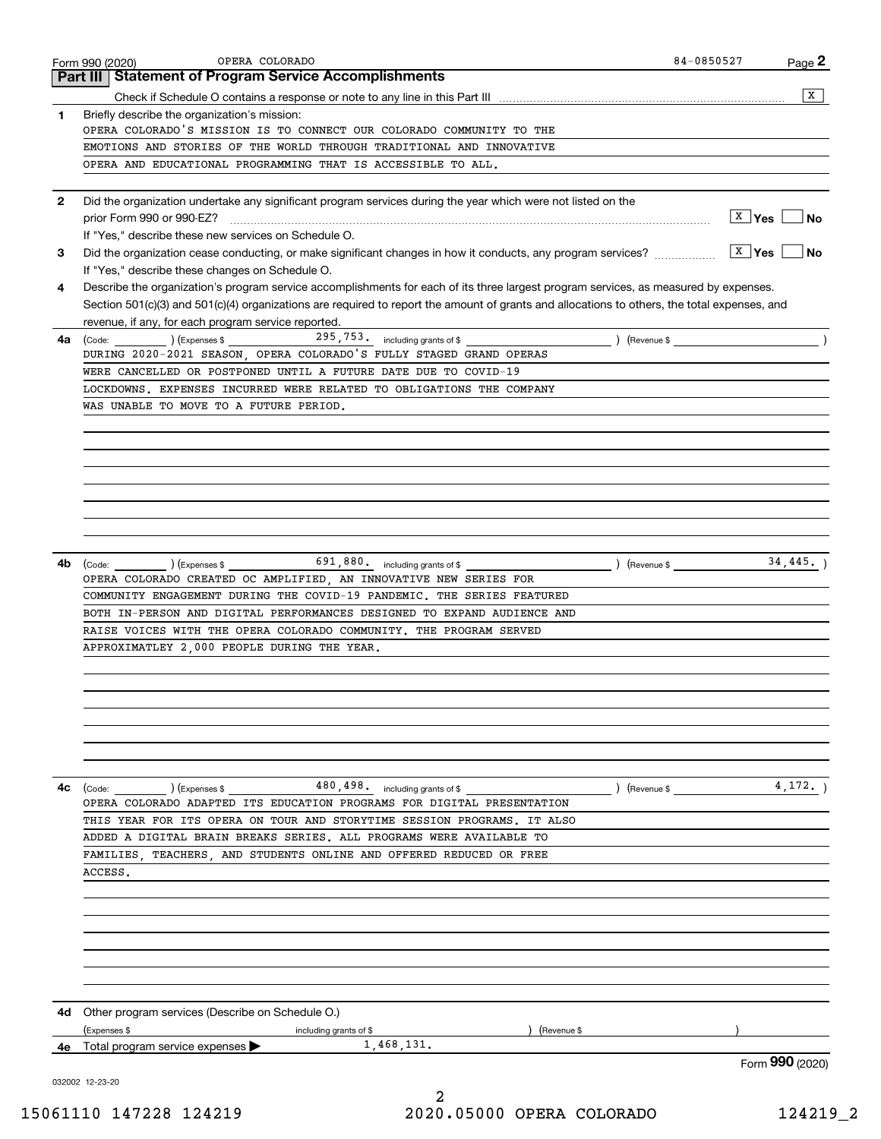|    | OPERA COLORADO<br>Form 990 (2020)                                                                                                            | 84-0850527 | Page 2                                         |
|----|----------------------------------------------------------------------------------------------------------------------------------------------|------------|------------------------------------------------|
|    | Part III   Statement of Program Service Accomplishments                                                                                      |            |                                                |
|    |                                                                                                                                              |            | x                                              |
| 1  | Briefly describe the organization's mission:                                                                                                 |            |                                                |
|    | OPERA COLORADO'S MISSION IS TO CONNECT OUR COLORADO COMMUNITY TO THE                                                                         |            |                                                |
|    | EMOTIONS AND STORIES OF THE WORLD THROUGH TRADITIONAL AND INNOVATIVE                                                                         |            |                                                |
|    | OPERA AND EDUCATIONAL PROGRAMMING THAT IS ACCESSIBLE TO ALL.                                                                                 |            |                                                |
| 2  | Did the organization undertake any significant program services during the year which were not listed on the                                 |            |                                                |
|    |                                                                                                                                              |            | $\overline{X}$ Yes $\overline{X}$<br><b>No</b> |
|    | If "Yes," describe these new services on Schedule O.                                                                                         |            |                                                |
| 3  | Did the organization cease conducting, or make significant changes in how it conducts, any program services?                                 |            | $\overline{X}$ Yes<br><b>No</b>                |
|    | If "Yes," describe these changes on Schedule O.                                                                                              |            |                                                |
| 4  | Describe the organization's program service accomplishments for each of its three largest program services, as measured by expenses.         |            |                                                |
|    | Section 501(c)(3) and 501(c)(4) organizations are required to report the amount of grants and allocations to others, the total expenses, and |            |                                                |
|    | revenue, if any, for each program service reported.                                                                                          |            |                                                |
| 4a | $\text{(Code:}$ $\qquad \qquad \text{){ (Expenses $}}$<br>(Revenue \$                                                                        |            |                                                |
|    | DURING 2020-2021 SEASON, OPERA COLORADO'S FULLY STAGED GRAND OPERAS                                                                          |            |                                                |
|    | WERE CANCELLED OR POSTPONED UNTIL A FUTURE DATE DUE TO COVID-19                                                                              |            |                                                |
|    | LOCKDOWNS. EXPENSES INCURRED WERE RELATED TO OBLIGATIONS THE COMPANY                                                                         |            |                                                |
|    | WAS UNABLE TO MOVE TO A FUTURE PERIOD.                                                                                                       |            |                                                |
|    |                                                                                                                                              |            |                                                |
|    |                                                                                                                                              |            |                                                |
|    |                                                                                                                                              |            |                                                |
|    |                                                                                                                                              |            |                                                |
|    |                                                                                                                                              |            |                                                |
|    |                                                                                                                                              |            |                                                |
|    |                                                                                                                                              |            |                                                |
|    |                                                                                                                                              |            |                                                |
| 4b | $691,880$ including grants of \$<br>(Expenses \$<br>(Revenue \$<br>(Code:                                                                    |            | 34,445.                                        |
|    | OPERA COLORADO CREATED OC AMPLIFIED, AN INNOVATIVE NEW SERIES FOR                                                                            |            |                                                |
|    | COMMUNITY ENGAGEMENT DURING THE COVID-19 PANDEMIC. THE SERIES FEATURED                                                                       |            |                                                |
|    | BOTH IN-PERSON AND DIGITAL PERFORMANCES DESIGNED TO EXPAND AUDIENCE AND                                                                      |            |                                                |
|    | RAISE VOICES WITH THE OPERA COLORADO COMMUNITY. THE PROGRAM SERVED                                                                           |            |                                                |
|    | APPROXIMATLEY 2,000 PEOPLE DURING THE YEAR.                                                                                                  |            |                                                |
|    |                                                                                                                                              |            |                                                |
|    |                                                                                                                                              |            |                                                |
|    |                                                                                                                                              |            |                                                |
|    |                                                                                                                                              |            |                                                |
|    |                                                                                                                                              |            |                                                |
|    |                                                                                                                                              |            |                                                |
|    |                                                                                                                                              |            |                                                |
| 4c | $480$ , $498$ . including grants of \$ $\quad$<br>) (Revenue \$<br>(Code: ) (Expenses \$                                                     |            | 4, 172.                                        |
|    | OPERA COLORADO ADAPTED ITS EDUCATION PROGRAMS FOR DIGITAL PRESENTATION                                                                       |            |                                                |
|    | THIS YEAR FOR ITS OPERA ON TOUR AND STORYTIME SESSION PROGRAMS. IT ALSO                                                                      |            |                                                |
|    | ADDED A DIGITAL BRAIN BREAKS SERIES. ALL PROGRAMS WERE AVAILABLE TO                                                                          |            |                                                |
|    | FAMILIES, TEACHERS, AND STUDENTS ONLINE AND OFFERED REDUCED OR FREE                                                                          |            |                                                |
|    | ACCESS.                                                                                                                                      |            |                                                |
|    |                                                                                                                                              |            |                                                |
|    |                                                                                                                                              |            |                                                |
|    |                                                                                                                                              |            |                                                |
|    |                                                                                                                                              |            |                                                |
|    |                                                                                                                                              |            |                                                |
|    |                                                                                                                                              |            |                                                |
|    |                                                                                                                                              |            |                                                |
| 4d | Other program services (Describe on Schedule O.)                                                                                             |            |                                                |
|    | (Expenses \$<br>Revenue \$<br>including grants of \$                                                                                         |            |                                                |
| 4е | 1,468,131.<br>Total program service expenses                                                                                                 |            |                                                |
|    |                                                                                                                                              |            | Form 990 (2020)                                |
|    | 032002 12-23-20                                                                                                                              |            |                                                |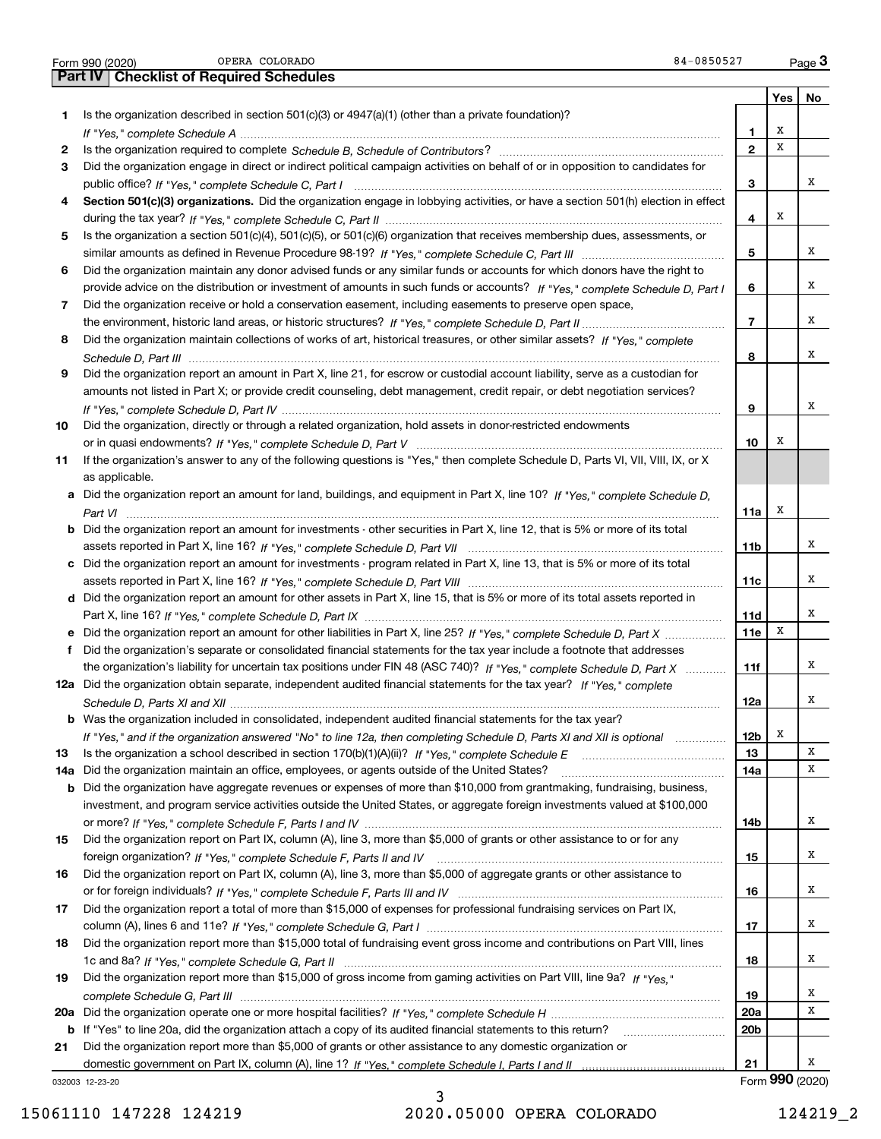|     | OPERA COLORADO<br>84-0850527<br>Form 990 (2020)                                                                                       |                 |     | Page $3$        |
|-----|---------------------------------------------------------------------------------------------------------------------------------------|-----------------|-----|-----------------|
|     | <b>Part IV   Checklist of Required Schedules</b>                                                                                      |                 |     |                 |
|     |                                                                                                                                       |                 | Yes | No              |
| 1   | Is the organization described in section $501(c)(3)$ or $4947(a)(1)$ (other than a private foundation)?                               |                 |     |                 |
|     |                                                                                                                                       | 1               | х   |                 |
| 2   |                                                                                                                                       | $\overline{2}$  | х   |                 |
| 3   | Did the organization engage in direct or indirect political campaign activities on behalf of or in opposition to candidates for       |                 |     |                 |
|     |                                                                                                                                       | 3               |     | x               |
| 4   | Section 501(c)(3) organizations. Did the organization engage in lobbying activities, or have a section 501(h) election in effect      |                 |     |                 |
|     |                                                                                                                                       | 4               | х   |                 |
|     | Is the organization a section 501(c)(4), 501(c)(5), or 501(c)(6) organization that receives membership dues, assessments, or          |                 |     |                 |
| 5   |                                                                                                                                       |                 |     | х               |
|     |                                                                                                                                       | 5               |     |                 |
| 6   | Did the organization maintain any donor advised funds or any similar funds or accounts for which donors have the right to             |                 |     |                 |
|     | provide advice on the distribution or investment of amounts in such funds or accounts? If "Yes," complete Schedule D, Part I          | 6               |     | x               |
| 7   | Did the organization receive or hold a conservation easement, including easements to preserve open space,                             |                 |     |                 |
|     |                                                                                                                                       | $\overline{7}$  |     | x               |
| 8   | Did the organization maintain collections of works of art, historical treasures, or other similar assets? If "Yes," complete          |                 |     |                 |
|     |                                                                                                                                       | 8               |     | x               |
| 9   | Did the organization report an amount in Part X, line 21, for escrow or custodial account liability, serve as a custodian for         |                 |     |                 |
|     | amounts not listed in Part X; or provide credit counseling, debt management, credit repair, or debt negotiation services?             |                 |     |                 |
|     |                                                                                                                                       | 9               |     | х               |
| 10  | Did the organization, directly or through a related organization, hold assets in donor-restricted endowments                          |                 |     |                 |
|     |                                                                                                                                       | 10              | х   |                 |
| 11  | If the organization's answer to any of the following questions is "Yes," then complete Schedule D, Parts VI, VII, VIII, IX, or X      |                 |     |                 |
|     | as applicable.                                                                                                                        |                 |     |                 |
|     | a Did the organization report an amount for land, buildings, and equipment in Part X, line 10? If "Yes," complete Schedule D,         |                 |     |                 |
|     |                                                                                                                                       | 11a             | х   |                 |
|     | <b>b</b> Did the organization report an amount for investments - other securities in Part X, line 12, that is 5% or more of its total |                 |     |                 |
|     |                                                                                                                                       | 11 <sub>b</sub> |     | х               |
|     |                                                                                                                                       |                 |     |                 |
|     | c Did the organization report an amount for investments - program related in Part X, line 13, that is 5% or more of its total         |                 |     | х               |
|     |                                                                                                                                       | 11c             |     |                 |
|     | d Did the organization report an amount for other assets in Part X, line 15, that is 5% or more of its total assets reported in       |                 |     |                 |
|     |                                                                                                                                       | 11d             |     | х               |
|     | e Did the organization report an amount for other liabilities in Part X, line 25? If "Yes," complete Schedule D, Part X               | 11e             | X   |                 |
| f   | Did the organization's separate or consolidated financial statements for the tax year include a footnote that addresses               |                 |     |                 |
|     | the organization's liability for uncertain tax positions under FIN 48 (ASC 740)? If "Yes," complete Schedule D, Part X                | 11f             |     | x               |
|     | 12a Did the organization obtain separate, independent audited financial statements for the tax year? If "Yes," complete               |                 |     |                 |
|     |                                                                                                                                       | 12a             |     |                 |
|     | <b>b</b> Was the organization included in consolidated, independent audited financial statements for the tax year?                    |                 |     |                 |
|     | If "Yes," and if the organization answered "No" to line 12a, then completing Schedule D, Parts XI and XII is optional manum           | 12 <sub>b</sub> | х   |                 |
| 13  |                                                                                                                                       | 13              |     | X               |
| 14a | Did the organization maintain an office, employees, or agents outside of the United States?                                           | 14a             |     | x               |
| b   | Did the organization have aggregate revenues or expenses of more than \$10,000 from grantmaking, fundraising, business,               |                 |     |                 |
|     | investment, and program service activities outside the United States, or aggregate foreign investments valued at \$100,000            |                 |     |                 |
|     |                                                                                                                                       | 14b             |     | x               |
| 15  | Did the organization report on Part IX, column (A), line 3, more than \$5,000 of grants or other assistance to or for any             |                 |     |                 |
|     |                                                                                                                                       | 15              |     | x               |
| 16  | Did the organization report on Part IX, column (A), line 3, more than \$5,000 of aggregate grants or other assistance to              |                 |     |                 |
|     |                                                                                                                                       | 16              |     | x               |
|     |                                                                                                                                       |                 |     |                 |
| 17  | Did the organization report a total of more than \$15,000 of expenses for professional fundraising services on Part IX,               |                 |     | x               |
|     |                                                                                                                                       | 17              |     |                 |
| 18  | Did the organization report more than \$15,000 total of fundraising event gross income and contributions on Part VIII, lines          |                 |     |                 |
|     |                                                                                                                                       | 18              |     | x               |
| 19  | Did the organization report more than \$15,000 of gross income from gaming activities on Part VIII, line 9a? If "Yes."                |                 |     |                 |
|     |                                                                                                                                       | 19              |     | x               |
|     |                                                                                                                                       | 20a             |     | X               |
|     | b If "Yes" to line 20a, did the organization attach a copy of its audited financial statements to this return?                        | 20 <sub>b</sub> |     |                 |
| 21  | Did the organization report more than \$5,000 of grants or other assistance to any domestic organization or                           |                 |     |                 |
|     |                                                                                                                                       | 21              |     | х               |
|     | 032003 12-23-20                                                                                                                       |                 |     | Form 990 (2020) |

032003 12-23-20

3 15061110 147228 124219 2020.05000 OPERA COLORADO 124219\_2

OPERA COLORADO 84-0850527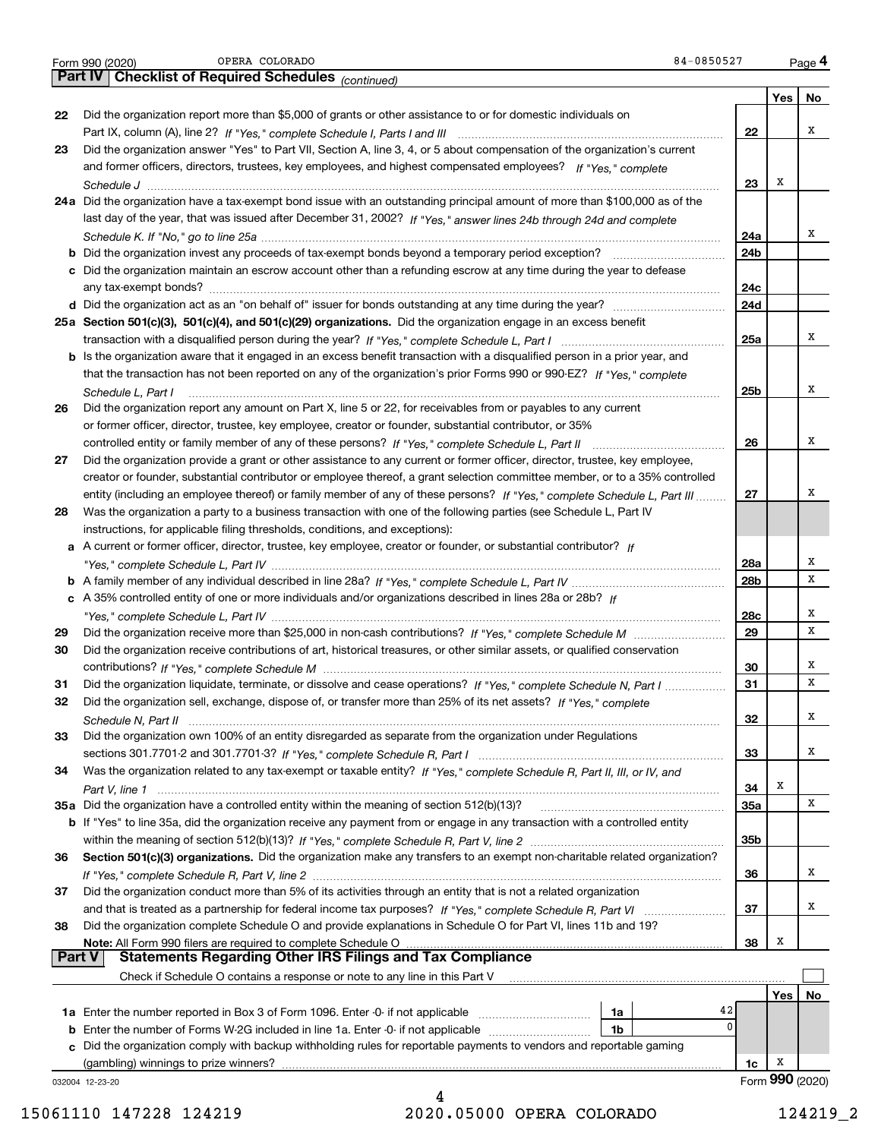|               | OPERA COLORADO<br>84-0850527<br>Form 990 (2020)                                                                              |            |         | Page 4          |
|---------------|------------------------------------------------------------------------------------------------------------------------------|------------|---------|-----------------|
|               | Part IV   Checklist of Required Schedules (continued)                                                                        |            |         |                 |
|               |                                                                                                                              |            | Yes     | No              |
| 22            | Did the organization report more than \$5,000 of grants or other assistance to or for domestic individuals on                |            |         |                 |
|               |                                                                                                                              | 22         |         | x               |
| 23            | Did the organization answer "Yes" to Part VII, Section A, line 3, 4, or 5 about compensation of the organization's current   |            |         |                 |
|               | and former officers, directors, trustees, key employees, and highest compensated employees? If "Yes," complete               |            |         |                 |
|               |                                                                                                                              | 23         | х       |                 |
|               | 24a Did the organization have a tax-exempt bond issue with an outstanding principal amount of more than \$100,000 as of the  |            |         |                 |
|               | last day of the year, that was issued after December 31, 2002? If "Yes," answer lines 24b through 24d and complete           |            |         |                 |
|               |                                                                                                                              | 24a        |         | x               |
|               |                                                                                                                              | 24b        |         |                 |
|               | c Did the organization maintain an escrow account other than a refunding escrow at any time during the year to defease       |            |         |                 |
|               |                                                                                                                              | 24c        |         |                 |
|               |                                                                                                                              | 24d        |         |                 |
|               | 25a Section 501(c)(3), 501(c)(4), and 501(c)(29) organizations. Did the organization engage in an excess benefit             |            |         |                 |
|               |                                                                                                                              | 25a        |         | x               |
|               | b Is the organization aware that it engaged in an excess benefit transaction with a disqualified person in a prior year, and |            |         |                 |
|               | that the transaction has not been reported on any of the organization's prior Forms 990 or 990-EZ? If "Yes," complete        |            |         |                 |
|               | Schedule L, Part I                                                                                                           | 25b        |         | x               |
| 26            | Did the organization report any amount on Part X, line 5 or 22, for receivables from or payables to any current              |            |         |                 |
|               | or former officer, director, trustee, key employee, creator or founder, substantial contributor, or 35%                      |            |         |                 |
|               |                                                                                                                              | 26         |         | x               |
| 27            | Did the organization provide a grant or other assistance to any current or former officer, director, trustee, key employee,  |            |         |                 |
|               | creator or founder, substantial contributor or employee thereof, a grant selection committee member, or to a 35% controlled  |            |         | x               |
|               | entity (including an employee thereof) or family member of any of these persons? If "Yes," complete Schedule L, Part III     | 27         |         |                 |
| 28            | Was the organization a party to a business transaction with one of the following parties (see Schedule L, Part IV            |            |         |                 |
|               | instructions, for applicable filing thresholds, conditions, and exceptions):                                                 |            |         |                 |
|               | a A current or former officer, director, trustee, key employee, creator or founder, or substantial contributor? If           |            |         | х               |
|               |                                                                                                                              | 28a        |         | x               |
|               |                                                                                                                              | 28b        |         |                 |
|               | c A 35% controlled entity of one or more individuals and/or organizations described in lines 28a or 28b? If                  |            |         | х               |
|               |                                                                                                                              | 28c        |         | x               |
| 29            |                                                                                                                              | 29         |         |                 |
| 30            | Did the organization receive contributions of art, historical treasures, or other similar assets, or qualified conservation  |            |         | х               |
|               | Did the organization liquidate, terminate, or dissolve and cease operations? If "Yes," complete Schedule N, Part I           | 30<br>31   |         | x               |
| 31<br>32      | Did the organization sell, exchange, dispose of, or transfer more than 25% of its net assets? If "Yes," complete             |            |         |                 |
|               |                                                                                                                              | 32         |         | х               |
| 33            | Did the organization own 100% of an entity disregarded as separate from the organization under Regulations                   |            |         |                 |
|               |                                                                                                                              | 33         |         | x               |
| 34            | Was the organization related to any tax-exempt or taxable entity? If "Yes," complete Schedule R, Part II, III, or IV, and    |            |         |                 |
|               |                                                                                                                              | 34         | Х       |                 |
|               |                                                                                                                              | <b>35a</b> |         | x               |
|               | b If "Yes" to line 35a, did the organization receive any payment from or engage in any transaction with a controlled entity  |            |         |                 |
|               |                                                                                                                              | 35b        |         |                 |
| 36            | Section 501(c)(3) organizations. Did the organization make any transfers to an exempt non-charitable related organization?   |            |         |                 |
|               |                                                                                                                              | 36         |         | х               |
| 37            | Did the organization conduct more than 5% of its activities through an entity that is not a related organization             |            |         |                 |
|               |                                                                                                                              | 37         |         | х               |
| 38            | Did the organization complete Schedule O and provide explanations in Schedule O for Part VI, lines 11b and 19?               |            |         |                 |
|               |                                                                                                                              | 38         | Х       |                 |
| <b>Part V</b> | <b>Statements Regarding Other IRS Filings and Tax Compliance</b>                                                             |            |         |                 |
|               | Check if Schedule O contains a response or note to any line in this Part V                                                   |            |         |                 |
|               |                                                                                                                              |            | Yes $ $ | No              |
|               | 42<br>1a                                                                                                                     |            |         |                 |
|               | $\mathbf{0}$<br><b>b</b> Enter the number of Forms W-2G included in line 1a. Enter -0- if not applicable<br>1b               |            |         |                 |
|               | c Did the organization comply with backup withholding rules for reportable payments to vendors and reportable gaming         |            |         |                 |
|               | (gambling) winnings to prize winners?                                                                                        | 1c         | x       |                 |
|               | 032004 12-23-20                                                                                                              |            |         | Form 990 (2020) |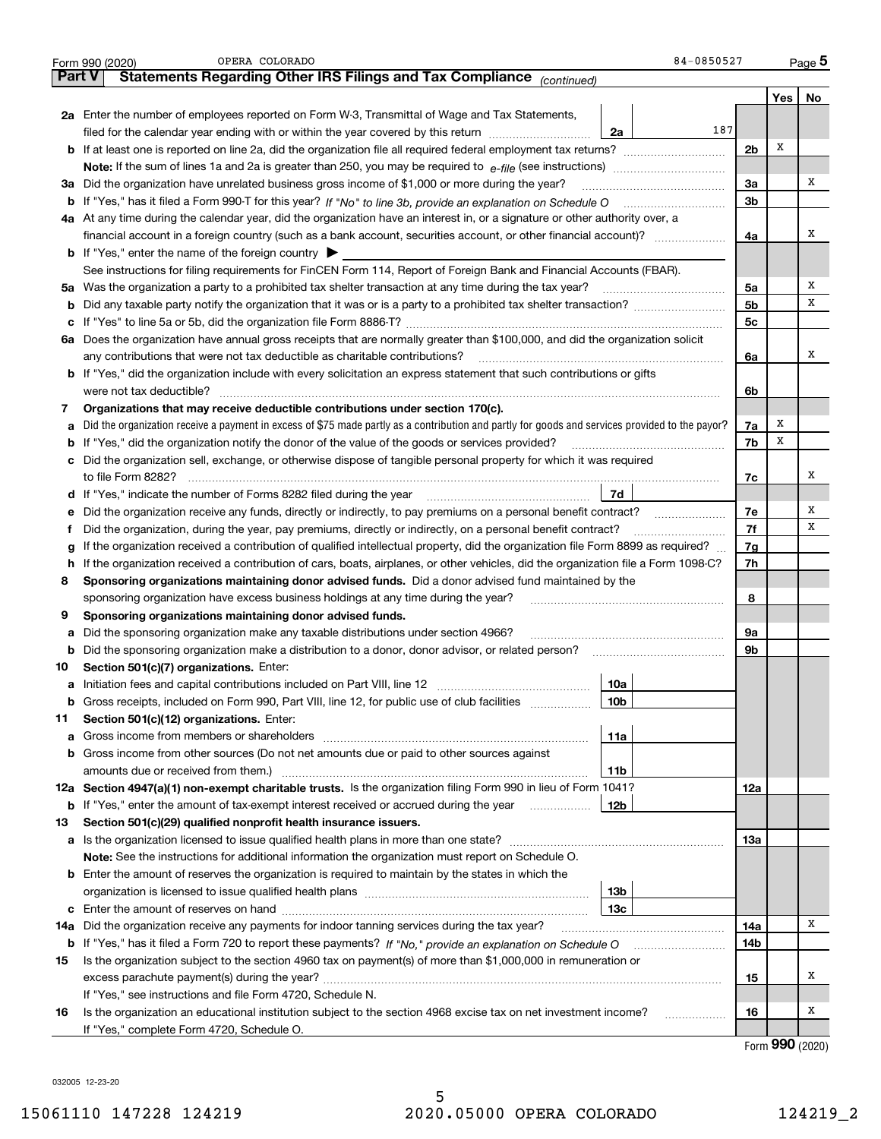|               | 84-0850527<br>OPERA COLORADO<br>Form 990 (2020)                                                                                                                               |                |     | $_{\text{Page}}$ 5 |
|---------------|-------------------------------------------------------------------------------------------------------------------------------------------------------------------------------|----------------|-----|--------------------|
| <b>Part V</b> | Statements Regarding Other IRS Filings and Tax Compliance (continued)                                                                                                         |                |     |                    |
|               |                                                                                                                                                                               |                | Yes | No                 |
|               | 2a Enter the number of employees reported on Form W-3, Transmittal of Wage and Tax Statements,                                                                                |                |     |                    |
|               | 187<br>filed for the calendar year ending with or within the year covered by this return<br>2a                                                                                |                |     |                    |
|               |                                                                                                                                                                               | 2 <sub>b</sub> | Х   |                    |
|               | <b>Note:</b> If the sum of lines 1a and 2a is greater than 250, you may be required to $e$ -file (see instructions) <i>manimummmmmm</i>                                       |                |     |                    |
|               | 3a Did the organization have unrelated business gross income of \$1,000 or more during the year?                                                                              | 3a             |     | х                  |
|               | b If "Yes," has it filed a Form 990-T for this year? If "No" to line 3b, provide an explanation on Schedule O                                                                 | 3 <sub>b</sub> |     |                    |
|               | 4a At any time during the calendar year, did the organization have an interest in, or a signature or other authority over, a                                                  |                |     |                    |
|               |                                                                                                                                                                               | 4a             |     | х                  |
|               | <b>b</b> If "Yes," enter the name of the foreign country $\triangleright$                                                                                                     |                |     |                    |
|               | See instructions for filing requirements for FinCEN Form 114, Report of Foreign Bank and Financial Accounts (FBAR).                                                           |                |     |                    |
|               | 5a Was the organization a party to a prohibited tax shelter transaction at any time during the tax year?                                                                      | 5a             |     | х                  |
| b             |                                                                                                                                                                               | 5 <sub>b</sub> |     | х                  |
| c             |                                                                                                                                                                               | 5c             |     |                    |
| 6а            | Does the organization have annual gross receipts that are normally greater than \$100,000, and did the organization solicit                                                   |                |     |                    |
|               | any contributions that were not tax deductible as charitable contributions?                                                                                                   | 6a             |     | х                  |
|               | <b>b</b> If "Yes," did the organization include with every solicitation an express statement that such contributions or gifts                                                 |                |     |                    |
|               | were not tax deductible?                                                                                                                                                      | 6b             |     |                    |
| 7             | Organizations that may receive deductible contributions under section 170(c).                                                                                                 |                |     |                    |
| а             | Did the organization receive a payment in excess of \$75 made partly as a contribution and partly for goods and services provided to the payor?                               | 7a             | х   |                    |
| b             | If "Yes," did the organization notify the donor of the value of the goods or services provided?                                                                               | 7b             | х   |                    |
|               | c Did the organization sell, exchange, or otherwise dispose of tangible personal property for which it was required                                                           |                |     |                    |
|               | to file Form 8282?                                                                                                                                                            | 7с             |     | x                  |
|               | 7d<br>d If "Yes," indicate the number of Forms 8282 filed during the year                                                                                                     |                |     |                    |
| е             | Did the organization receive any funds, directly or indirectly, to pay premiums on a personal benefit contract?                                                               | 7e             |     | Х                  |
| Ť.            | Did the organization, during the year, pay premiums, directly or indirectly, on a personal benefit contract?                                                                  | 7f             |     | х                  |
| g             | If the organization received a contribution of qualified intellectual property, did the organization file Form 8899 as required?                                              | 7g             |     |                    |
| h.            | If the organization received a contribution of cars, boats, airplanes, or other vehicles, did the organization file a Form 1098-C?                                            | 7h             |     |                    |
| 8             | Sponsoring organizations maintaining donor advised funds. Did a donor advised fund maintained by the                                                                          |                |     |                    |
|               | sponsoring organization have excess business holdings at any time during the year?                                                                                            | 8              |     |                    |
| 9             | Sponsoring organizations maintaining donor advised funds.                                                                                                                     |                |     |                    |
| а             | Did the sponsoring organization make any taxable distributions under section 4966?                                                                                            | 9а             |     |                    |
| b             | Did the sponsoring organization make a distribution to a donor, donor advisor, or related person?                                                                             | 9b             |     |                    |
| 10            | Section 501(c)(7) organizations. Enter:                                                                                                                                       |                |     |                    |
|               | 10a                                                                                                                                                                           |                |     |                    |
| b             | Gross receipts, included on Form 990, Part VIII, line 12, for public use of club facilities<br>10b                                                                            |                |     |                    |
| 11            | Section 501(c)(12) organizations. Enter:                                                                                                                                      |                |     |                    |
| а             | 11a                                                                                                                                                                           |                |     |                    |
| b             | Gross income from other sources (Do not net amounts due or paid to other sources against                                                                                      |                |     |                    |
|               | amounts due or received from them.)<br>11b                                                                                                                                    |                |     |                    |
|               | 12a Section 4947(a)(1) non-exempt charitable trusts. Is the organization filing Form 990 in lieu of Form 1041?                                                                | 12a            |     |                    |
| b             | If "Yes," enter the amount of tax-exempt interest received or accrued during the year<br>12b                                                                                  |                |     |                    |
| 13            | Section 501(c)(29) qualified nonprofit health insurance issuers.                                                                                                              |                |     |                    |
|               |                                                                                                                                                                               | 13а            |     |                    |
|               | <b>Note:</b> See the instructions for additional information the organization must report on Schedule O.                                                                      |                |     |                    |
|               | <b>b</b> Enter the amount of reserves the organization is required to maintain by the states in which the                                                                     |                |     |                    |
|               | 13b                                                                                                                                                                           |                |     |                    |
|               | 13с<br>Did the organization receive any payments for indoor tanning services during the tax year?                                                                             |                |     | х                  |
| 14a           |                                                                                                                                                                               | 14a            |     |                    |
| b             |                                                                                                                                                                               | 14b            |     |                    |
| 15            | Is the organization subject to the section 4960 tax on payment(s) of more than \$1,000,000 in remuneration or                                                                 |                |     | Х                  |
|               |                                                                                                                                                                               | 15             |     |                    |
|               | If "Yes," see instructions and file Form 4720, Schedule N.<br>Is the organization an educational institution subject to the section 4968 excise tax on net investment income? |                |     | х                  |
| 16            | .                                                                                                                                                                             | 16             |     |                    |
|               | If "Yes," complete Form 4720, Schedule O.                                                                                                                                     |                |     |                    |

Form (2020) **990**

032005 12-23-20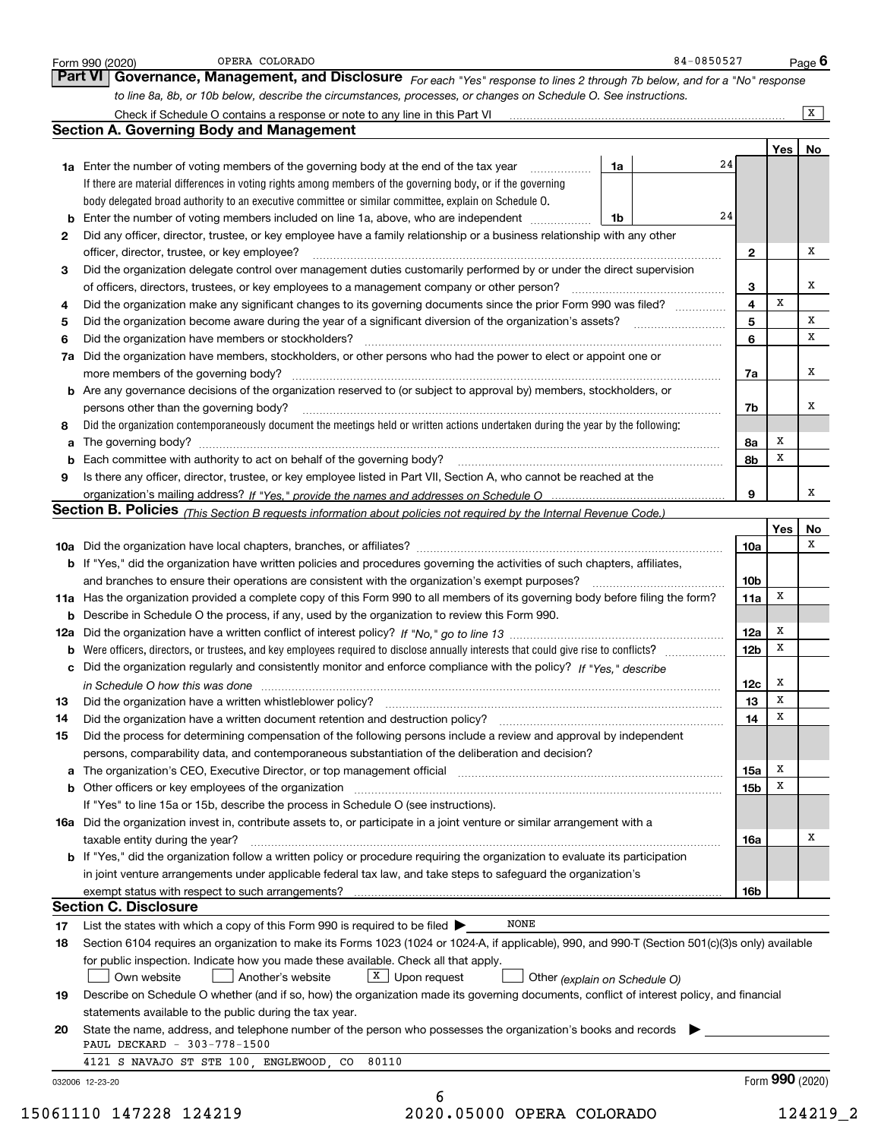|              | Form 990 (2020)<br>Part VI<br>Governance, Management, and Disclosure For each "Yes" response to lines 2 through 7b below, and for a "No" response                                                                              |                         |                 | Page $6$       |
|--------------|--------------------------------------------------------------------------------------------------------------------------------------------------------------------------------------------------------------------------------|-------------------------|-----------------|----------------|
|              | to line 8a, 8b, or 10b below, describe the circumstances, processes, or changes on Schedule O. See instructions.                                                                                                               |                         |                 |                |
|              |                                                                                                                                                                                                                                |                         |                 | $\overline{X}$ |
|              | <b>Section A. Governing Body and Management</b>                                                                                                                                                                                |                         |                 |                |
|              |                                                                                                                                                                                                                                |                         | Yes I           | No             |
|              | 1a<br><b>1a</b> Enter the number of voting members of the governing body at the end of the tax year <i>manumum</i>                                                                                                             | 24                      |                 |                |
|              | If there are material differences in voting rights among members of the governing body, or if the governing                                                                                                                    |                         |                 |                |
|              | body delegated broad authority to an executive committee or similar committee, explain on Schedule O.                                                                                                                          |                         |                 |                |
|              | <b>b</b> Enter the number of voting members included on line 1a, above, who are independent <i>manumum</i><br>1b                                                                                                               | 24                      |                 |                |
| $\mathbf{2}$ | Did any officer, director, trustee, or key employee have a family relationship or a business relationship with any other                                                                                                       |                         |                 |                |
|              | officer, director, trustee, or key employee?                                                                                                                                                                                   | $\mathbf{2}$            |                 | x              |
| 3            | Did the organization delegate control over management duties customarily performed by or under the direct supervision                                                                                                          |                         |                 |                |
|              |                                                                                                                                                                                                                                | 3                       |                 | x              |
| 4            | Did the organization make any significant changes to its governing documents since the prior Form 990 was filed?                                                                                                               | $\overline{\mathbf{4}}$ | X               |                |
| 5            |                                                                                                                                                                                                                                | 5                       |                 | x              |
| 6            |                                                                                                                                                                                                                                | 6                       |                 | х              |
| 7a           | Did the organization have members, stockholders, or other persons who had the power to elect or appoint one or                                                                                                                 |                         |                 |                |
|              | more members of the governing body?                                                                                                                                                                                            | 7а                      |                 | x              |
|              | <b>b</b> Are any governance decisions of the organization reserved to (or subject to approval by) members, stockholders, or                                                                                                    |                         |                 |                |
|              | persons other than the governing body?                                                                                                                                                                                         | 7b                      |                 | x              |
| 8            | Did the organization contemporaneously document the meetings held or written actions undertaken during the year by the following:                                                                                              |                         |                 |                |
|              |                                                                                                                                                                                                                                | 8а                      | х               |                |
|              |                                                                                                                                                                                                                                | 8b                      | x               |                |
| 9            | Is there any officer, director, trustee, or key employee listed in Part VII, Section A, who cannot be reached at the                                                                                                           |                         |                 |                |
|              |                                                                                                                                                                                                                                | 9                       |                 | x              |
|              | Section B. Policies (This Section B requests information about policies not required by the Internal Revenue Code.)                                                                                                            |                         |                 |                |
|              |                                                                                                                                                                                                                                |                         | Yes             | No             |
|              |                                                                                                                                                                                                                                | 10a                     |                 | х              |
|              | b If "Yes," did the organization have written policies and procedures governing the activities of such chapters, affiliates,                                                                                                   |                         |                 |                |
|              |                                                                                                                                                                                                                                | 10 <sub>b</sub>         |                 |                |
|              | 11a Has the organization provided a complete copy of this Form 990 to all members of its governing body before filing the form?                                                                                                | 11a                     | х               |                |
|              | <b>b</b> Describe in Schedule O the process, if any, used by the organization to review this Form 990.                                                                                                                         |                         |                 |                |
|              |                                                                                                                                                                                                                                | 12a                     | x               |                |
|              |                                                                                                                                                                                                                                | 12 <sub>b</sub>         | х               |                |
|              | <b>b</b> Were officers, directors, or trustees, and key employees required to disclose annually interests that could give rise to conflicts?                                                                                   |                         |                 |                |
|              | c Did the organization regularly and consistently monitor and enforce compliance with the policy? If "Yes," describe                                                                                                           |                         | х               |                |
|              | in Schedule O how this was done manufactured and contain an according to the state of the state of the state o                                                                                                                 | 12c                     | х               |                |
| 13           | Did the organization have a written whistleblower policy?                                                                                                                                                                      | 13                      | х               |                |
| 14           | Did the organization have a written document retention and destruction policy?                                                                                                                                                 | 14                      |                 |                |
| 15           | Did the process for determining compensation of the following persons include a review and approval by independent                                                                                                             |                         |                 |                |
|              | persons, comparability data, and contemporaneous substantiation of the deliberation and decision?                                                                                                                              |                         |                 |                |
|              | a The organization's CEO, Executive Director, or top management official manufactured content content of the organization's CEO, Executive Director, or top management official manufactured content of the state of the state | <b>15a</b>              | Х               |                |
|              |                                                                                                                                                                                                                                | 15b                     | х               |                |
|              | If "Yes" to line 15a or 15b, describe the process in Schedule O (see instructions).                                                                                                                                            |                         |                 |                |
|              | 16a Did the organization invest in, contribute assets to, or participate in a joint venture or similar arrangement with a                                                                                                      |                         |                 |                |
|              | taxable entity during the year?                                                                                                                                                                                                | 16a                     |                 | x              |
|              | <b>b</b> If "Yes," did the organization follow a written policy or procedure requiring the organization to evaluate its participation                                                                                          |                         |                 |                |
|              | in joint venture arrangements under applicable federal tax law, and take steps to safeguard the organization's                                                                                                                 |                         |                 |                |
|              | exempt status with respect to such arrangements?                                                                                                                                                                               | 16b                     |                 |                |
|              | <b>Section C. Disclosure</b>                                                                                                                                                                                                   |                         |                 |                |
| 17           | NONE<br>List the states with which a copy of this Form 990 is required to be filed $\blacktriangleright$                                                                                                                       |                         |                 |                |
| 18           | Section 6104 requires an organization to make its Forms 1023 (1024 or 1024-A, if applicable), 990, and 990-T (Section 501(c)(3)s only) available                                                                               |                         |                 |                |
|              | for public inspection. Indicate how you made these available. Check all that apply.                                                                                                                                            |                         |                 |                |
|              | $X$ Upon request<br>Another's website<br>Own website<br>Other (explain on Schedule O)                                                                                                                                          |                         |                 |                |
|              |                                                                                                                                                                                                                                |                         |                 |                |
|              | Describe on Schedule O whether (and if so, how) the organization made its governing documents, conflict of interest policy, and financial                                                                                      |                         |                 |                |
|              | statements available to the public during the tax year.                                                                                                                                                                        |                         |                 |                |
| 19<br>20     | State the name, address, and telephone number of the person who possesses the organization's books and records                                                                                                                 |                         |                 |                |
|              | PAUL DECKARD - 303-778-1500                                                                                                                                                                                                    |                         |                 |                |
|              | 4121 S NAVAJO ST STE 100, ENGLEWOOD, CO<br>80110                                                                                                                                                                               |                         |                 |                |
|              | 032006 12-23-20                                                                                                                                                                                                                |                         | Form 990 (2020) |                |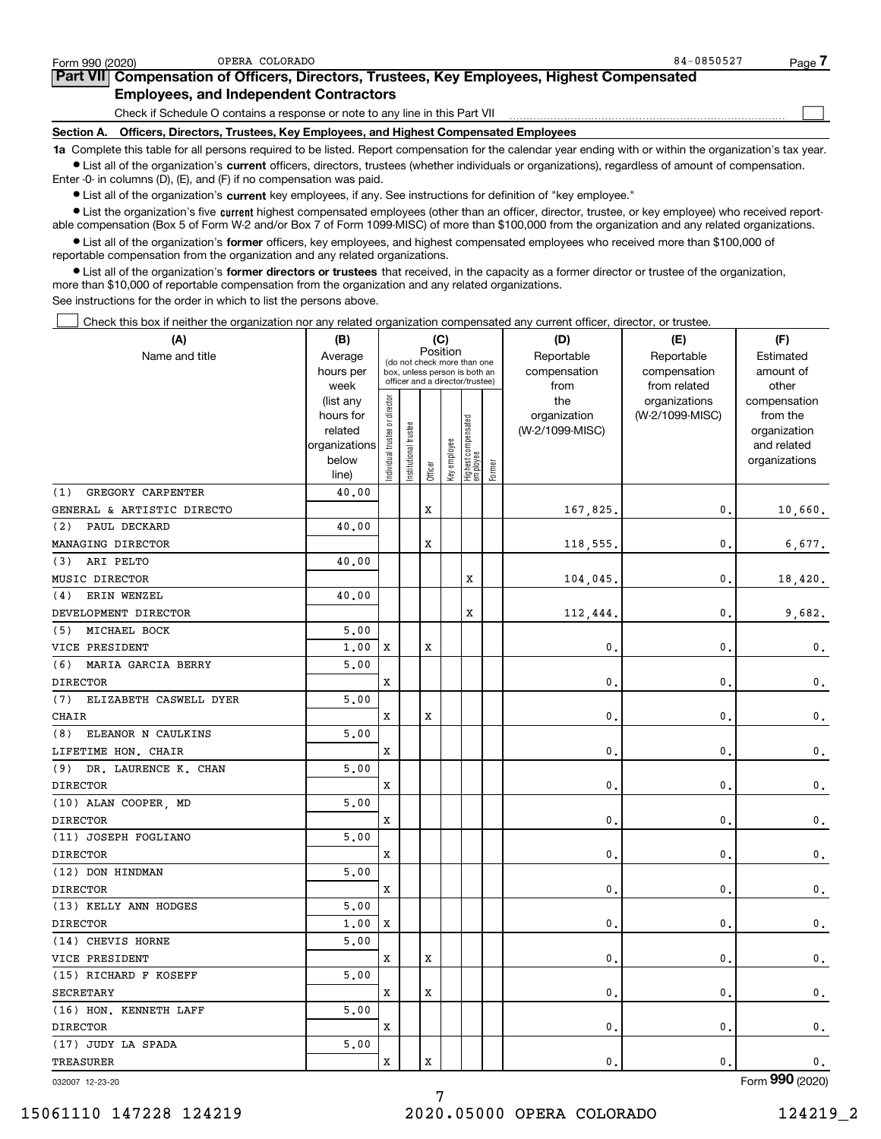| Form 990 (2020)                                                                                                                                            | OPERA COLORADO                                                                             | 84-0850527 | Page |  |  |  |  |  |  |  |
|------------------------------------------------------------------------------------------------------------------------------------------------------------|--------------------------------------------------------------------------------------------|------------|------|--|--|--|--|--|--|--|
|                                                                                                                                                            | Part VII Compensation of Officers, Directors, Trustees, Key Employees, Highest Compensated |            |      |  |  |  |  |  |  |  |
|                                                                                                                                                            | <b>Employees, and Independent Contractors</b>                                              |            |      |  |  |  |  |  |  |  |
|                                                                                                                                                            | Check if Schedule O contains a response or note to any line in this Part VII               |            |      |  |  |  |  |  |  |  |
| <b>Section A.</b>                                                                                                                                          | Officers, Directors, Trustees, Key Employees, and Highest Compensated Employees            |            |      |  |  |  |  |  |  |  |
| 1a Complete this table for all persons required to be listed. Report compensation for the calendar year ending with or within the organization's tax year. |                                                                                            |            |      |  |  |  |  |  |  |  |

**•** List all of the organization's current officers, directors, trustees (whether individuals or organizations), regardless of amount of compensation. Enter -0- in columns (D), (E), and (F) if no compensation was paid.

 $\bullet$  List all of the organization's  $\,$ current key employees, if any. See instructions for definition of "key employee."

**•** List the organization's five current highest compensated employees (other than an officer, director, trustee, or key employee) who received reportable compensation (Box 5 of Form W-2 and/or Box 7 of Form 1099-MISC) of more than \$100,000 from the organization and any related organizations.

**•** List all of the organization's former officers, key employees, and highest compensated employees who received more than \$100,000 of reportable compensation from the organization and any related organizations.

**former directors or trustees**  ¥ List all of the organization's that received, in the capacity as a former director or trustee of the organization, more than \$10,000 of reportable compensation from the organization and any related organizations.

See instructions for the order in which to list the persons above.

Check this box if neither the organization nor any related organization compensated any current officer, director, or trustee.  $\mathcal{L}^{\text{max}}$ 

| (A)                           | (B)                    |                                |                                                                  |         | (C)          |                                 |        | (D)             | (E)                              | (F)                      |
|-------------------------------|------------------------|--------------------------------|------------------------------------------------------------------|---------|--------------|---------------------------------|--------|-----------------|----------------------------------|--------------------------|
| Name and title                | Average                |                                | (do not check more than one                                      |         | Position     |                                 |        | Reportable      | Reportable                       | Estimated                |
|                               | hours per              |                                | box, unless person is both an<br>officer and a director/trustee) |         |              |                                 |        | compensation    | compensation                     | amount of                |
|                               | week                   |                                |                                                                  |         |              |                                 |        | from<br>the     | from related                     | other                    |
|                               | (list any<br>hours for |                                |                                                                  |         |              |                                 |        | organization    | organizations<br>(W-2/1099-MISC) | compensation<br>from the |
|                               | related                |                                |                                                                  |         |              |                                 |        | (W-2/1099-MISC) |                                  | organization             |
|                               | organizations          |                                |                                                                  |         |              |                                 |        |                 |                                  | and related              |
|                               | below                  | Individual trustee or director | Institutional trustee                                            |         | Key employee | Highest compensated<br>employee |        |                 |                                  | organizations            |
|                               | line)                  |                                |                                                                  | Officer |              |                                 | Former |                 |                                  |                          |
| GREGORY CARPENTER<br>(1)      | 40.00                  |                                |                                                                  |         |              |                                 |        |                 |                                  |                          |
| GENERAL & ARTISTIC DIRECTO    |                        |                                |                                                                  | X       |              |                                 |        | 167,825.        | 0.                               | 10,660.                  |
| (2)<br>PAUL DECKARD           | 40.00                  |                                |                                                                  |         |              |                                 |        |                 |                                  |                          |
| MANAGING DIRECTOR             |                        |                                |                                                                  | х       |              |                                 |        | 118,555.        | $\mathbf 0$                      | 6,677.                   |
| ARI PELTO<br>(3)              | 40.00                  |                                |                                                                  |         |              |                                 |        |                 |                                  |                          |
| MUSIC DIRECTOR                |                        |                                |                                                                  |         |              | x                               |        | 104,045         | $\mathbf{0}$                     | 18,420.                  |
| ERIN WENZEL<br>(4)            | 40.00                  |                                |                                                                  |         |              |                                 |        |                 |                                  |                          |
| DEVELOPMENT DIRECTOR          |                        |                                |                                                                  |         |              | X                               |        | 112,444         | $\mathbf 0$                      | 9,682.                   |
| (5) MICHAEL BOCK              | 5,00                   |                                |                                                                  |         |              |                                 |        |                 |                                  |                          |
| VICE PRESIDENT                | 1,00                   | $\mathbf X$                    |                                                                  | x       |              |                                 |        | $\mathbf 0$     | $\mathbf{0}$                     | 0.                       |
| MARIA GARCIA BERRY<br>(6)     | 5,00                   |                                |                                                                  |         |              |                                 |        |                 |                                  |                          |
| <b>DIRECTOR</b>               |                        | X                              |                                                                  |         |              |                                 |        | 0               | $\mathbf 0$                      | 0.                       |
| (7)<br>ELIZABETH CASWELL DYER | 5,00                   |                                |                                                                  |         |              |                                 |        |                 |                                  |                          |
| <b>CHAIR</b>                  |                        | $\mathbf x$                    |                                                                  | X       |              |                                 |        | 0               | $\mathbf{0}$                     | $\mathbf 0$ .            |
| (8)<br>ELEANOR N CAULKINS     | 5,00                   |                                |                                                                  |         |              |                                 |        |                 |                                  |                          |
| LIFETIME HON. CHAIR           |                        | X                              |                                                                  |         |              |                                 |        | 0               | 0                                | $\mathbf 0$ .            |
| (9)<br>DR. LAURENCE K. CHAN   | 5,00                   |                                |                                                                  |         |              |                                 |        |                 |                                  |                          |
| <b>DIRECTOR</b>               |                        | X                              |                                                                  |         |              |                                 |        | 0               | $\mathbf{0}$                     | $\mathbf 0$ .            |
| (10) ALAN COOPER, MD          | 5.00                   |                                |                                                                  |         |              |                                 |        |                 |                                  |                          |
| <b>DIRECTOR</b>               |                        | X                              |                                                                  |         |              |                                 |        | 0               | $\mathbf{0}$                     | $\mathbf 0$ .            |
| (11) JOSEPH FOGLIANO          | 5.00                   |                                |                                                                  |         |              |                                 |        |                 |                                  |                          |
| <b>DIRECTOR</b>               |                        | X                              |                                                                  |         |              |                                 |        | 0               | $\mathbf{0}$                     | $\mathbf 0$ .            |
| (12) DON HINDMAN              | 5.00                   |                                |                                                                  |         |              |                                 |        |                 |                                  |                          |
| <b>DIRECTOR</b>               |                        | X                              |                                                                  |         |              |                                 |        | 0               | $\mathbf{0}$                     | $\mathbf 0$ .            |
| (13) KELLY ANN HODGES         | 5,00                   |                                |                                                                  |         |              |                                 |        |                 |                                  |                          |
| <b>DIRECTOR</b>               | 1.00                   | X                              |                                                                  |         |              |                                 |        | 0               | $\mathbf{0}$                     | $\mathbf 0$ .            |
| (14) CHEVIS HORNE             | 5.00                   |                                |                                                                  |         |              |                                 |        |                 |                                  |                          |
| VICE PRESIDENT                |                        | X                              |                                                                  | X       |              |                                 |        | 0               | $\mathbf{0}$                     | $\mathbf 0$ .            |
| (15) RICHARD F KOSEFF         | 5.00                   |                                |                                                                  |         |              |                                 |        |                 |                                  |                          |
| <b>SECRETARY</b>              |                        | X                              |                                                                  | X       |              |                                 |        | 0               | $\mathbf{0}$                     | $\mathbf 0$ .            |
| (16) HON. KENNETH LAFF        | 5.00                   |                                |                                                                  |         |              |                                 |        |                 |                                  |                          |
| <b>DIRECTOR</b>               |                        | X                              |                                                                  |         |              |                                 |        | 0               | $\mathbf{0}$                     | 0.                       |
| (17) JUDY LA SPADA            | 5,00                   |                                |                                                                  |         |              |                                 |        |                 |                                  |                          |
| TREASURER                     |                        | X                              |                                                                  | X       |              |                                 |        | $\mathbf{0}$    | 0.                               | 0.                       |

7

032007 12-23-20

Form (2020) **990**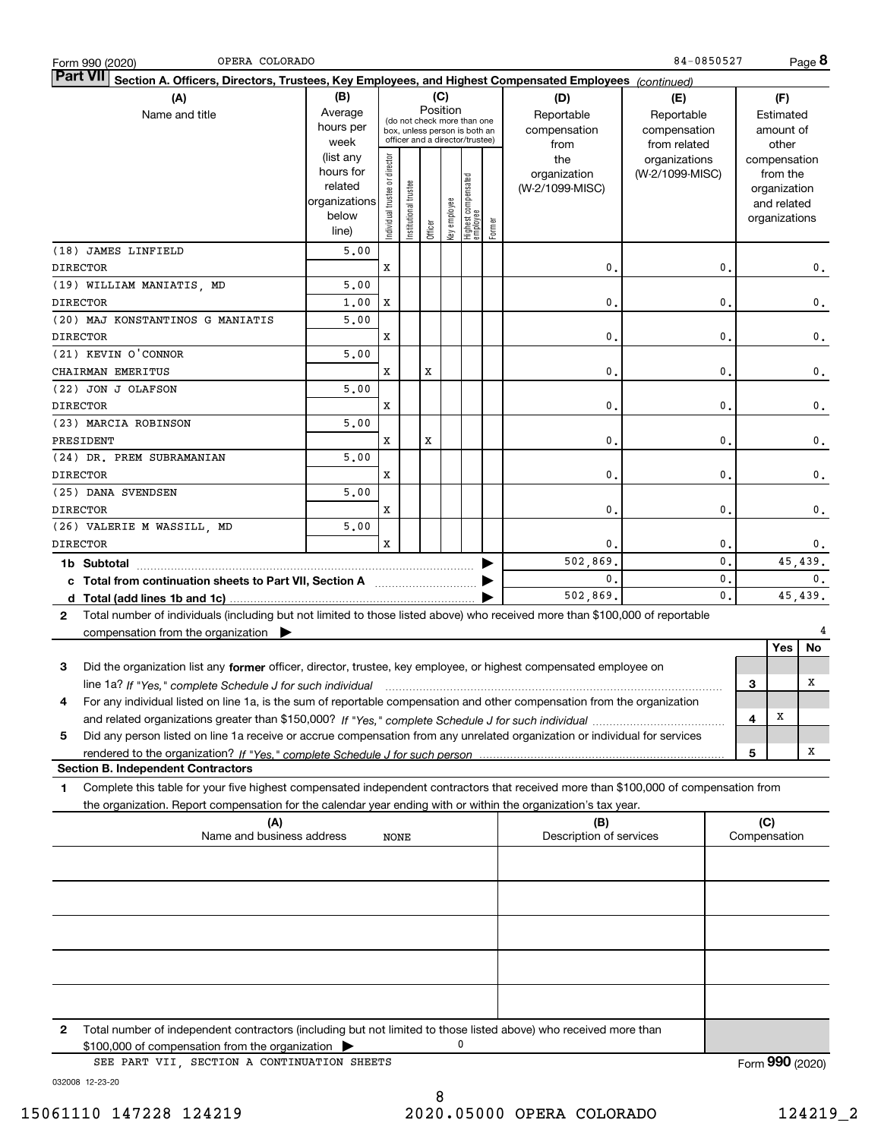| OPERA COLORADO<br>Form 990 (2020)                                                                                                                                                                                                                           |                                                                      |                                                                                                                    |                       |         |              |                                   |        |                                           | 84-0850527                                        |                |     |                                                                          | Page 8        |
|-------------------------------------------------------------------------------------------------------------------------------------------------------------------------------------------------------------------------------------------------------------|----------------------------------------------------------------------|--------------------------------------------------------------------------------------------------------------------|-----------------------|---------|--------------|-----------------------------------|--------|-------------------------------------------|---------------------------------------------------|----------------|-----|--------------------------------------------------------------------------|---------------|
| <b>Part VII</b><br>Section A. Officers, Directors, Trustees, Key Employees, and Highest Compensated Employees (continued)                                                                                                                                   |                                                                      |                                                                                                                    |                       |         |              |                                   |        |                                           |                                                   |                |     |                                                                          |               |
| (A)<br>Name and title                                                                                                                                                                                                                                       | (B)<br>Average<br>hours per<br>week                                  | (C)<br>Position<br>(do not check more than one<br>box, unless person is both an<br>officer and a director/trustee) |                       |         |              |                                   |        | (D)<br>Reportable<br>compensation<br>from | (E)<br>Reportable<br>compensation<br>from related |                |     | (F)<br>Estimated<br>amount of<br>other                                   |               |
|                                                                                                                                                                                                                                                             | (list any<br>hours for<br>related<br>organizations<br>below<br>line) | Individual trustee or director                                                                                     | Institutional trustee | Officer | Key employee | Highest compensated<br>  employee | Former | the<br>organization<br>(W-2/1099-MISC)    | organizations<br>(W-2/1099-MISC)                  |                |     | compensation<br>from the<br>organization<br>and related<br>organizations |               |
| (18) JAMES LINFIELD<br><b>DIRECTOR</b>                                                                                                                                                                                                                      | 5.00                                                                 | x                                                                                                                  |                       |         |              |                                   |        | $\mathbf{0}$                              |                                                   | $\mathbf{0}$   |     |                                                                          | $\mathbf 0$ . |
| (19) WILLIAM MANIATIS, MD                                                                                                                                                                                                                                   | 5,00                                                                 |                                                                                                                    |                       |         |              |                                   |        |                                           |                                                   |                |     |                                                                          |               |
| <b>DIRECTOR</b><br>(20) MAJ KONSTANTINOS G MANIATIS                                                                                                                                                                                                         | 1,00<br>5,00                                                         | x                                                                                                                  |                       |         |              |                                   |        | 0.                                        |                                                   | $\mathbf{0}$   |     |                                                                          | $\mathbf 0$ . |
| <b>DIRECTOR</b>                                                                                                                                                                                                                                             |                                                                      | x                                                                                                                  |                       |         |              |                                   |        | 0.                                        |                                                   | $\mathbf{0}$   |     |                                                                          | $\mathbf 0$ . |
| (21) KEVIN O'CONNOR<br>CHAIRMAN EMERITUS                                                                                                                                                                                                                    | 5,00                                                                 | x                                                                                                                  |                       | x       |              |                                   |        | 0.                                        |                                                   | $\mathbf{0}$   |     |                                                                          | $\mathbf 0$ . |
| (22) JON J OLAFSON                                                                                                                                                                                                                                          | 5,00                                                                 |                                                                                                                    |                       |         |              |                                   |        |                                           |                                                   |                |     |                                                                          |               |
| <b>DIRECTOR</b>                                                                                                                                                                                                                                             |                                                                      | x                                                                                                                  |                       |         |              |                                   |        | 0.                                        |                                                   | $\mathbf{0}$   |     |                                                                          | $\mathbf 0$ . |
| (23) MARCIA ROBINSON<br>PRESIDENT                                                                                                                                                                                                                           | 5,00                                                                 | x                                                                                                                  |                       | x       |              |                                   |        | 0.                                        |                                                   | $\mathbf{0}$   |     |                                                                          | $\mathbf 0$ . |
| (24) DR. PREM SUBRAMANIAN<br><b>DIRECTOR</b>                                                                                                                                                                                                                | 5,00                                                                 | x                                                                                                                  |                       |         |              |                                   |        | 0.                                        |                                                   | $\mathbf{0}$   |     |                                                                          | $\mathbf 0$ . |
| (25) DANA SVENDSEN<br><b>DIRECTOR</b>                                                                                                                                                                                                                       | 5,00                                                                 | x                                                                                                                  |                       |         |              |                                   |        | $\mathbf{0}$                              |                                                   | $\mathbf{0}$   |     |                                                                          |               |
| (26) VALERIE M WASSILL, MD                                                                                                                                                                                                                                  | 5,00                                                                 |                                                                                                                    |                       |         |              |                                   |        |                                           |                                                   |                |     |                                                                          | $\mathbf 0$ . |
| <b>DIRECTOR</b>                                                                                                                                                                                                                                             |                                                                      | X                                                                                                                  |                       |         |              |                                   |        | 0.                                        |                                                   | $\mathbf{0}$   |     |                                                                          | 0.            |
|                                                                                                                                                                                                                                                             |                                                                      |                                                                                                                    |                       |         |              |                                   |        | 502,869<br>0.                             |                                                   | 0.<br>0.       |     |                                                                          | 45,439.<br>0. |
| c Total from continuation sheets to Part VII, Section A                                                                                                                                                                                                     |                                                                      |                                                                                                                    |                       |         |              |                                   |        | 502,869.                                  |                                                   | $\mathbf{0}$ . |     |                                                                          | 45,439.       |
| Total number of individuals (including but not limited to those listed above) who received more than \$100,000 of reportable<br>2<br>compensation from the organization                                                                                     |                                                                      |                                                                                                                    |                       |         |              |                                   |        |                                           |                                                   |                |     |                                                                          | 4             |
| 3<br>Did the organization list any former officer, director, trustee, key employee, or highest compensated employee on                                                                                                                                      |                                                                      |                                                                                                                    |                       |         |              |                                   |        |                                           |                                                   |                |     | Yes                                                                      | No            |
| line 1a? If "Yes," complete Schedule J for such individual manufactured contained and the 1a? If "Yes," complete Schedule J for such individual                                                                                                             |                                                                      |                                                                                                                    |                       |         |              |                                   |        |                                           |                                                   |                | 3   |                                                                          | х             |
| For any individual listed on line 1a, is the sum of reportable compensation and other compensation from the organization                                                                                                                                    |                                                                      |                                                                                                                    |                       |         |              |                                   |        |                                           |                                                   |                |     |                                                                          |               |
| Did any person listed on line 1a receive or accrue compensation from any unrelated organization or individual for services<br>5                                                                                                                             |                                                                      |                                                                                                                    |                       |         |              |                                   |        |                                           |                                                   |                | 4   | х                                                                        |               |
|                                                                                                                                                                                                                                                             |                                                                      |                                                                                                                    |                       |         |              |                                   |        |                                           |                                                   |                | 5   |                                                                          | x             |
| <b>Section B. Independent Contractors</b>                                                                                                                                                                                                                   |                                                                      |                                                                                                                    |                       |         |              |                                   |        |                                           |                                                   |                |     |                                                                          |               |
| Complete this table for your five highest compensated independent contractors that received more than \$100,000 of compensation from<br>1<br>the organization. Report compensation for the calendar year ending with or within the organization's tax year. |                                                                      |                                                                                                                    |                       |         |              |                                   |        |                                           |                                                   |                |     |                                                                          |               |
| (A)<br>Name and business address                                                                                                                                                                                                                            |                                                                      |                                                                                                                    | <b>NONE</b>           |         |              |                                   |        | (B)<br>Description of services            |                                                   |                | (C) | Compensation                                                             |               |
|                                                                                                                                                                                                                                                             |                                                                      |                                                                                                                    |                       |         |              |                                   |        |                                           |                                                   |                |     |                                                                          |               |
|                                                                                                                                                                                                                                                             |                                                                      |                                                                                                                    |                       |         |              |                                   |        |                                           |                                                   |                |     |                                                                          |               |
|                                                                                                                                                                                                                                                             |                                                                      |                                                                                                                    |                       |         |              |                                   |        |                                           |                                                   |                |     |                                                                          |               |
|                                                                                                                                                                                                                                                             |                                                                      |                                                                                                                    |                       |         |              |                                   |        |                                           |                                                   |                |     |                                                                          |               |
|                                                                                                                                                                                                                                                             |                                                                      |                                                                                                                    |                       |         |              |                                   |        |                                           |                                                   |                |     |                                                                          |               |
| Total number of independent contractors (including but not limited to those listed above) who received more than<br>2                                                                                                                                       |                                                                      |                                                                                                                    |                       |         |              |                                   |        |                                           |                                                   |                |     |                                                                          |               |
| \$100,000 of compensation from the organization<br>SEE PART VII, SECTION A CONTINUATION SHEETS                                                                                                                                                              |                                                                      |                                                                                                                    |                       |         |              | 0                                 |        |                                           |                                                   |                |     | Form 990 (2020)                                                          |               |
|                                                                                                                                                                                                                                                             |                                                                      |                                                                                                                    |                       |         |              |                                   |        |                                           |                                                   |                |     |                                                                          |               |

032008 12-23-20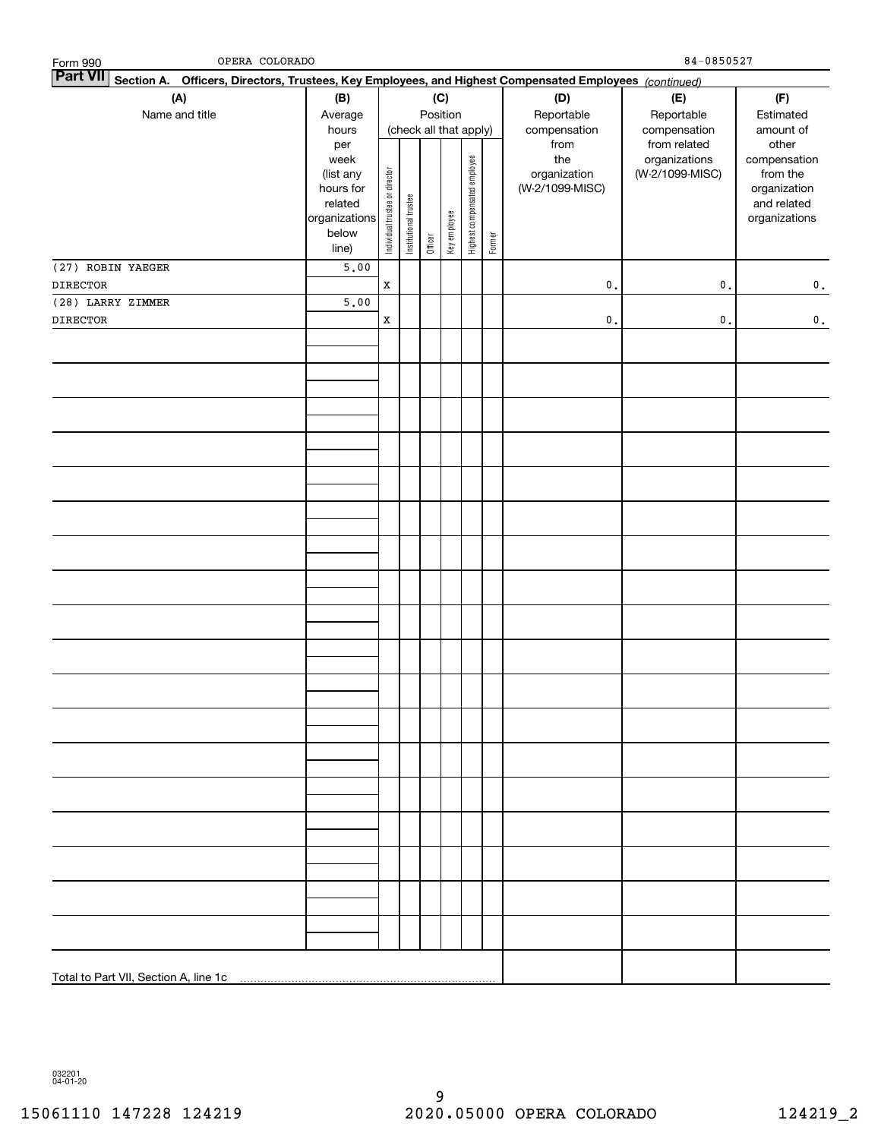| OPERA COLORADO<br>$Form 990$<br><b>Part VII</b>                                                        |                          |                                |                       |         |                        |                              |        |                 | 84-0850527      |                              |              |
|--------------------------------------------------------------------------------------------------------|--------------------------|--------------------------------|-----------------------|---------|------------------------|------------------------------|--------|-----------------|-----------------|------------------------------|--------------|
| Section A. Officers, Directors, Trustees, Key Employees, and Highest Compensated Employees (continued) |                          |                                |                       |         |                        |                              |        |                 |                 |                              |              |
| (A)                                                                                                    | (B)                      |                                |                       |         | (C)                    |                              |        | (D)             | (E)             | (F)                          |              |
| Name and title                                                                                         | Average                  |                                |                       |         | Position               |                              |        | Reportable      | Reportable      | Estimated                    |              |
|                                                                                                        | hours                    |                                |                       |         | (check all that apply) |                              |        | compensation    | compensation    | amount of                    |              |
|                                                                                                        | per                      |                                |                       |         |                        |                              |        | from            | from related    | other                        |              |
|                                                                                                        | week                     |                                |                       |         |                        |                              |        | the             | (W-2/1099-MISC) | organizations                | compensation |
|                                                                                                        | (list any                |                                |                       |         |                        |                              |        | organization    |                 | from the                     |              |
|                                                                                                        | hours for                |                                |                       |         |                        |                              |        | (W-2/1099-MISC) |                 | organization                 |              |
|                                                                                                        | related<br>organizations |                                |                       |         |                        |                              |        |                 |                 | and related<br>organizations |              |
|                                                                                                        | below                    |                                |                       |         |                        |                              |        |                 |                 |                              |              |
|                                                                                                        | line)                    | Individual trustee or director | Institutional trustee | Officer | Key employee           | Highest compensated employee | Former |                 |                 |                              |              |
| (27) ROBIN YAEGER                                                                                      | 5.00                     |                                |                       |         |                        |                              |        |                 |                 |                              |              |
|                                                                                                        |                          |                                |                       |         |                        |                              |        |                 |                 |                              |              |
| <b>DIRECTOR</b>                                                                                        |                          | $\mathbf X$                    |                       |         |                        |                              |        | $\mathsf{0}$ .  | $\mathfrak o$ . | $\mathbf 0$ .                |              |
| (28) LARRY ZIMMER                                                                                      | 5.00                     |                                |                       |         |                        |                              |        |                 |                 |                              |              |
| <b>DIRECTOR</b>                                                                                        |                          | $\mathbf X$                    |                       |         |                        |                              |        | $\mathbf{0}$ .  | $\mathfrak o$ . | $\mathbf 0$ .                |              |
|                                                                                                        |                          |                                |                       |         |                        |                              |        |                 |                 |                              |              |
|                                                                                                        |                          |                                |                       |         |                        |                              |        |                 |                 |                              |              |
|                                                                                                        |                          |                                |                       |         |                        |                              |        |                 |                 |                              |              |
|                                                                                                        |                          |                                |                       |         |                        |                              |        |                 |                 |                              |              |
|                                                                                                        |                          |                                |                       |         |                        |                              |        |                 |                 |                              |              |
|                                                                                                        |                          |                                |                       |         |                        |                              |        |                 |                 |                              |              |
|                                                                                                        |                          |                                |                       |         |                        |                              |        |                 |                 |                              |              |
|                                                                                                        |                          |                                |                       |         |                        |                              |        |                 |                 |                              |              |
|                                                                                                        |                          |                                |                       |         |                        |                              |        |                 |                 |                              |              |
|                                                                                                        |                          |                                |                       |         |                        |                              |        |                 |                 |                              |              |
|                                                                                                        |                          |                                |                       |         |                        |                              |        |                 |                 |                              |              |
|                                                                                                        |                          |                                |                       |         |                        |                              |        |                 |                 |                              |              |
|                                                                                                        |                          |                                |                       |         |                        |                              |        |                 |                 |                              |              |
|                                                                                                        |                          |                                |                       |         |                        |                              |        |                 |                 |                              |              |
|                                                                                                        |                          |                                |                       |         |                        |                              |        |                 |                 |                              |              |
|                                                                                                        |                          |                                |                       |         |                        |                              |        |                 |                 |                              |              |
|                                                                                                        |                          |                                |                       |         |                        |                              |        |                 |                 |                              |              |
|                                                                                                        |                          |                                |                       |         |                        |                              |        |                 |                 |                              |              |
|                                                                                                        |                          |                                |                       |         |                        |                              |        |                 |                 |                              |              |
|                                                                                                        |                          |                                |                       |         |                        |                              |        |                 |                 |                              |              |
|                                                                                                        |                          |                                |                       |         |                        |                              |        |                 |                 |                              |              |
|                                                                                                        |                          |                                |                       |         |                        |                              |        |                 |                 |                              |              |
|                                                                                                        |                          |                                |                       |         |                        |                              |        |                 |                 |                              |              |
|                                                                                                        |                          |                                |                       |         |                        |                              |        |                 |                 |                              |              |
|                                                                                                        |                          |                                |                       |         |                        |                              |        |                 |                 |                              |              |
|                                                                                                        |                          |                                |                       |         |                        |                              |        |                 |                 |                              |              |
|                                                                                                        |                          |                                |                       |         |                        |                              |        |                 |                 |                              |              |
|                                                                                                        |                          |                                |                       |         |                        |                              |        |                 |                 |                              |              |
|                                                                                                        |                          |                                |                       |         |                        |                              |        |                 |                 |                              |              |
|                                                                                                        |                          |                                |                       |         |                        |                              |        |                 |                 |                              |              |
|                                                                                                        |                          |                                |                       |         |                        |                              |        |                 |                 |                              |              |
|                                                                                                        |                          |                                |                       |         |                        |                              |        |                 |                 |                              |              |
|                                                                                                        |                          |                                |                       |         |                        |                              |        |                 |                 |                              |              |
|                                                                                                        |                          |                                |                       |         |                        |                              |        |                 |                 |                              |              |
|                                                                                                        |                          |                                |                       |         |                        |                              |        |                 |                 |                              |              |
|                                                                                                        |                          |                                |                       |         |                        |                              |        |                 |                 |                              |              |
|                                                                                                        |                          |                                |                       |         |                        |                              |        |                 |                 |                              |              |
|                                                                                                        |                          |                                |                       |         |                        |                              |        |                 |                 |                              |              |
| Total to Part VII, Section A, line 1c                                                                  |                          |                                |                       |         |                        |                              |        |                 |                 |                              |              |
|                                                                                                        |                          |                                |                       |         |                        |                              |        |                 |                 |                              |              |

032201 04-01-20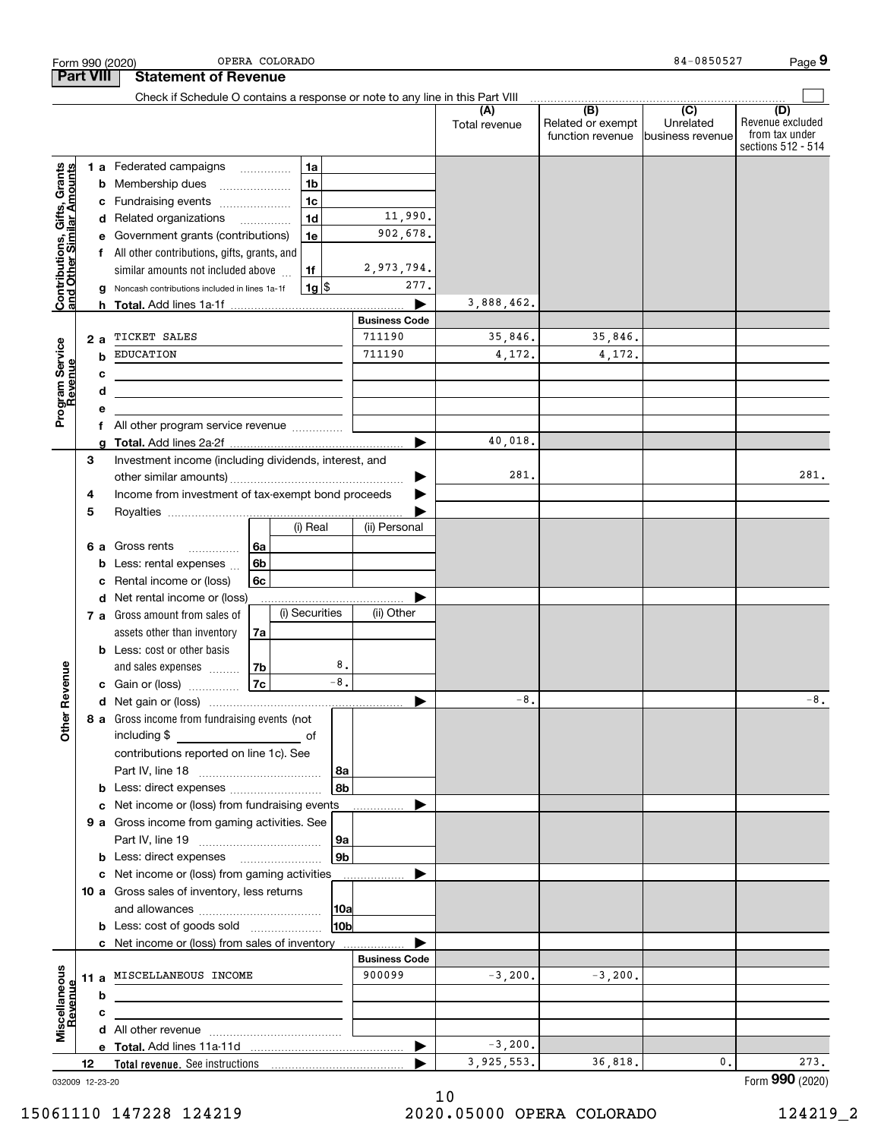|                                                           |                                  | OPERA COLORADO<br>Form 990 (2020)                                                                                                                                                                                                                                                                                                                                                      |                                                                                       |                                 |                                       | 84-0850527                  | Page 9                                    |
|-----------------------------------------------------------|----------------------------------|----------------------------------------------------------------------------------------------------------------------------------------------------------------------------------------------------------------------------------------------------------------------------------------------------------------------------------------------------------------------------------------|---------------------------------------------------------------------------------------|---------------------------------|---------------------------------------|-----------------------------|-------------------------------------------|
|                                                           | <b>Part VIII</b>                 | <b>Statement of Revenue</b>                                                                                                                                                                                                                                                                                                                                                            |                                                                                       |                                 |                                       |                             |                                           |
|                                                           |                                  | Check if Schedule O contains a response or note to any line in this Part VIII                                                                                                                                                                                                                                                                                                          |                                                                                       | (A)<br>Total revenue            | (B)<br>Related or exempt              | $\overline{C}$<br>Unrelated | (D)<br>Revenue excluded<br>from tax under |
| Contributions, Gifts, Grants<br>and Other Similar Amounts | b<br>c<br>d<br>е<br>g<br>2a<br>b | 1a<br>1 a Federated campaigns<br>1 <sub>b</sub><br>Membership dues<br>1 <sub>c</sub><br>Fundraising events<br>1 <sub>d</sub><br>Related organizations<br>1e<br>Government grants (contributions)<br>f All other contributions, gifts, grants, and<br>similar amounts not included above<br>1f<br>$1g$ \$<br>Noncash contributions included in lines 1a-1f<br>TICKET SALES<br>EDUCATION | 11,990.<br>902,678.<br>2,973,794.<br>277.<br><b>Business Code</b><br>711190<br>711190 | 3,888,462.<br>35,846.<br>4,172. | function revenue<br>35,846.<br>4,172. | lbusiness revenue           | sections 512 - 514                        |
| Program Service<br>Revenue                                | c<br>d<br>e<br>f<br>g            | All other program service revenue                                                                                                                                                                                                                                                                                                                                                      |                                                                                       | 40,018.                         |                                       |                             |                                           |
|                                                           | 3<br>4<br>5                      | Investment income (including dividends, interest, and<br>Income from investment of tax-exempt bond proceeds<br>(i) Real                                                                                                                                                                                                                                                                | (ii) Personal                                                                         | 281.                            |                                       |                             | 281.                                      |
|                                                           | 6а<br>b<br>c<br>d                | Gross rents<br>6a<br>.<br>6 <sub>b</sub><br>Less: rental expenses<br>6c<br>Rental income or (loss)<br>Net rental income or (loss)                                                                                                                                                                                                                                                      |                                                                                       |                                 |                                       |                             |                                           |
|                                                           |                                  | (i) Securities<br>7 a Gross amount from sales of<br>assets other than inventory<br>7a<br><b>b</b> Less: cost or other basis<br>8.<br>and sales expenses<br>7b                                                                                                                                                                                                                          | (ii) Other                                                                            |                                 |                                       |                             |                                           |
| auneve<br>Other <sub>R</sub>                              |                                  | $-8$ .<br>7c<br>c Gain or (loss)<br>8 a Gross income from fundraising events (not<br>including \$<br>of<br>contributions reported on line 1c). See                                                                                                                                                                                                                                     |                                                                                       | $-8$ .                          |                                       |                             | - ŏ.                                      |
|                                                           | с                                | 8a<br>8b<br><b>b</b> Less: direct expenses<br>Net income or (loss) from fundraising events<br>9 a Gross income from gaming activities. See<br>9a<br>9 <sub>b</sub>                                                                                                                                                                                                                     |                                                                                       |                                 |                                       |                             |                                           |
|                                                           | с                                | Net income or (loss) from gaming activities ______________<br>10 a Gross sales of inventory, less returns<br> 10a<br>10b<br><b>b</b> Less: cost of goods sold                                                                                                                                                                                                                          |                                                                                       |                                 |                                       |                             |                                           |
| Miscellaneous<br>Revenue                                  | 11a<br>b<br>c                    | c Net income or (loss) from sales of inventory<br>MISCELLANEOUS INCOME                                                                                                                                                                                                                                                                                                                 | <b>Business Code</b><br>900099                                                        | $-3,200.$                       | $-3,200.$                             |                             |                                           |
|                                                           | 12                               |                                                                                                                                                                                                                                                                                                                                                                                        | ▶                                                                                     | $-3,200.$<br>3,925,553.         | 36,818.                               | 0.                          | 273.                                      |

032009 12-23-20

Form (2020) **990**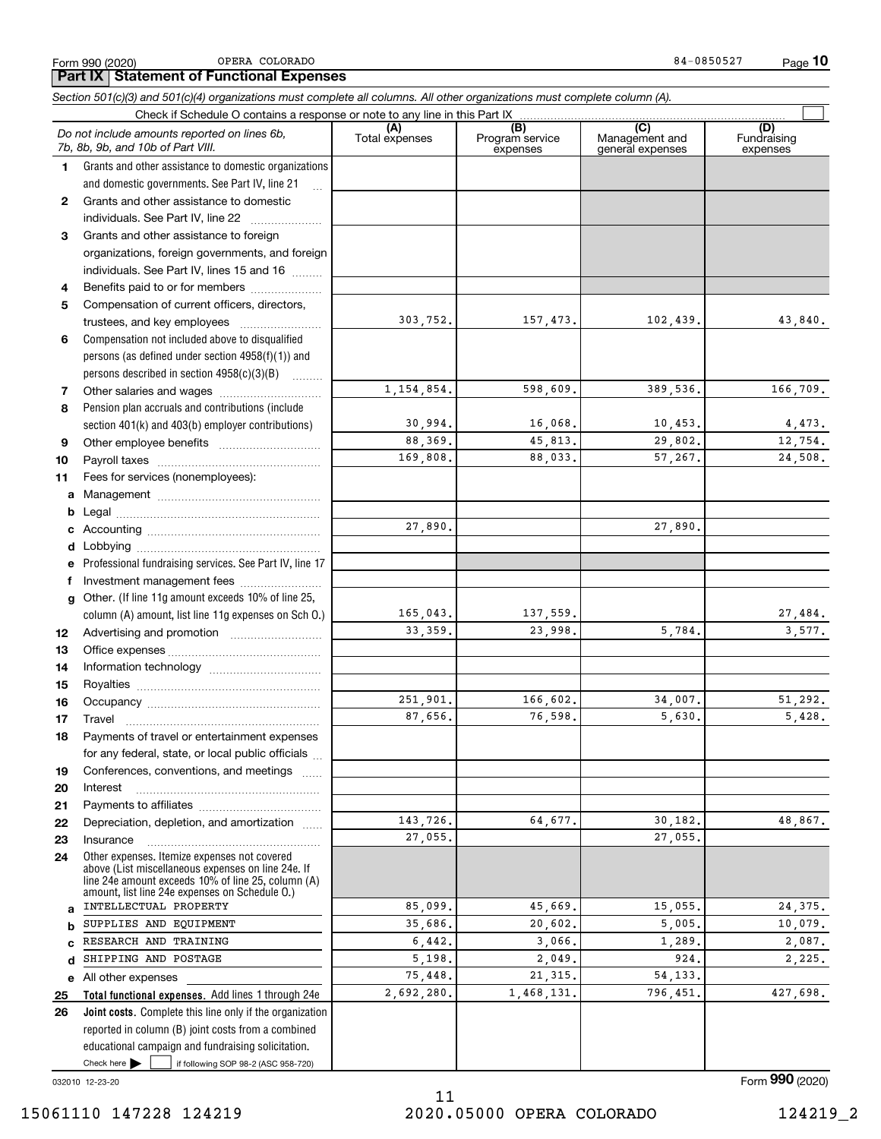Form 990 (2020) OPERA COLORADO 84-0850527 OPERA COLORADO

*Section 501(c)(3) and 501(c)(4) organizations must complete all columns. All other organizations must complete column (A).*

|              | Do not include amounts reported on lines 6b,<br>7b, 8b, 9b, and 10b of Part VIII.                        | (A)<br>Total expenses | (B)<br>Program service<br>expenses | (C)<br>Management and<br>general expenses | (D)<br>Fundraising<br>expenses |
|--------------|----------------------------------------------------------------------------------------------------------|-----------------------|------------------------------------|-------------------------------------------|--------------------------------|
| 1.           | Grants and other assistance to domestic organizations                                                    |                       |                                    |                                           |                                |
|              | and domestic governments. See Part IV, line 21                                                           |                       |                                    |                                           |                                |
| $\mathbf{2}$ | Grants and other assistance to domestic                                                                  |                       |                                    |                                           |                                |
|              | individuals. See Part IV, line 22                                                                        |                       |                                    |                                           |                                |
| 3            | Grants and other assistance to foreign                                                                   |                       |                                    |                                           |                                |
|              | organizations, foreign governments, and foreign                                                          |                       |                                    |                                           |                                |
|              | individuals. See Part IV, lines 15 and 16                                                                |                       |                                    |                                           |                                |
| 4            | Benefits paid to or for members                                                                          |                       |                                    |                                           |                                |
| 5            | Compensation of current officers, directors,                                                             |                       |                                    |                                           |                                |
|              |                                                                                                          | 303,752.              | 157,473.                           | 102,439.                                  | 43,840.                        |
| 6            | Compensation not included above to disqualified                                                          |                       |                                    |                                           |                                |
|              | persons (as defined under section $4958(f)(1)$ ) and                                                     |                       |                                    |                                           |                                |
|              | persons described in section 4958(c)(3)(B)                                                               |                       |                                    |                                           |                                |
| 7            |                                                                                                          | 1, 154, 854.          | 598,609.                           | 389,536.                                  | 166,709.                       |
| 8            | Pension plan accruals and contributions (include                                                         |                       |                                    |                                           |                                |
|              | section 401(k) and 403(b) employer contributions)                                                        | 30,994.               | 16,068.                            | 10,453.                                   | 4,473.                         |
| 9            |                                                                                                          | 88,369.               | 45,813.                            | 29,802.                                   | 12,754.                        |
| 10           |                                                                                                          | 169,808.              | 88,033.                            | 57.267.                                   | 24,508.                        |
| 11           | Fees for services (nonemployees):                                                                        |                       |                                    |                                           |                                |
| a            |                                                                                                          |                       |                                    |                                           |                                |
| b            |                                                                                                          |                       |                                    |                                           |                                |
| c            |                                                                                                          | 27,890.               |                                    | 27,890.                                   |                                |
| d            |                                                                                                          |                       |                                    |                                           |                                |
| e            | Professional fundraising services. See Part IV, line 17                                                  |                       |                                    |                                           |                                |
| f            | Investment management fees                                                                               |                       |                                    |                                           |                                |
| $\mathbf{q}$ | Other. (If line 11g amount exceeds 10% of line 25,                                                       |                       |                                    |                                           |                                |
|              | column (A) amount, list line 11g expenses on Sch O.)                                                     | 165,043.              | 137,559.                           |                                           | 27,484.                        |
| 12           |                                                                                                          | 33, 359.              | 23,998.                            | 5,784.                                    | 3,577.                         |
| 13           |                                                                                                          |                       |                                    |                                           |                                |
| 14           |                                                                                                          |                       |                                    |                                           |                                |
| 15           |                                                                                                          |                       |                                    |                                           |                                |
| 16           |                                                                                                          | 251,901.              | 166,602.                           | 34,007.                                   | 51,292.                        |
| 17           | Travel                                                                                                   | 87,656.               | 76,598.                            | 5,630.                                    | 5,428.                         |
| 18           | Payments of travel or entertainment expenses                                                             |                       |                                    |                                           |                                |
|              | for any federal, state, or local public officials                                                        |                       |                                    |                                           |                                |
| 19           | Conferences, conventions, and meetings                                                                   |                       |                                    |                                           |                                |
| 20           | Interest                                                                                                 |                       |                                    |                                           |                                |
| 21           |                                                                                                          |                       |                                    |                                           |                                |
| 22           | Depreciation, depletion, and amortization                                                                | 143,726.              | 64,677.                            | 30,182.                                   | 48,867.                        |
| 23           | Insurance                                                                                                | 27,055.               |                                    | 27,055.                                   |                                |
| 24           | Other expenses. Itemize expenses not covered                                                             |                       |                                    |                                           |                                |
|              | above (List miscellaneous expenses on line 24e. If<br>line 24e amount exceeds 10% of line 25, column (A) |                       |                                    |                                           |                                |
|              | amount, list line 24e expenses on Schedule 0.)                                                           |                       |                                    |                                           |                                |
| a            | INTELLECTUAL PROPERTY                                                                                    | 85,099.               | 45,669.                            | 15,055.                                   | 24, 375.                       |
| b            | SUPPLIES AND EQUIPMENT                                                                                   | 35,686.               | 20,602.                            | 5,005.                                    | 10,079.                        |
| C            | RESEARCH AND TRAINING                                                                                    | 6,442.                | 3,066.                             | 1,289.                                    | 2,087.                         |
| d            | SHIPPING AND POSTAGE                                                                                     | 5,198.                | 2,049.                             | 924.                                      | 2,225.                         |
| е            | All other expenses                                                                                       | 75,448.               | 21, 315.                           | 54, 133.                                  |                                |
| 25           | Total functional expenses. Add lines 1 through 24e                                                       | 2,692,280.            | 1,468,131.                         | 796,451.                                  | 427,698.                       |
| 26           | <b>Joint costs.</b> Complete this line only if the organization                                          |                       |                                    |                                           |                                |
|              | reported in column (B) joint costs from a combined                                                       |                       |                                    |                                           |                                |
|              | educational campaign and fundraising solicitation.                                                       |                       |                                    |                                           |                                |
|              | Check here $\blacktriangleright$<br>if following SOP 98-2 (ASC 958-720)                                  |                       |                                    |                                           |                                |

032010 12-23-20

Form (2020) **990**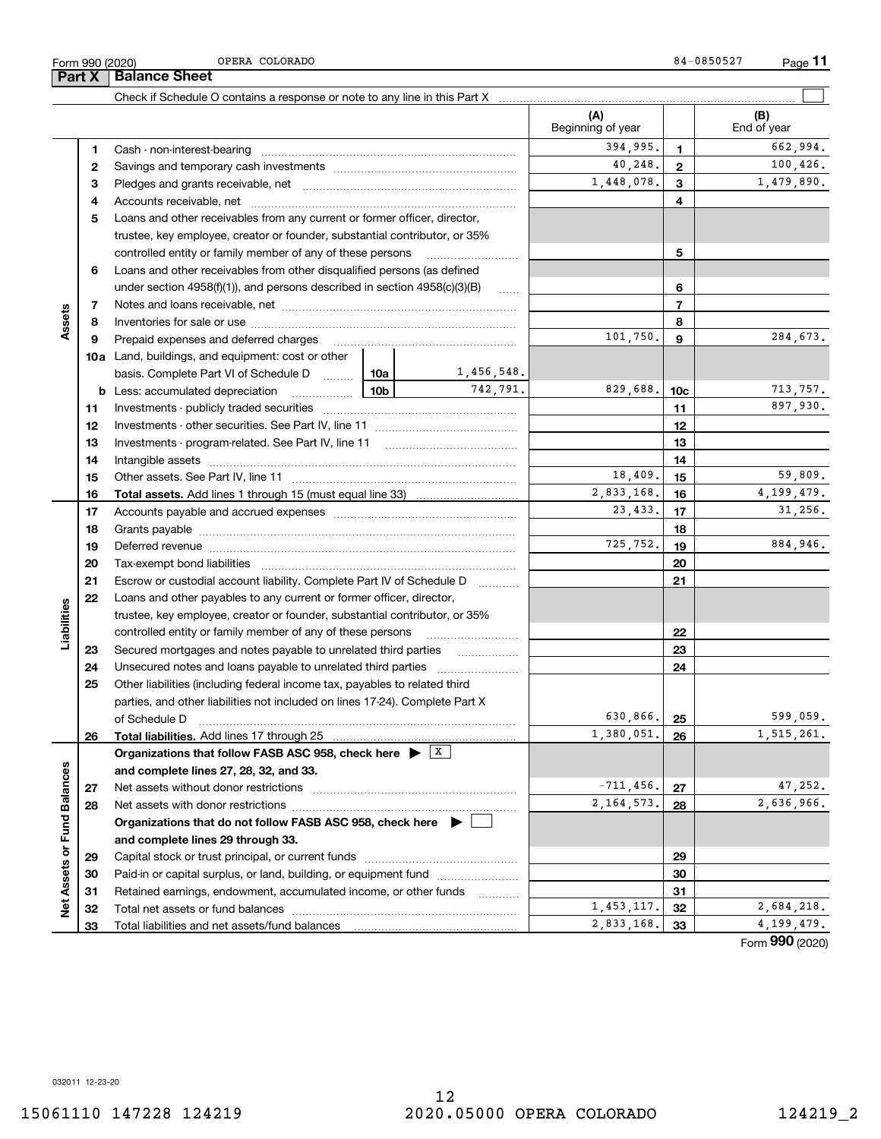**Part X Balance Sheet**

|                             |    |                                                                                                               |          |                   | (A)<br>Beginning of year |                | (B)<br>End of year |
|-----------------------------|----|---------------------------------------------------------------------------------------------------------------|----------|-------------------|--------------------------|----------------|--------------------|
|                             | 1  |                                                                                                               |          |                   | 394,995.                 | $\mathbf{1}$   | 662,994.           |
|                             | 2  |                                                                                                               |          |                   | 40,248.                  | $\overline{2}$ | 100,426.           |
|                             | 3  |                                                                                                               |          |                   | 1,448,078.               | 3              | 1,479,890.         |
|                             | 4  |                                                                                                               |          |                   |                          | 4              |                    |
|                             | 5  | Loans and other receivables from any current or former officer, director,                                     |          |                   |                          |                |                    |
|                             |    | trustee, key employee, creator or founder, substantial contributor, or 35%                                    |          |                   |                          |                |                    |
|                             |    | controlled entity or family member of any of these persons                                                    |          | 5                 |                          |                |                    |
|                             | 6  | Loans and other receivables from other disqualified persons (as defined                                       |          |                   |                          |                |                    |
|                             |    | under section $4958(f)(1)$ , and persons described in section $4958(c)(3)(B)$                                 |          | $\ldots$          |                          | 6              |                    |
|                             | 7  |                                                                                                               |          |                   |                          | $\overline{7}$ |                    |
| Assets                      | 8  |                                                                                                               |          |                   |                          | 8              |                    |
|                             | 9  | Prepaid expenses and deferred charges                                                                         |          |                   | 101,750.                 | 9              | 284,673.           |
|                             |    | <b>10a</b> Land, buildings, and equipment: cost or other                                                      |          |                   |                          |                |                    |
|                             |    | basis. Complete Part VI of Schedule D  10a                                                                    |          | 1,456,548.        |                          |                |                    |
|                             |    | <b>b</b> Less: accumulated depreciation                                                                       | 742,791. | 829,688.          | 10c                      | 713,757.       |                    |
|                             | 11 |                                                                                                               |          |                   | 11                       | 897,930.       |                    |
|                             | 12 |                                                                                                               |          |                   | 12                       |                |                    |
|                             | 13 |                                                                                                               |          |                   |                          | 13             |                    |
|                             | 14 |                                                                                                               |          | 14                |                          |                |                    |
|                             | 15 |                                                                                                               | 18,409.  | 15                | 59,809.                  |                |                    |
|                             | 16 |                                                                                                               |          |                   | 2,833,168.               | 16             | 4, 199, 479.       |
|                             | 17 |                                                                                                               |          |                   | 23,433.                  | 17             | 31,256.            |
|                             | 18 |                                                                                                               |          | 18                |                          |                |                    |
|                             | 19 |                                                                                                               |          |                   | 725,752.                 | 19             | 884,946.           |
|                             | 20 |                                                                                                               |          |                   |                          | 20             |                    |
|                             | 21 | Escrow or custodial account liability. Complete Part IV of Schedule D                                         |          | 1.1.1.1.1.1.1.1.1 |                          | 21             |                    |
|                             | 22 | Loans and other payables to any current or former officer, director,                                          |          |                   |                          |                |                    |
| Liabilities                 |    | trustee, key employee, creator or founder, substantial contributor, or 35%                                    |          |                   |                          |                |                    |
|                             |    | controlled entity or family member of any of these persons                                                    |          |                   |                          | 22             |                    |
|                             | 23 | Secured mortgages and notes payable to unrelated third parties                                                |          |                   |                          | 23             |                    |
|                             | 24 | Unsecured notes and loans payable to unrelated third parties                                                  |          |                   |                          | 24             |                    |
|                             | 25 | Other liabilities (including federal income tax, payables to related third                                    |          |                   |                          |                |                    |
|                             |    | parties, and other liabilities not included on lines 17-24). Complete Part X                                  |          |                   |                          |                |                    |
|                             |    | of Schedule D                                                                                                 |          |                   | 630,866.                 | 25             | 599,059.           |
|                             | 26 | Total liabilities. Add lines 17 through 25                                                                    |          |                   | 1,380,051.               | 26             | 1,515,261.         |
|                             |    | Organizations that follow FASB ASC 958, check here $\blacktriangleright \begin{array}{c} \perp X \end{array}$ |          |                   |                          |                |                    |
|                             |    | and complete lines 27, 28, 32, and 33.                                                                        |          |                   |                          |                |                    |
|                             | 27 |                                                                                                               |          |                   | $-711, 456.$             | 27             | 47,252.            |
|                             | 28 |                                                                                                               |          |                   | 2, 164, 573.             | 28             | 2,636,966.         |
|                             |    | Organizations that do not follow FASB ASC 958, check here $\blacktriangleright$                               |          |                   |                          |                |                    |
|                             |    | and complete lines 29 through 33.                                                                             |          |                   |                          |                |                    |
|                             | 29 |                                                                                                               |          |                   |                          | 29             |                    |
|                             | 30 | Paid-in or capital surplus, or land, building, or equipment fund                                              |          |                   |                          | 30             |                    |
| Net Assets or Fund Balances | 31 | Retained earnings, endowment, accumulated income, or other funds                                              |          |                   |                          | 31             |                    |
|                             | 32 |                                                                                                               |          |                   | 1,453,117.               | 32             | 2,684,218.         |
|                             | 33 |                                                                                                               |          |                   | 2,833,168.               | 33             | 4,199,479.         |

Form (2020) **990**

032011 12-23-20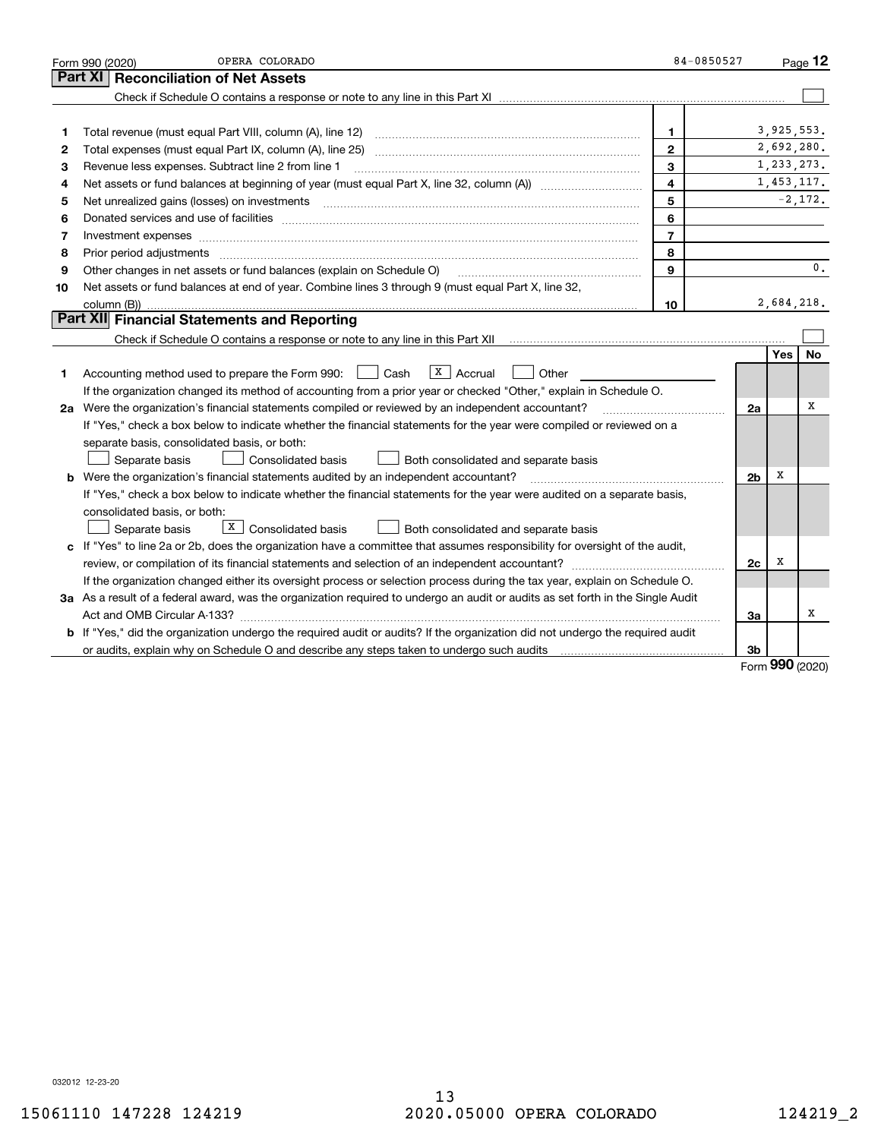|    | OPERA COLORADO<br>Form 990 (2020)                                                                                                                                                                                              | 84-0850527     |                |            | $P_{\text{aqe}}$ 12 |
|----|--------------------------------------------------------------------------------------------------------------------------------------------------------------------------------------------------------------------------------|----------------|----------------|------------|---------------------|
|    | Part XI<br><b>Reconciliation of Net Assets</b>                                                                                                                                                                                 |                |                |            |                     |
|    |                                                                                                                                                                                                                                |                |                |            |                     |
|    |                                                                                                                                                                                                                                |                |                |            |                     |
| 1  | Total revenue (must equal Part VIII, column (A), line 12)                                                                                                                                                                      | 1              |                |            | 3,925,553.          |
| 2  |                                                                                                                                                                                                                                | $\mathbf{2}$   |                |            | 2,692,280.          |
| з  | Revenue less expenses. Subtract line 2 from line 1                                                                                                                                                                             | 3              |                |            | 1,233,273.          |
| 4  |                                                                                                                                                                                                                                | 4              |                |            | 1,453,117.          |
| 5  |                                                                                                                                                                                                                                | 5              |                |            | $-2,172.$           |
| 6  | Donated services and use of facilities [111] Donated and the service of facilities [11] Donated services and use of facilities [11] Donated and the service of the service of the service of the service of the service of the | 6              |                |            |                     |
| 7  | Investment expenses www.communication.communication.com/www.communication.com/www.communication.com                                                                                                                            | $\overline{7}$ |                |            |                     |
| 8  | Prior period adjustments                                                                                                                                                                                                       | 8              |                |            |                     |
| 9  | Other changes in net assets or fund balances (explain on Schedule O)                                                                                                                                                           | $\mathbf{Q}$   |                |            | 0.                  |
| 10 | Net assets or fund balances at end of year. Combine lines 3 through 9 (must equal Part X, line 32,                                                                                                                             |                |                |            |                     |
|    | column (B))                                                                                                                                                                                                                    | 10             |                |            | 2,684,218.          |
|    | Part XII Financial Statements and Reporting                                                                                                                                                                                    |                |                |            |                     |
|    | Check if Schedule O contains a response or note to any line in this Part XII [11] [12] Check if Schedule O contains a response or note to any line in this Part XII                                                            |                |                |            |                     |
|    |                                                                                                                                                                                                                                |                |                | <b>Yes</b> | No                  |
| 1. | $X \mid \text{Accrual}$<br>Accounting method used to prepare the Form 990: <u>I</u> Cash<br>Other                                                                                                                              |                |                |            |                     |
|    | If the organization changed its method of accounting from a prior year or checked "Other," explain in Schedule O.                                                                                                              |                |                |            |                     |
|    | 2a Were the organization's financial statements compiled or reviewed by an independent accountant?                                                                                                                             |                | 2a             |            | X                   |
|    | If "Yes," check a box below to indicate whether the financial statements for the year were compiled or reviewed on a                                                                                                           |                |                |            |                     |
|    | separate basis, consolidated basis, or both:                                                                                                                                                                                   |                |                |            |                     |
|    | Separate basis<br><b>Consolidated basis</b><br>Both consolidated and separate basis                                                                                                                                            |                |                |            |                     |
|    | <b>b</b> Were the organization's financial statements audited by an independent accountant?                                                                                                                                    |                | 2 <sub>b</sub> | х          |                     |
|    | If "Yes," check a box below to indicate whether the financial statements for the year were audited on a separate basis,                                                                                                        |                |                |            |                     |
|    | consolidated basis, or both:                                                                                                                                                                                                   |                |                |            |                     |
|    | $X$ Consolidated basis<br>Separate basis<br>Both consolidated and separate basis                                                                                                                                               |                |                |            |                     |
|    | c If "Yes" to line 2a or 2b, does the organization have a committee that assumes responsibility for oversight of the audit,                                                                                                    |                |                |            |                     |
|    | review, or compilation of its financial statements and selection of an independent accountant?                                                                                                                                 |                | 2c             | х          |                     |
|    | If the organization changed either its oversight process or selection process during the tax year, explain on Schedule O.                                                                                                      |                |                |            |                     |
|    | 3a As a result of a federal award, was the organization required to undergo an audit or audits as set forth in the Single Audit                                                                                                |                |                |            |                     |
|    |                                                                                                                                                                                                                                |                | За             |            | х                   |
|    | b If "Yes," did the organization undergo the required audit or audits? If the organization did not undergo the required audit                                                                                                  |                |                |            |                     |
|    | or audits, explain why on Schedule O and describe any steps taken to undergo such audits                                                                                                                                       |                | 3b             | nnn        |                     |

Form (2020) **990**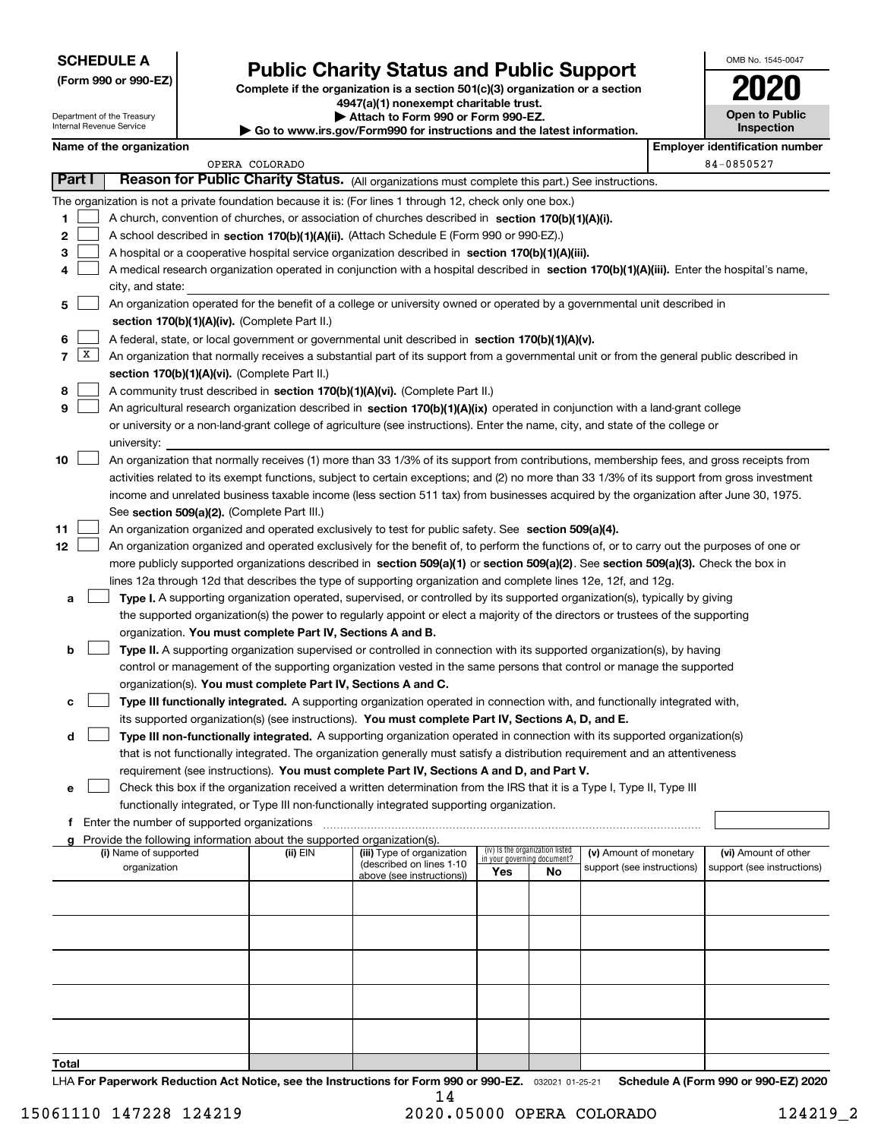#### **SCHEDULE A**

**(Form 990 or 990-EZ)**

## Department of the Treasury

Internal Revenue Service

# **Public Charity Status and Public Support**

**Complete if the organization is a section 501(c)(3) organization or a section 4947(a)(1) nonexempt charitable trust. | Attach to Form 990 or Form 990-EZ. | Go to www.irs.gov/Form990 for instructions and the latest information.**

| I                                   |
|-------------------------------------|
| <b>Open to Public</b><br>Inspection |
|                                     |

OMB No. 1545-0047

|               | Name of the organization                                                                                                                                                                                                                                                                                                                                                                                                                                                                                                                                                                                                                                                                                                                                                     |                | ad to www.morgown ormood for modiablionid and the ratest imprimation.               |                                                                       |    |                                                      | <b>Employer identification number</b>              |
|---------------|------------------------------------------------------------------------------------------------------------------------------------------------------------------------------------------------------------------------------------------------------------------------------------------------------------------------------------------------------------------------------------------------------------------------------------------------------------------------------------------------------------------------------------------------------------------------------------------------------------------------------------------------------------------------------------------------------------------------------------------------------------------------------|----------------|-------------------------------------------------------------------------------------|-----------------------------------------------------------------------|----|------------------------------------------------------|----------------------------------------------------|
|               |                                                                                                                                                                                                                                                                                                                                                                                                                                                                                                                                                                                                                                                                                                                                                                              | OPERA COLORADO |                                                                                     |                                                                       |    |                                                      | 84-0850527                                         |
| Part I        | Reason for Public Charity Status. (All organizations must complete this part.) See instructions.                                                                                                                                                                                                                                                                                                                                                                                                                                                                                                                                                                                                                                                                             |                |                                                                                     |                                                                       |    |                                                      |                                                    |
| 1<br>2<br>3   | The organization is not a private foundation because it is: (For lines 1 through 12, check only one box.)<br>A church, convention of churches, or association of churches described in section 170(b)(1)(A)(i).<br>A school described in section 170(b)(1)(A)(ii). (Attach Schedule E (Form 990 or 990-EZ).)<br>A hospital or a cooperative hospital service organization described in section 170(b)(1)(A)(iii).                                                                                                                                                                                                                                                                                                                                                            |                |                                                                                     |                                                                       |    |                                                      |                                                    |
| 4             | A medical research organization operated in conjunction with a hospital described in section 170(b)(1)(A)(iii). Enter the hospital's name,<br>city, and state:                                                                                                                                                                                                                                                                                                                                                                                                                                                                                                                                                                                                               |                |                                                                                     |                                                                       |    |                                                      |                                                    |
| 5             | An organization operated for the benefit of a college or university owned or operated by a governmental unit described in<br>section 170(b)(1)(A)(iv). (Complete Part II.)                                                                                                                                                                                                                                                                                                                                                                                                                                                                                                                                                                                                   |                |                                                                                     |                                                                       |    |                                                      |                                                    |
| 6<br>7        | A federal, state, or local government or governmental unit described in section 170(b)(1)(A)(v).<br>X<br>An organization that normally receives a substantial part of its support from a governmental unit or from the general public described in<br>section 170(b)(1)(A)(vi). (Complete Part II.)                                                                                                                                                                                                                                                                                                                                                                                                                                                                          |                |                                                                                     |                                                                       |    |                                                      |                                                    |
| 8<br>9        | A community trust described in section 170(b)(1)(A)(vi). (Complete Part II.)<br>An agricultural research organization described in section 170(b)(1)(A)(ix) operated in conjunction with a land-grant college<br>or university or a non-land-grant college of agriculture (see instructions). Enter the name, city, and state of the college or<br>university:                                                                                                                                                                                                                                                                                                                                                                                                               |                |                                                                                     |                                                                       |    |                                                      |                                                    |
| 10            | An organization that normally receives (1) more than 33 1/3% of its support from contributions, membership fees, and gross receipts from<br>activities related to its exempt functions, subject to certain exceptions; and (2) no more than 33 1/3% of its support from gross investment<br>income and unrelated business taxable income (less section 511 tax) from businesses acquired by the organization after June 30, 1975.<br>See section 509(a)(2). (Complete Part III.)                                                                                                                                                                                                                                                                                             |                |                                                                                     |                                                                       |    |                                                      |                                                    |
| 11<br>12<br>a | An organization organized and operated exclusively to test for public safety. See section 509(a)(4).<br>An organization organized and operated exclusively for the benefit of, to perform the functions of, or to carry out the purposes of one or<br>more publicly supported organizations described in section 509(a)(1) or section 509(a)(2). See section 509(a)(3). Check the box in<br>lines 12a through 12d that describes the type of supporting organization and complete lines 12e, 12f, and 12g.<br>Type I. A supporting organization operated, supervised, or controlled by its supported organization(s), typically by giving<br>the supported organization(s) the power to regularly appoint or elect a majority of the directors or trustees of the supporting |                |                                                                                     |                                                                       |    |                                                      |                                                    |
| b             | organization. You must complete Part IV, Sections A and B.<br>Type II. A supporting organization supervised or controlled in connection with its supported organization(s), by having<br>control or management of the supporting organization vested in the same persons that control or manage the supported<br>organization(s). You must complete Part IV, Sections A and C.                                                                                                                                                                                                                                                                                                                                                                                               |                |                                                                                     |                                                                       |    |                                                      |                                                    |
| c             | Type III functionally integrated. A supporting organization operated in connection with, and functionally integrated with,<br>its supported organization(s) (see instructions). You must complete Part IV, Sections A, D, and E.                                                                                                                                                                                                                                                                                                                                                                                                                                                                                                                                             |                |                                                                                     |                                                                       |    |                                                      |                                                    |
| d<br>е        | Type III non-functionally integrated. A supporting organization operated in connection with its supported organization(s)<br>that is not functionally integrated. The organization generally must satisfy a distribution requirement and an attentiveness<br>requirement (see instructions). You must complete Part IV, Sections A and D, and Part V.<br>Check this box if the organization received a written determination from the IRS that it is a Type I, Type II, Type III                                                                                                                                                                                                                                                                                             |                |                                                                                     |                                                                       |    |                                                      |                                                    |
| f             | functionally integrated, or Type III non-functionally integrated supporting organization.<br>Enter the number of supported organizations                                                                                                                                                                                                                                                                                                                                                                                                                                                                                                                                                                                                                                     |                |                                                                                     |                                                                       |    |                                                      |                                                    |
| g             | Provide the following information about the supported organization(s).                                                                                                                                                                                                                                                                                                                                                                                                                                                                                                                                                                                                                                                                                                       |                |                                                                                     |                                                                       |    |                                                      |                                                    |
|               | (i) Name of supported<br>organization                                                                                                                                                                                                                                                                                                                                                                                                                                                                                                                                                                                                                                                                                                                                        | (ii) EIN       | (iii) Type of organization<br>(described on lines 1-10<br>above (see instructions)) | (iv) Is the organization listed<br>in your governing document?<br>Yes | No | (v) Amount of monetary<br>support (see instructions) | (vi) Amount of other<br>support (see instructions) |
|               |                                                                                                                                                                                                                                                                                                                                                                                                                                                                                                                                                                                                                                                                                                                                                                              |                |                                                                                     |                                                                       |    |                                                      |                                                    |
|               |                                                                                                                                                                                                                                                                                                                                                                                                                                                                                                                                                                                                                                                                                                                                                                              |                |                                                                                     |                                                                       |    |                                                      |                                                    |
|               |                                                                                                                                                                                                                                                                                                                                                                                                                                                                                                                                                                                                                                                                                                                                                                              |                |                                                                                     |                                                                       |    |                                                      |                                                    |
|               |                                                                                                                                                                                                                                                                                                                                                                                                                                                                                                                                                                                                                                                                                                                                                                              |                |                                                                                     |                                                                       |    |                                                      |                                                    |
|               |                                                                                                                                                                                                                                                                                                                                                                                                                                                                                                                                                                                                                                                                                                                                                                              |                |                                                                                     |                                                                       |    |                                                      |                                                    |
| Total         |                                                                                                                                                                                                                                                                                                                                                                                                                                                                                                                                                                                                                                                                                                                                                                              |                |                                                                                     |                                                                       |    |                                                      |                                                    |

LHA For Paperwork Reduction Act Notice, see the Instructions for Form 990 or 990-EZ. <sub>032021</sub> o1-25-21 Schedule A (Form 990 or 990-EZ) 2020 14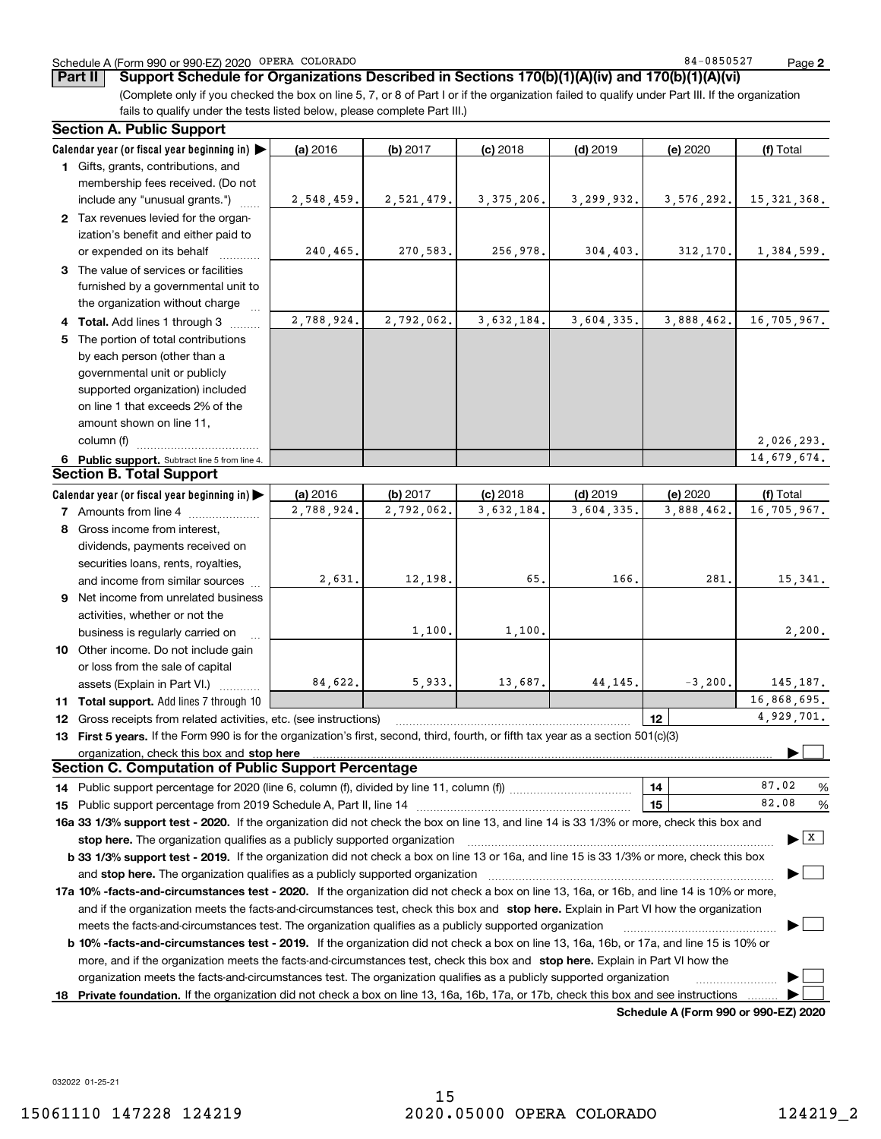#### Schedule A (Form 990 or 990-EZ) 2020 Page OPERA COLORADO 84-0850527

**Part II Support Schedule for Organizations Described in Sections 170(b)(1)(A)(iv) and 170(b)(1)(A)(vi)**

(Complete only if you checked the box on line 5, 7, or 8 of Part I or if the organization failed to qualify under Part III. If the organization fails to qualify under the tests listed below, please complete Part III.)

#### **6** Public support. Subtract line 5 from line 4. **Calendar year (or fiscal year beginning in)**  | **Calendar year (or fiscal year beginning in) | (a)** 2016 **| (b)** 2017 **| (c)** 2018 **| (d)** 2019 **| (e)** 2020 **| (f) 1**Gifts, grants, contributions, and **2**Tax revenues levied for the organ-**3**The value of services or facilities **4 Total.** Add lines 1 through 3  $\quad$ **5** The portion of total contributions **(a)** 2016 **(b)** 2017 **(c)** 2018 **(d)** 2019 **(e)** 2020 **(f)** Total **7** Amounts from line 4  $\ldots$  **Amounts 8**Gross income from interest, **9** Net income from unrelated business **10** Other income. Do not include gain **11Total support.**  Add lines 7 through 10 **12**Gross receipts from related activities, etc. (see instructions) ~~~~~~~~~~~~~~~~~~~~~~~ **13First 5 years.**  If the Form 990 is for the organization's first, second, third, fourth, or fifth tax year as a section 501(c)(3) **12stop here** organization, check this box and | **141514** Public support percentage for 2020 (line 6, column (f), divided by line 11, column (f))  $\ldots$  $\ldots$  $\ldots$  $\ldots$  $\ldots$  $\ldots$ **15** Public support percentage from 2019 Schedule A, Part II, line 14 ~~~~~~~~~~~~~~~~~~~~~**16a 33 1/3% support test - 2020.** If the organization did not check the box on line 13, and line 14 is 33 1/3% or more, check this box and **17a10% -facts-and-circumstances test - 2020.**  If the organization did not check a box on line 13, 16a, or 16b, and line 14 is 10% or more, 18 Private foundation. If the organization did not check a box on line 13, 16a, 16b, 17a, or 17b, check this box and see instructions ......... **b** 33 1/3% support test - 2019. If the organization did not check a box on line 13 or 16a, and line 15 is 33 1/3% or more, check this box **b 10% -facts-and-circumstances test - 2019.** If the organization did not check a box on line 13, 16a, 16b, or 17a, and line 15 is 10% or **stop here.**  The organization qualifies as a publicly supported organization ~~~~~~~~~~~~~~~~~~~~~~~~~~~~~~ | **stop here.**  and The organization qualifies as a publicly supported organization ~~~~~~~~~~~~~~~~~~~~~~~~~~~~ | and if the organization meets the facts-and-circumstances test, check this box and **stop here.** Explain in Part VI how the organization more, and if the organization meets the facts-and-circumstances test, check this box and **stop here.** Explain in Part VI how the (a) 2016 16 **| (b)** 2017 **| (c)** 2018 **| (d)** 2019 **| (e)** 2020 **| (f)** Total membership fees received. (Do not include any "unusual grants.") ization's benefit and either paid to or expended on its behalf ~~~~furnished by a governmental unit to the organization without charge by each person (other than a governmental unit or publicly supported organization) included on line 1 that exceeds 2% of the amount shown on line 11, column (f) <sub>……………………………</sub>… (a) 2016 dividends, payments received on securities loans, rents, royalties, and income from similar sources activities, whether or not the business is regularly carried on <sup>~</sup> or loss from the sale of capital assets (Explain in Part VI.) ....... % $\sim$  15 | 82.08 % meets the facts-and-circumstances test. The organization qualifies as a publicly supported organization ~~~~~~~~~~~~~~~ | organization meets the facts-and-circumstances test. The organization qualifies as a publicly supported organization **Section A. Public Support Section B. Total Support Section C. Computation of Public Support Percentage**  $\mathcal{L}^{\text{max}}$  $\boxed{\mathbf{X}}$  $\mathcal{L}^{\text{max}}$  $\mathcal{L}^{\text{max}}$  $\mathcal{L}^{\text{max}}$  $\mathcal{L}^{\text{max}}$ 2,548,459. 240,465. 2,788,924. 2,521,479. 270,583. 2,792,062. 3,375,206. 3,299,932. 3,576,292. 15,321,368. 256,978. 304,403. 312,170. 1,384,599. 3,632,184. 3,604,335. 3,888,462. 16,705,967. 2,026,293. 14,679,674. 2,788,924. 2,792,062. 3,632,184. 3,604,335. 3,888,462. 16,705,967. 2,631. 12,198. 55. 166. 281. 15,341. 1,100. 1,100. 2,200. 84,622.│ 5,933.│ 13,687.│ 44,145.│ −3,200.│ 145,187. 16,868,695. 4,929,701. 87.0282.08

**Schedule A (Form 990 or 990-EZ) 2020**

032022 01-25-21

15 15061110 147228 124219 2020.05000 OPERA COLORADO 124219\_2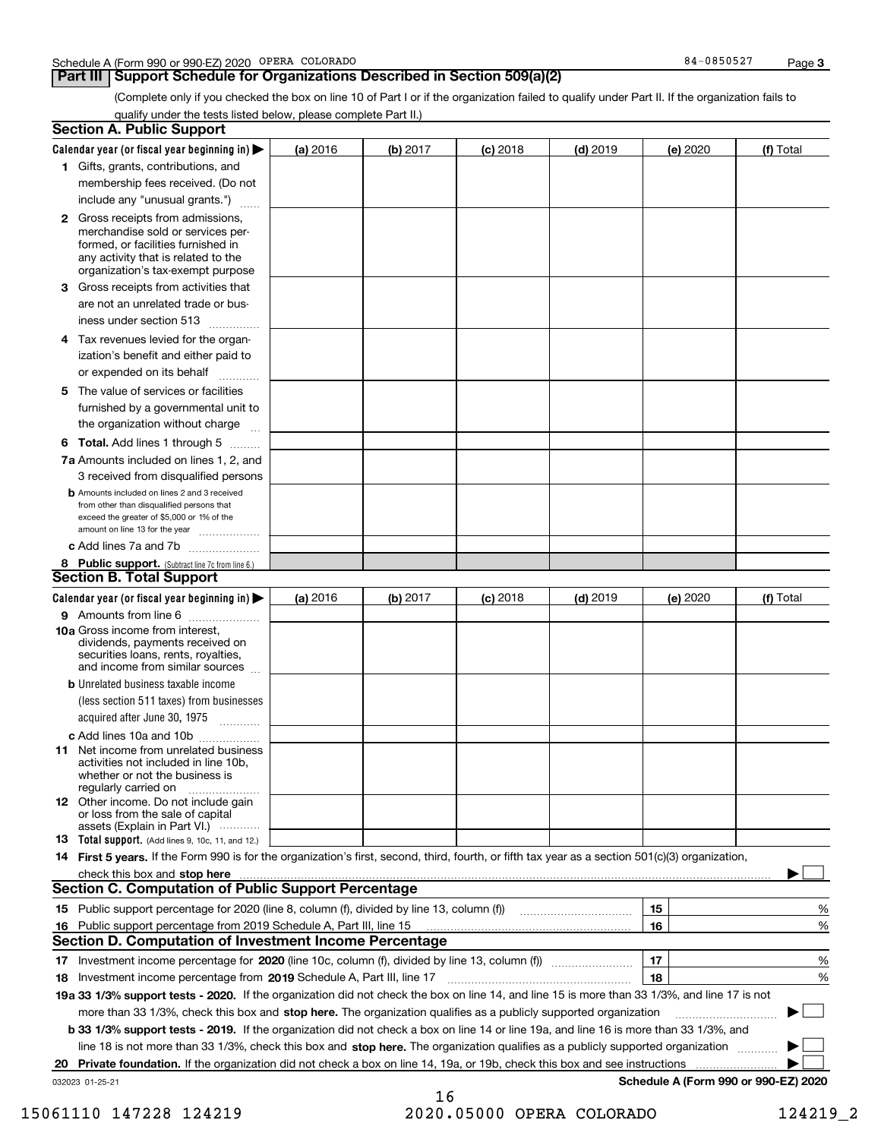#### **Part III Support Schedule for Organizations Described in Section 509(a)(2)**

(Complete only if you checked the box on line 10 of Part I or if the organization failed to qualify under Part II. If the organization fails to qualify under the tests listed below, please complete Part II.)

| <b>Section A. Public Support</b>                                                                                                                                                                                                                                                             |          |          |            |            |                 |                                      |
|----------------------------------------------------------------------------------------------------------------------------------------------------------------------------------------------------------------------------------------------------------------------------------------------|----------|----------|------------|------------|-----------------|--------------------------------------|
| Calendar year (or fiscal year beginning in) $\blacktriangleright$                                                                                                                                                                                                                            | (a) 2016 | (b) 2017 | $(c)$ 2018 | $(d)$ 2019 | <b>(e)</b> 2020 | (f) Total                            |
| 1 Gifts, grants, contributions, and                                                                                                                                                                                                                                                          |          |          |            |            |                 |                                      |
| membership fees received. (Do not                                                                                                                                                                                                                                                            |          |          |            |            |                 |                                      |
| include any "unusual grants.")                                                                                                                                                                                                                                                               |          |          |            |            |                 |                                      |
| <b>2</b> Gross receipts from admissions,<br>merchandise sold or services per-<br>formed, or facilities furnished in<br>any activity that is related to the<br>organization's tax-exempt purpose                                                                                              |          |          |            |            |                 |                                      |
| 3 Gross receipts from activities that<br>are not an unrelated trade or bus-<br>iness under section 513                                                                                                                                                                                       |          |          |            |            |                 |                                      |
| 4 Tax revenues levied for the organ-<br>ization's benefit and either paid to<br>or expended on its behalf                                                                                                                                                                                    |          |          |            |            |                 |                                      |
| 5 The value of services or facilities<br>furnished by a governmental unit to<br>the organization without charge                                                                                                                                                                              |          |          |            |            |                 |                                      |
| <b>6 Total.</b> Add lines 1 through 5                                                                                                                                                                                                                                                        |          |          |            |            |                 |                                      |
| 7a Amounts included on lines 1, 2, and<br>3 received from disqualified persons                                                                                                                                                                                                               |          |          |            |            |                 |                                      |
| <b>b</b> Amounts included on lines 2 and 3 received<br>from other than disqualified persons that<br>exceed the greater of \$5,000 or 1% of the<br>amount on line 13 for the year                                                                                                             |          |          |            |            |                 |                                      |
| c Add lines 7a and 7b                                                                                                                                                                                                                                                                        |          |          |            |            |                 |                                      |
| 8 Public support. (Subtract line 7c from line 6.)<br><b>Section B. Total Support</b>                                                                                                                                                                                                         |          |          |            |            |                 |                                      |
| Calendar year (or fiscal year beginning in) $\blacktriangleright$                                                                                                                                                                                                                            | (a) 2016 | (b) 2017 | $(c)$ 2018 | $(d)$ 2019 | (e) 2020        | (f) Total                            |
| 9 Amounts from line 6                                                                                                                                                                                                                                                                        |          |          |            |            |                 |                                      |
| <b>10a</b> Gross income from interest,<br>dividends, payments received on<br>securities loans, rents, royalties,<br>and income from similar sources                                                                                                                                          |          |          |            |            |                 |                                      |
| <b>b</b> Unrelated business taxable income<br>(less section 511 taxes) from businesses<br>acquired after June 30, 1975                                                                                                                                                                       |          |          |            |            |                 |                                      |
| c Add lines 10a and 10b                                                                                                                                                                                                                                                                      |          |          |            |            |                 |                                      |
| 11 Net income from unrelated business<br>activities not included in line 10b,<br>whether or not the business is<br>regularly carried on                                                                                                                                                      |          |          |            |            |                 |                                      |
| <b>12</b> Other income. Do not include gain<br>or loss from the sale of capital<br>assets (Explain in Part VI.)                                                                                                                                                                              |          |          |            |            |                 |                                      |
| <b>13</b> Total support. (Add lines 9, 10c, 11, and 12.)                                                                                                                                                                                                                                     |          |          |            |            |                 |                                      |
| 14 First 5 years. If the Form 990 is for the organization's first, second, third, fourth, or fifth tax year as a section 501(c)(3) organization,                                                                                                                                             |          |          |            |            |                 |                                      |
| check this box and stop here communication and content to the state of the state of the state of the state of the state of the state of the state of the state of the state of the state of the state of the state of the stat<br><b>Section C. Computation of Public Support Percentage</b> |          |          |            |            |                 |                                      |
| 15 Public support percentage for 2020 (line 8, column (f), divided by line 13, column (f))                                                                                                                                                                                                   |          |          |            |            | 15              |                                      |
| 16 Public support percentage from 2019 Schedule A, Part III, line 15                                                                                                                                                                                                                         |          |          |            |            | 16              | %<br>%                               |
| <b>Section D. Computation of Investment Income Percentage</b>                                                                                                                                                                                                                                |          |          |            |            |                 |                                      |
|                                                                                                                                                                                                                                                                                              |          |          |            |            | 17              | %                                    |
| 18 Investment income percentage from 2019 Schedule A, Part III, line 17                                                                                                                                                                                                                      |          |          |            |            | 18              | %                                    |
| 19a 33 1/3% support tests - 2020. If the organization did not check the box on line 14, and line 15 is more than 33 1/3%, and line 17 is not                                                                                                                                                 |          |          |            |            |                 |                                      |
| more than 33 1/3%, check this box and stop here. The organization qualifies as a publicly supported organization                                                                                                                                                                             |          |          |            |            |                 | $\sim$                               |
| b 33 1/3% support tests - 2019. If the organization did not check a box on line 14 or line 19a, and line 16 is more than 33 1/3%, and                                                                                                                                                        |          |          |            |            |                 |                                      |
| line 18 is not more than 33 1/3%, check this box and stop here. The organization qualifies as a publicly supported organization                                                                                                                                                              |          |          |            |            |                 |                                      |
| 20 Private foundation. If the organization did not check a box on line 14, 19a, or 19b, check this box and see instructions                                                                                                                                                                  |          |          |            |            |                 |                                      |
| 032023 01-25-21                                                                                                                                                                                                                                                                              |          |          |            |            |                 | Schedule A (Form 990 or 990-EZ) 2020 |
|                                                                                                                                                                                                                                                                                              |          | 16       |            |            |                 |                                      |

 <sup>15061110 147228 124219 2020.05000</sup> OPERA COLORADO 124219\_2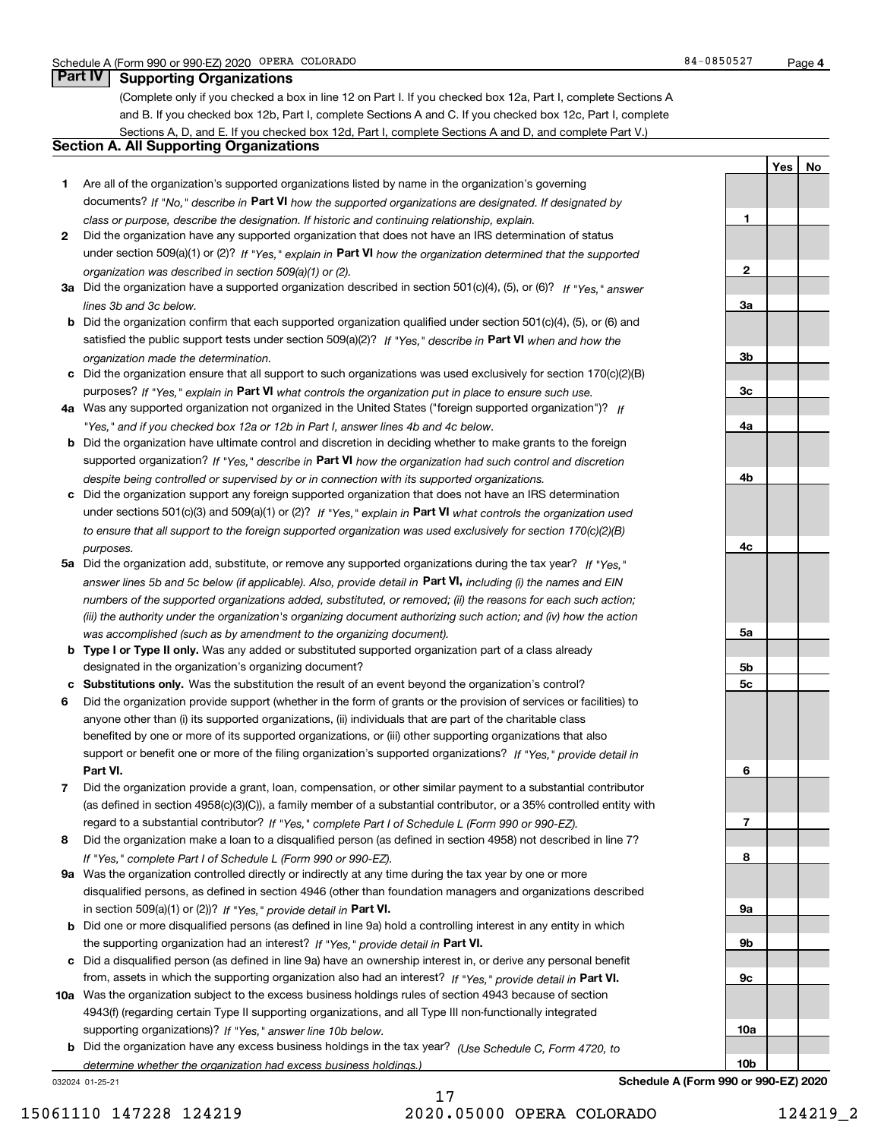**1**

**2**

**3a**

**3b**

**3c**

**4a**

**4b**

**4c**

**5a**

**5b5c**

**6**

**7**

**8**

**9a**

**9b**

**9c**

**10a**

**10b**

**YesNo**

## **Part IV Supporting Organizations**

(Complete only if you checked a box in line 12 on Part I. If you checked box 12a, Part I, complete Sections A and B. If you checked box 12b, Part I, complete Sections A and C. If you checked box 12c, Part I, complete Sections A, D, and E. If you checked box 12d, Part I, complete Sections A and D, and complete Part V.)

#### **Section A. All Supporting Organizations**

- **1** Are all of the organization's supported organizations listed by name in the organization's governing documents? If "No," describe in **Part VI** how the supported organizations are designated. If designated by *class or purpose, describe the designation. If historic and continuing relationship, explain.*
- **2** Did the organization have any supported organization that does not have an IRS determination of status under section 509(a)(1) or (2)? If "Yes," explain in Part VI how the organization determined that the supported *organization was described in section 509(a)(1) or (2).*
- **3a** Did the organization have a supported organization described in section 501(c)(4), (5), or (6)? If "Yes," answer *lines 3b and 3c below.*
- **b** Did the organization confirm that each supported organization qualified under section 501(c)(4), (5), or (6) and satisfied the public support tests under section 509(a)(2)? If "Yes," describe in **Part VI** when and how the *organization made the determination.*
- **c**Did the organization ensure that all support to such organizations was used exclusively for section 170(c)(2)(B) purposes? If "Yes," explain in **Part VI** what controls the organization put in place to ensure such use.
- **4a***If* Was any supported organization not organized in the United States ("foreign supported organization")? *"Yes," and if you checked box 12a or 12b in Part I, answer lines 4b and 4c below.*
- **b** Did the organization have ultimate control and discretion in deciding whether to make grants to the foreign supported organization? If "Yes," describe in **Part VI** how the organization had such control and discretion *despite being controlled or supervised by or in connection with its supported organizations.*
- **c** Did the organization support any foreign supported organization that does not have an IRS determination under sections 501(c)(3) and 509(a)(1) or (2)? If "Yes," explain in **Part VI** what controls the organization used *to ensure that all support to the foreign supported organization was used exclusively for section 170(c)(2)(B) purposes.*
- **5a** Did the organization add, substitute, or remove any supported organizations during the tax year? If "Yes," answer lines 5b and 5c below (if applicable). Also, provide detail in **Part VI,** including (i) the names and EIN *numbers of the supported organizations added, substituted, or removed; (ii) the reasons for each such action; (iii) the authority under the organization's organizing document authorizing such action; and (iv) how the action was accomplished (such as by amendment to the organizing document).*
- **b** Type I or Type II only. Was any added or substituted supported organization part of a class already designated in the organization's organizing document?
- **cSubstitutions only.**  Was the substitution the result of an event beyond the organization's control?
- **6** Did the organization provide support (whether in the form of grants or the provision of services or facilities) to **Part VI.** *If "Yes," provide detail in* support or benefit one or more of the filing organization's supported organizations? anyone other than (i) its supported organizations, (ii) individuals that are part of the charitable class benefited by one or more of its supported organizations, or (iii) other supporting organizations that also
- **7**Did the organization provide a grant, loan, compensation, or other similar payment to a substantial contributor *If "Yes," complete Part I of Schedule L (Form 990 or 990-EZ).* regard to a substantial contributor? (as defined in section 4958(c)(3)(C)), a family member of a substantial contributor, or a 35% controlled entity with
- **8** Did the organization make a loan to a disqualified person (as defined in section 4958) not described in line 7? *If "Yes," complete Part I of Schedule L (Form 990 or 990-EZ).*
- **9a** Was the organization controlled directly or indirectly at any time during the tax year by one or more in section 509(a)(1) or (2))? If "Yes," *provide detail in* <code>Part VI.</code> disqualified persons, as defined in section 4946 (other than foundation managers and organizations described
- **b** Did one or more disqualified persons (as defined in line 9a) hold a controlling interest in any entity in which the supporting organization had an interest? If "Yes," provide detail in P**art VI**.
- **c**Did a disqualified person (as defined in line 9a) have an ownership interest in, or derive any personal benefit from, assets in which the supporting organization also had an interest? If "Yes," provide detail in P**art VI.**
- **10a** Was the organization subject to the excess business holdings rules of section 4943 because of section supporting organizations)? If "Yes," answer line 10b below. 4943(f) (regarding certain Type II supporting organizations, and all Type III non-functionally integrated
- **b** Did the organization have any excess business holdings in the tax year? (Use Schedule C, Form 4720, to **Schedule A (Form 990 or 990-EZ) 2020** *determine whether the organization had excess business holdings.)*

032024 01-25-21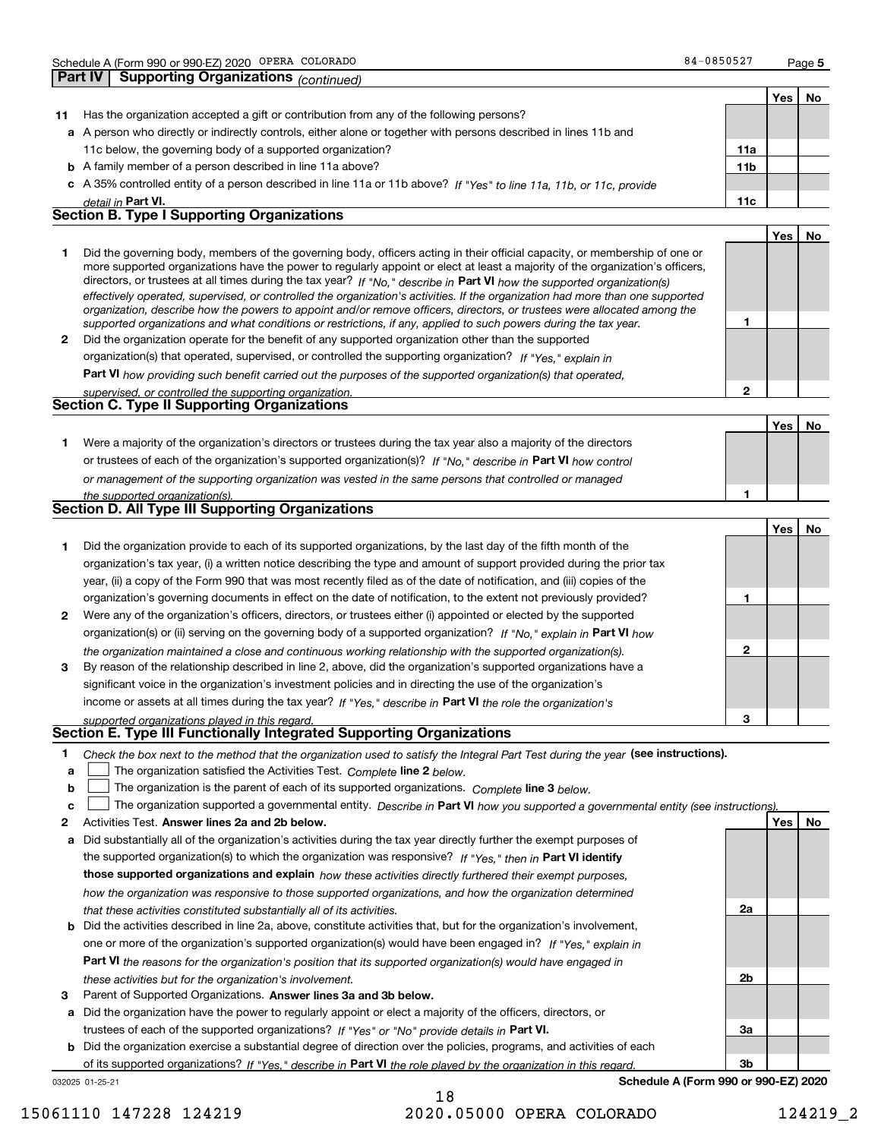|              | Schedule A (Form 990 or 990-EZ) 2020 OPERA COLORADO                                                                                                                                                                                                                                                                                                                                                                                                                                                                                                                                                                                                  | 84-0850527      |            | Page 5    |
|--------------|------------------------------------------------------------------------------------------------------------------------------------------------------------------------------------------------------------------------------------------------------------------------------------------------------------------------------------------------------------------------------------------------------------------------------------------------------------------------------------------------------------------------------------------------------------------------------------------------------------------------------------------------------|-----------------|------------|-----------|
|              | <b>Supporting Organizations (continued)</b><br>Part IV                                                                                                                                                                                                                                                                                                                                                                                                                                                                                                                                                                                               |                 |            |           |
|              |                                                                                                                                                                                                                                                                                                                                                                                                                                                                                                                                                                                                                                                      |                 | Yes        | <b>No</b> |
| 11           | Has the organization accepted a gift or contribution from any of the following persons?                                                                                                                                                                                                                                                                                                                                                                                                                                                                                                                                                              |                 |            |           |
|              | a A person who directly or indirectly controls, either alone or together with persons described in lines 11b and                                                                                                                                                                                                                                                                                                                                                                                                                                                                                                                                     |                 |            |           |
|              | 11c below, the governing body of a supported organization?                                                                                                                                                                                                                                                                                                                                                                                                                                                                                                                                                                                           | 11a             |            |           |
|              | <b>b</b> A family member of a person described in line 11a above?                                                                                                                                                                                                                                                                                                                                                                                                                                                                                                                                                                                    | 11 <sub>b</sub> |            |           |
|              | c A 35% controlled entity of a person described in line 11a or 11b above? If "Yes" to line 11a, 11b, or 11c, provide                                                                                                                                                                                                                                                                                                                                                                                                                                                                                                                                 |                 |            |           |
|              | detail in Part VI.                                                                                                                                                                                                                                                                                                                                                                                                                                                                                                                                                                                                                                   | 11c             |            |           |
|              | <b>Section B. Type I Supporting Organizations</b>                                                                                                                                                                                                                                                                                                                                                                                                                                                                                                                                                                                                    |                 |            |           |
|              |                                                                                                                                                                                                                                                                                                                                                                                                                                                                                                                                                                                                                                                      |                 | <b>Yes</b> | No        |
| 1            | Did the governing body, members of the governing body, officers acting in their official capacity, or membership of one or<br>more supported organizations have the power to regularly appoint or elect at least a majority of the organization's officers,<br>directors, or trustees at all times during the tax year? If "No," describe in Part VI how the supported organization(s)<br>effectively operated, supervised, or controlled the organization's activities. If the organization had more than one supported<br>organization, describe how the powers to appoint and/or remove officers, directors, or trustees were allocated among the |                 |            |           |
|              | supported organizations and what conditions or restrictions, if any, applied to such powers during the tax year.                                                                                                                                                                                                                                                                                                                                                                                                                                                                                                                                     | 1               |            |           |
| $\mathbf{2}$ | Did the organization operate for the benefit of any supported organization other than the supported                                                                                                                                                                                                                                                                                                                                                                                                                                                                                                                                                  |                 |            |           |
|              | organization(s) that operated, supervised, or controlled the supporting organization? If "Yes." explain in                                                                                                                                                                                                                                                                                                                                                                                                                                                                                                                                           |                 |            |           |
|              | Part VI how providing such benefit carried out the purposes of the supported organization(s) that operated,                                                                                                                                                                                                                                                                                                                                                                                                                                                                                                                                          |                 |            |           |
|              | supervised, or controlled the supporting organization.                                                                                                                                                                                                                                                                                                                                                                                                                                                                                                                                                                                               | $\mathbf{2}$    |            |           |
|              | Section C. Type II Supporting Organizations                                                                                                                                                                                                                                                                                                                                                                                                                                                                                                                                                                                                          |                 |            |           |
|              |                                                                                                                                                                                                                                                                                                                                                                                                                                                                                                                                                                                                                                                      |                 | <b>Yes</b> | <b>No</b> |
| 1            | Were a majority of the organization's directors or trustees during the tax year also a majority of the directors                                                                                                                                                                                                                                                                                                                                                                                                                                                                                                                                     |                 |            |           |
|              | or trustees of each of the organization's supported organization(s)? If "No." describe in Part VI how control                                                                                                                                                                                                                                                                                                                                                                                                                                                                                                                                        |                 |            |           |
|              | or management of the supporting organization was vested in the same persons that controlled or managed                                                                                                                                                                                                                                                                                                                                                                                                                                                                                                                                               |                 |            |           |
|              | the supported organization(s).                                                                                                                                                                                                                                                                                                                                                                                                                                                                                                                                                                                                                       | 1               |            |           |
|              | Section D. All Type III Supporting Organizations                                                                                                                                                                                                                                                                                                                                                                                                                                                                                                                                                                                                     |                 |            |           |
|              |                                                                                                                                                                                                                                                                                                                                                                                                                                                                                                                                                                                                                                                      |                 | Yes        | No        |
| 1            | Did the organization provide to each of its supported organizations, by the last day of the fifth month of the                                                                                                                                                                                                                                                                                                                                                                                                                                                                                                                                       |                 |            |           |
|              | organization's tax year, (i) a written notice describing the type and amount of support provided during the prior tax                                                                                                                                                                                                                                                                                                                                                                                                                                                                                                                                |                 |            |           |
|              | user (ii) a sepulation $\overline{000}$ that we meet reseptivitied as of the data of potitionian, and (iii) copies of the                                                                                                                                                                                                                                                                                                                                                                                                                                                                                                                            |                 |            |           |

|              | Did the organization provide to each of its supported organizations, by the last day of the fifth month of the         |   |  |
|--------------|------------------------------------------------------------------------------------------------------------------------|---|--|
|              | organization's tax year, (i) a written notice describing the type and amount of support provided during the prior tax  |   |  |
|              | year, (ii) a copy of the Form 990 that was most recently filed as of the date of notification, and (iii) copies of the |   |  |
|              | organization's governing documents in effect on the date of notification, to the extent not previously provided?       |   |  |
| $\mathbf{2}$ | Were any of the organization's officers, directors, or trustees either (i) appointed or elected by the supported       |   |  |
|              | organization(s) or (ii) serving on the governing body of a supported organization? If "No." explain in Part VI how     |   |  |
|              | the organization maintained a close and continuous working relationship with the supported organization(s).            | 0 |  |
| 3            | By reason of the relationship described in line 2, above, did the organization's supported organizations have a        |   |  |
|              | significant voice in the organization's investment policies and in directing the use of the organization's             |   |  |
|              | income or assets at all times during the tax year? If "Yes," describe in Part VI the role the organization's           |   |  |
|              | supported erganizations played in this regard.                                                                         | з |  |

#### *supported organizations played in this regard.* **Section E. Type III Functionally Integrated Supporting Organizations**

| Check the box next to the method that the organization used to satisfy the Integral Part Test during the year (see instructions). |  |
|-----------------------------------------------------------------------------------------------------------------------------------|--|
|                                                                                                                                   |  |

**a**The organization satisfied the Activities Test. *Complete* line 2 below.  $\mathcal{L}^{\text{max}}$ 

|  |  |  |  | <b>b</b> $\Box$ The organization is the parent of each of its supported organizations. Complete line 3 below. |  |
|--|--|--|--|---------------------------------------------------------------------------------------------------------------|--|
|--|--|--|--|---------------------------------------------------------------------------------------------------------------|--|

|  |  | The organization supported a governmental entity. Describe in Part VI how you supported a governmental entity (see instructions). |  |
|--|--|-----------------------------------------------------------------------------------------------------------------------------------|--|
|--|--|-----------------------------------------------------------------------------------------------------------------------------------|--|

- **2Answer lines 2a and 2b below. Yes No** Activities Test.
- **a** Did substantially all of the organization's activities during the tax year directly further the exempt purposes of the supported organization(s) to which the organization was responsive? If "Yes," then in **Part VI identify those supported organizations and explain**  *how these activities directly furthered their exempt purposes, how the organization was responsive to those supported organizations, and how the organization determined that these activities constituted substantially all of its activities.*
- **b** Did the activities described in line 2a, above, constitute activities that, but for the organization's involvement, **Part VI**  *the reasons for the organization's position that its supported organization(s) would have engaged in* one or more of the organization's supported organization(s) would have been engaged in? If "Yes," e*xplain in these activities but for the organization's involvement.*
- **3**Parent of Supported Organizations. Answer lines 3a and 3b below.

**a** Did the organization have the power to regularly appoint or elect a majority of the officers, directors, or trustees of each of the supported organizations? If "Yes" or "No" provide details in **Part VI.** 

**b** Did the organization exercise a substantial degree of direction over the policies, programs, and activities of each of its supported organizations? If "Yes," describe in Part VI the role played by the organization in this regard.

032025 01-25-21

**Schedule A (Form 990 or 990-EZ) 2020**

**2a**

**2b**

**3a**

**3b**

#### 18 15061110 147228 124219 2020.05000 OPERA COLORADO 124219\_2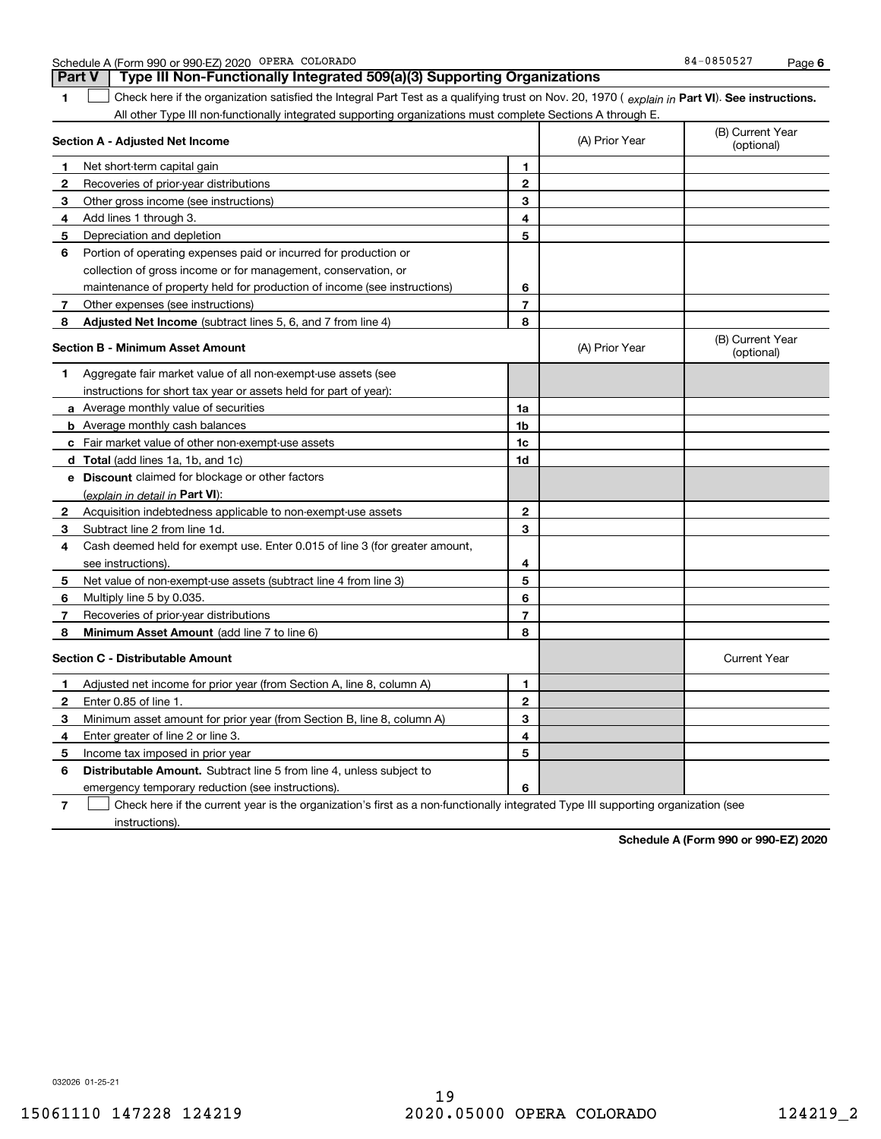| Schedule A | 4 (Form 990 or 990-EZ) 2020 | OPERA | COLORADO | 84-0850527 | Page |  |
|------------|-----------------------------|-------|----------|------------|------|--|
|------------|-----------------------------|-------|----------|------------|------|--|

**1Part VI** Check here if the organization satisfied the Integral Part Test as a qualifying trust on Nov. 20, 1970 ( explain in Part **VI**). See instructions. **Section A - Adjusted Net Income 123** Other gross income (see instructions) **456** Portion of operating expenses paid or incurred for production or **7** Other expenses (see instructions) **8** Adjusted Net Income (subtract lines 5, 6, and 7 from line 4) **8 8 1234567Section B - Minimum Asset Amount 1**Aggregate fair market value of all non-exempt-use assets (see **2**Acquisition indebtedness applicable to non-exempt-use assets **3** Subtract line 2 from line 1d. **4**Cash deemed held for exempt use. Enter 0.015 of line 3 (for greater amount, **5** Net value of non-exempt-use assets (subtract line 4 from line 3) **678a** Average monthly value of securities **b** Average monthly cash balances **c**Fair market value of other non-exempt-use assets **dTotal**  (add lines 1a, 1b, and 1c) **eDiscount** claimed for blockage or other factors **1a1b1c1d2345678**(explain in detail in Part VI): **Minimum Asset Amount**  (add line 7 to line 6) **Section C - Distributable Amount 123456123456Distributable Amount.** Subtract line 5 from line 4, unless subject to All other Type III non-functionally integrated supporting organizations must complete Sections A through E. (B) Current Year (optional)(A) Prior Year Net short-term capital gain Recoveries of prior-year distributions Add lines 1 through 3. Depreciation and depletion collection of gross income or for management, conservation, or maintenance of property held for production of income (see instructions) (B) Current Year (optional)(A) Prior Year instructions for short tax year or assets held for part of year): see instructions). Multiply line 5 by 0.035. Recoveries of prior-year distributions Current Year Adjusted net income for prior year (from Section A, line 8, column A) Enter 0.85 of line 1. Minimum asset amount for prior year (from Section B, line 8, column A) Enter greater of line 2 or line 3. Income tax imposed in prior year emergency temporary reduction (see instructions). **Part V Type III Non-Functionally Integrated 509(a)(3) Supporting Organizations**   $\mathcal{L}^{\text{max}}$ 

**7**Check here if the current year is the organization's first as a non-functionally integrated Type III supporting organization (see instructions). $\mathcal{L}^{\text{max}}$ 

**Schedule A (Form 990 or 990-EZ) 2020**

032026 01-25-21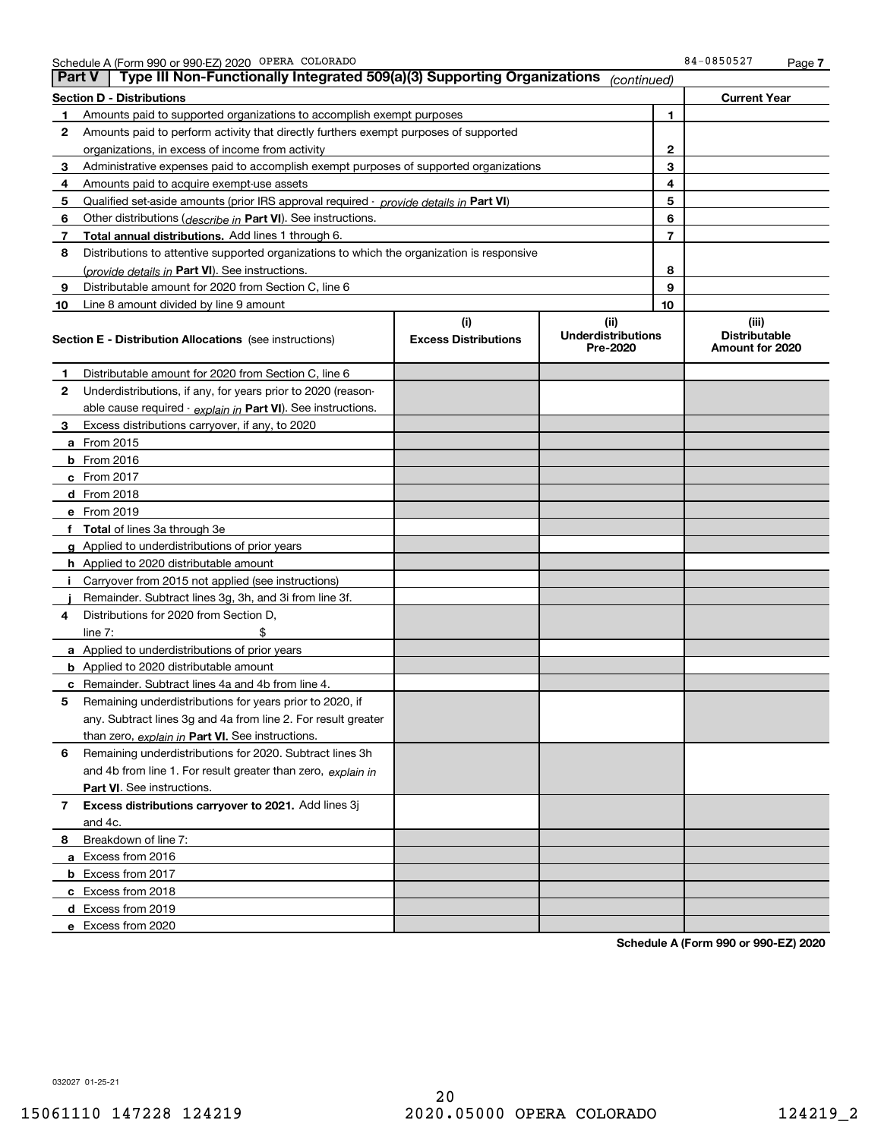| <b>Part V</b> | Type III Non-Functionally Integrated 509(a)(3) Supporting Organizations                    |                                    | (continued)                                   |    |                                                  |
|---------------|--------------------------------------------------------------------------------------------|------------------------------------|-----------------------------------------------|----|--------------------------------------------------|
|               | <b>Section D - Distributions</b>                                                           |                                    |                                               |    | <b>Current Year</b>                              |
| 1             | Amounts paid to supported organizations to accomplish exempt purposes                      |                                    |                                               |    |                                                  |
| 2             | Amounts paid to perform activity that directly furthers exempt purposes of supported       |                                    |                                               |    |                                                  |
|               | organizations, in excess of income from activity                                           |                                    |                                               |    |                                                  |
| 3             | Administrative expenses paid to accomplish exempt purposes of supported organizations      |                                    |                                               | 3  |                                                  |
| 4             | Amounts paid to acquire exempt-use assets                                                  |                                    |                                               | 4  |                                                  |
| 5             | Qualified set-aside amounts (prior IRS approval required - provide details in Part VI)     |                                    |                                               | 5  |                                                  |
| 6             | Other distributions ( <i>describe in</i> Part VI). See instructions.                       |                                    |                                               | 6  |                                                  |
| 7             | Total annual distributions. Add lines 1 through 6.                                         |                                    |                                               | 7  |                                                  |
| 8             | Distributions to attentive supported organizations to which the organization is responsive |                                    |                                               |    |                                                  |
|               | (provide details in Part VI). See instructions.                                            |                                    |                                               | 8  |                                                  |
| 9             | Distributable amount for 2020 from Section C, line 6                                       |                                    |                                               | 9  |                                                  |
| 10            | Line 8 amount divided by line 9 amount                                                     |                                    |                                               | 10 |                                                  |
|               | <b>Section E - Distribution Allocations</b> (see instructions)                             | (i)<br><b>Excess Distributions</b> | (ii)<br><b>Underdistributions</b><br>Pre-2020 |    | (iii)<br><b>Distributable</b><br>Amount for 2020 |
| 1             | Distributable amount for 2020 from Section C, line 6                                       |                                    |                                               |    |                                                  |
| 2             | Underdistributions, if any, for years prior to 2020 (reason-                               |                                    |                                               |    |                                                  |
|               | able cause required - explain in Part VI). See instructions.                               |                                    |                                               |    |                                                  |
| 3             | Excess distributions carryover, if any, to 2020                                            |                                    |                                               |    |                                                  |
|               | a From 2015                                                                                |                                    |                                               |    |                                                  |
|               | <b>b</b> From 2016                                                                         |                                    |                                               |    |                                                  |
|               | $c$ From 2017                                                                              |                                    |                                               |    |                                                  |
|               | d From 2018                                                                                |                                    |                                               |    |                                                  |
|               | e From 2019                                                                                |                                    |                                               |    |                                                  |
|               | f Total of lines 3a through 3e                                                             |                                    |                                               |    |                                                  |
|               | g Applied to underdistributions of prior years                                             |                                    |                                               |    |                                                  |
|               | <b>h</b> Applied to 2020 distributable amount                                              |                                    |                                               |    |                                                  |
|               | Carryover from 2015 not applied (see instructions)                                         |                                    |                                               |    |                                                  |
|               | Remainder. Subtract lines 3g, 3h, and 3i from line 3f.                                     |                                    |                                               |    |                                                  |
| 4             | Distributions for 2020 from Section D,                                                     |                                    |                                               |    |                                                  |
|               | line $7:$                                                                                  |                                    |                                               |    |                                                  |
|               | a Applied to underdistributions of prior years                                             |                                    |                                               |    |                                                  |
|               | <b>b</b> Applied to 2020 distributable amount                                              |                                    |                                               |    |                                                  |
|               | c Remainder. Subtract lines 4a and 4b from line 4.                                         |                                    |                                               |    |                                                  |
| 5.            | Remaining underdistributions for years prior to 2020, if                                   |                                    |                                               |    |                                                  |
|               | any. Subtract lines 3g and 4a from line 2. For result greater                              |                                    |                                               |    |                                                  |
|               | than zero, explain in Part VI. See instructions.                                           |                                    |                                               |    |                                                  |
| 6             | Remaining underdistributions for 2020. Subtract lines 3h                                   |                                    |                                               |    |                                                  |
|               | and 4b from line 1. For result greater than zero, explain in                               |                                    |                                               |    |                                                  |
|               | Part VI. See instructions.                                                                 |                                    |                                               |    |                                                  |
| 7             | Excess distributions carryover to 2021. Add lines 3j                                       |                                    |                                               |    |                                                  |
|               | and 4c.                                                                                    |                                    |                                               |    |                                                  |
| 8             | Breakdown of line 7:                                                                       |                                    |                                               |    |                                                  |
|               | a Excess from 2016                                                                         |                                    |                                               |    |                                                  |
|               | <b>b</b> Excess from 2017                                                                  |                                    |                                               |    |                                                  |
|               | c Excess from 2018                                                                         |                                    |                                               |    |                                                  |
|               | d Excess from 2019                                                                         |                                    |                                               |    |                                                  |
|               | e Excess from 2020                                                                         |                                    |                                               |    |                                                  |

**Schedule A (Form 990 or 990-EZ) 2020**

032027 01-25-21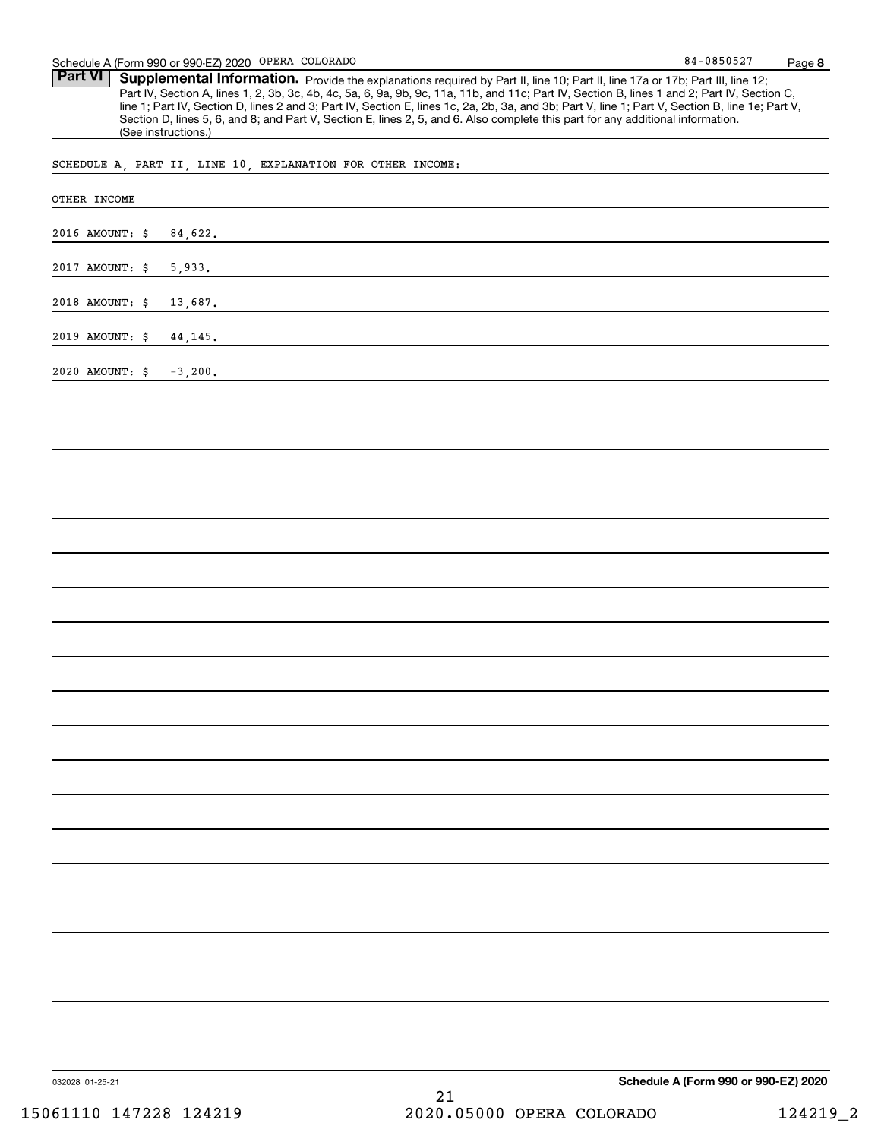Part VI | Supplemental Information. Provide the explanations required by Part II, line 10; Part II, line 17a or 17b; Part III, line 12; Part IV, Section A, lines 1, 2, 3b, 3c, 4b, 4c, 5a, 6, 9a, 9b, 9c, 11a, 11b, and 11c; Part IV, Section B, lines 1 and 2; Part IV, Section C, line 1; Part IV, Section D, lines 2 and 3; Part IV, Section E, lines 1c, 2a, 2b, 3a, and 3b; Part V, line 1; Part V, Section B, line 1e; Part V, Section D, lines 5, 6, and 8; and Part V, Section E, lines 2, 5, and 6. Also complete this part for any additional information. (See instructions.)

SCHEDULE A, PART II, LINE 10, EXPLANATION FOR OTHER INCOME:

| 032028 01-25-21<br>15061110 147228 124219 | $2\sqrt{1}$<br>2020.05000 OPERA COLORADO | 124219_2                             |
|-------------------------------------------|------------------------------------------|--------------------------------------|
|                                           |                                          | Schedule A (Form 990 or 990-EZ) 2020 |
|                                           |                                          |                                      |
|                                           |                                          |                                      |
|                                           |                                          |                                      |
|                                           |                                          |                                      |
|                                           |                                          |                                      |
|                                           |                                          |                                      |
|                                           |                                          |                                      |
|                                           |                                          |                                      |
|                                           |                                          |                                      |
|                                           |                                          |                                      |
|                                           |                                          |                                      |
|                                           |                                          |                                      |
|                                           |                                          |                                      |
|                                           |                                          |                                      |
|                                           |                                          |                                      |
|                                           |                                          |                                      |
|                                           |                                          |                                      |
|                                           |                                          |                                      |
|                                           |                                          |                                      |
|                                           |                                          |                                      |
|                                           |                                          |                                      |
| 2020 AMOUNT: \$<br>$-3,200.$              |                                          |                                      |
| 2019 AMOUNT: \$<br>44, 145.               |                                          |                                      |
| 2018 AMOUNT: \$<br>13,687.                |                                          |                                      |
| 2017 AMOUNT: \$<br>5,933.                 |                                          |                                      |
| 2016 AMOUNT: \$<br>84,622.                |                                          |                                      |
|                                           |                                          |                                      |

**8**

84-0850527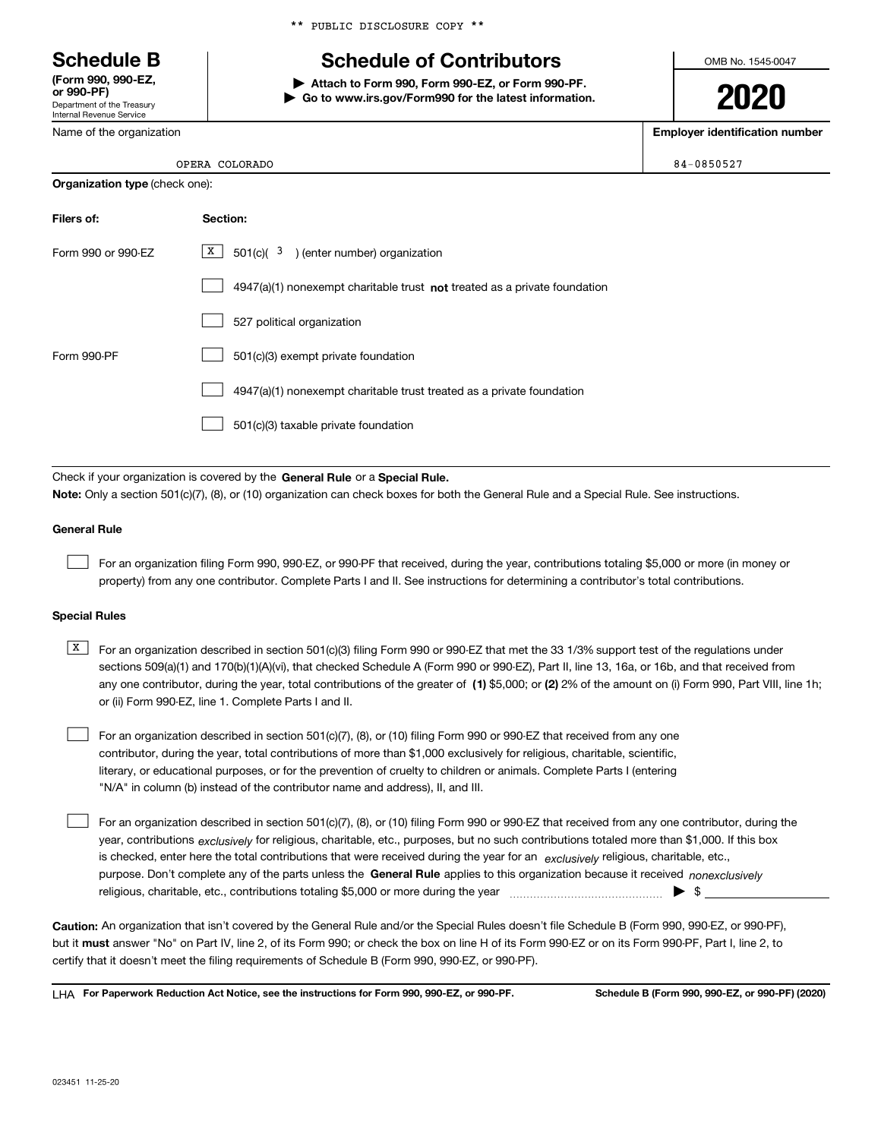Department of the Treasury Internal Revenue Service **(Form 990, 990-EZ, or 990-PF)**

Name of the organization

\*\* PUBLIC DISCLOSURE COPY \*\*

# **Schedule B Schedule of Contributors**

**| Attach to Form 990, Form 990-EZ, or Form 990-PF. | Go to www.irs.gov/Form990 for the latest information.** OMB No. 1545-0047

**2020**

**Employer identification number**

84-0850527

| <b>Organization type (check one):</b> |                                                                             |  |  |  |
|---------------------------------------|-----------------------------------------------------------------------------|--|--|--|
| Filers of:                            | Section:                                                                    |  |  |  |
| Form 990 or 990-EZ                    | X  <br>$501(c)$ ( $3$ ) (enter number) organization                         |  |  |  |
|                                       | $4947(a)(1)$ nonexempt charitable trust not treated as a private foundation |  |  |  |
|                                       | 527 political organization                                                  |  |  |  |
| Form 990-PF                           | 501(c)(3) exempt private foundation                                         |  |  |  |
|                                       | 4947(a)(1) nonexempt charitable trust treated as a private foundation       |  |  |  |
|                                       | 501(c)(3) taxable private foundation                                        |  |  |  |

Check if your organization is covered by the **General Rule** or a **Special Rule. Note:**  Only a section 501(c)(7), (8), or (10) organization can check boxes for both the General Rule and a Special Rule. See instructions.

#### **General Rule**

 $\mathcal{L}^{\text{max}}$ 

For an organization filing Form 990, 990-EZ, or 990-PF that received, during the year, contributions totaling \$5,000 or more (in money or property) from any one contributor. Complete Parts I and II. See instructions for determining a contributor's total contributions.

#### **Special Rules**

any one contributor, during the year, total contributions of the greater of  $\,$  (1) \$5,000; or **(2)** 2% of the amount on (i) Form 990, Part VIII, line 1h;  $\overline{X}$  For an organization described in section 501(c)(3) filing Form 990 or 990-EZ that met the 33 1/3% support test of the regulations under sections 509(a)(1) and 170(b)(1)(A)(vi), that checked Schedule A (Form 990 or 990-EZ), Part II, line 13, 16a, or 16b, and that received from or (ii) Form 990-EZ, line 1. Complete Parts I and II.

For an organization described in section 501(c)(7), (8), or (10) filing Form 990 or 990-EZ that received from any one contributor, during the year, total contributions of more than \$1,000 exclusively for religious, charitable, scientific, literary, or educational purposes, or for the prevention of cruelty to children or animals. Complete Parts I (entering "N/A" in column (b) instead of the contributor name and address), II, and III.  $\mathcal{L}^{\text{max}}$ 

purpose. Don't complete any of the parts unless the **General Rule** applies to this organization because it received *nonexclusively* year, contributions <sub>exclusively</sub> for religious, charitable, etc., purposes, but no such contributions totaled more than \$1,000. If this box is checked, enter here the total contributions that were received during the year for an  $\;$ exclusively religious, charitable, etc., For an organization described in section 501(c)(7), (8), or (10) filing Form 990 or 990-EZ that received from any one contributor, during the religious, charitable, etc., contributions totaling \$5,000 or more during the year  $\Box$ — $\Box$   $\Box$  $\mathcal{L}^{\text{max}}$ 

**Caution:**  An organization that isn't covered by the General Rule and/or the Special Rules doesn't file Schedule B (Form 990, 990-EZ, or 990-PF),  **must** but it answer "No" on Part IV, line 2, of its Form 990; or check the box on line H of its Form 990-EZ or on its Form 990-PF, Part I, line 2, to certify that it doesn't meet the filing requirements of Schedule B (Form 990, 990-EZ, or 990-PF).

**For Paperwork Reduction Act Notice, see the instructions for Form 990, 990-EZ, or 990-PF. Schedule B (Form 990, 990-EZ, or 990-PF) (2020)** LHA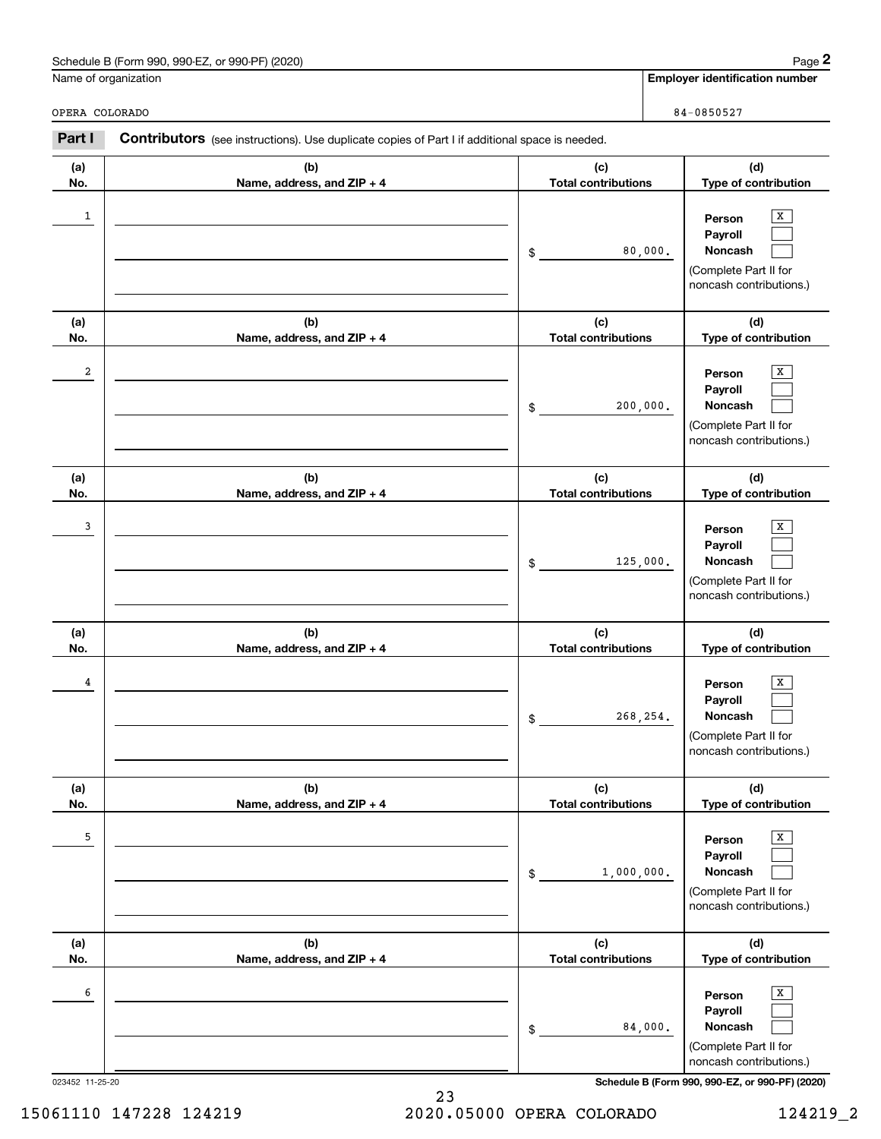| Schedule B (Form 990, 990-EZ, or 990-PF) (2020)                                                                 | Page 2                                |  |  |
|-----------------------------------------------------------------------------------------------------------------|---------------------------------------|--|--|
| Name of organization                                                                                            | <b>Employer identification number</b> |  |  |
| OPERA COLORADO                                                                                                  | 84-0850527                            |  |  |
| Part I<br><b>Contributors</b> (see instructions). Use duplicate copies of Part I if additional space is needed. |                                       |  |  |

**(d) Type of contribution**

> $\sqrt{x}$  $\mathcal{L}^{\text{max}}$  $\mathcal{L}^{\text{max}}$

**(d)**

**(a) No.**

1

**(a)No.**

2

**(a)No.**

**Person PayrollNoncash**

(Complete Part II for noncash contributions.)

**(c) Total contributions**

**(c)**

80,000.

\$

|          | $-085052$ <sup>-</sup> |
|----------|------------------------|
| COLORADO | 84                     |
| OPERA    | ,,,,                   |
|          |                        |
| ________ | ____                   |

**(b) Name, address, and ZIP + 4**

**(b)**

**Name, address, and ZIP + 4 Total contributions Type of contribution PersonPayrollNoncash (b)Name, address, and ZIP + 4 (c) Total contributions (d)Type of contribution PersonPayrollNoncash**\$(Complete Part II for noncash contributions.)  $\boxed{\text{x}}$  $\mathcal{L}^{\text{max}}$  $\mathcal{L}^{\text{max}}$  $\boxed{\mathbf{X}}$  $\mathcal{L}^{\text{max}}$ 2 | Person X 200,000.

<u>1</u> Person X

| 3              |                                   | 125,000.<br>\$                    | $\overline{\mathbf{x}}$<br>Person<br>Payroll<br>Noncash<br>(Complete Part II for<br>noncash contributions.) |
|----------------|-----------------------------------|-----------------------------------|-------------------------------------------------------------------------------------------------------------|
| (a)<br>No.     | (b)<br>Name, address, and ZIP + 4 | (c)<br><b>Total contributions</b> | (d)<br>Type of contribution                                                                                 |
| $\overline{4}$ |                                   | 268,254.<br>\$                    | X<br>Person<br>Payroll<br>Noncash<br>(Complete Part II for<br>noncash contributions.)                       |
| (a)<br>No.     | (b)<br>Name, address, and ZIP + 4 | (c)<br><b>Total contributions</b> | (d)<br>Type of contribution                                                                                 |
| 5              |                                   | 1,000,000.<br>\$                  | x<br>Person<br>Payroll<br>Noncash<br>(Complete Part II for<br>noncash contributions.)                       |
| (a)<br>No.     | (b)<br>Name, address, and ZIP + 4 | (c)<br><b>Total contributions</b> | (d)<br>Type of contribution                                                                                 |
| 6              |                                   | 84,000.<br>\$                     | X<br>Person<br>Payroll<br><b>Noncash</b><br>(Complete Part II for<br>noncash contributions.)                |

023452 11-25-20 **Schedule B (Form 990, 990-EZ, or 990-PF) (2020)**

23 15061110 147228 124219 2020.05000 OPERA COLORADO 124219\_2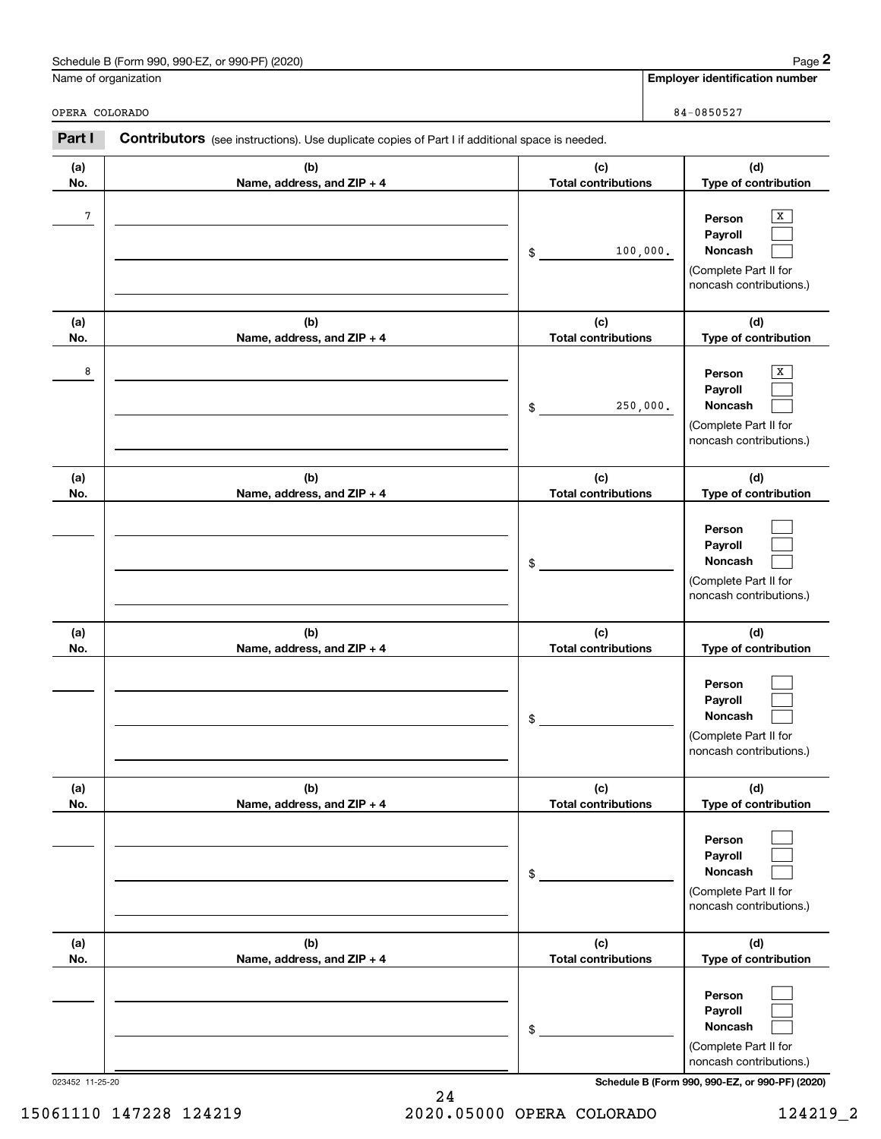| Schedule B (Form 990, 990-EZ, or 990-PF) (2020) | Page |
|-------------------------------------------------|------|
|-------------------------------------------------|------|

|                | Schedule B (Form 990, 990-EZ, or 990-PF) (2020)                                                       |                                   |          | Page 2                                                                                |
|----------------|-------------------------------------------------------------------------------------------------------|-----------------------------------|----------|---------------------------------------------------------------------------------------|
|                | Name of organization                                                                                  |                                   |          | <b>Employer identification number</b>                                                 |
| OPERA COLORADO |                                                                                                       |                                   |          | 84-0850527                                                                            |
| Part I         | <b>Contributors</b> (see instructions). Use duplicate copies of Part I if additional space is needed. |                                   |          |                                                                                       |
| (a)<br>No.     | (b)<br>Name, address, and ZIP + 4                                                                     | (c)<br><b>Total contributions</b> |          | (d)<br>Type of contribution                                                           |
| 7              |                                                                                                       | \$                                | 100,000. | x<br>Person<br>Payroll<br>Noncash<br>(Complete Part II for<br>noncash contributions.) |
| (a)<br>No.     | (b)<br>Name, address, and ZIP + 4                                                                     | (c)<br><b>Total contributions</b> |          | (d)<br>Type of contribution                                                           |
| 8              |                                                                                                       | \$                                | 250,000. | x<br>Person<br>Payroll<br>Noncash<br>(Complete Part II for<br>noncash contributions.) |
| (a)<br>No.     | (b)<br>Name, address, and ZIP + 4                                                                     | (c)<br><b>Total contributions</b> |          | (d)<br>Type of contribution                                                           |
|                |                                                                                                       | \$                                |          | Person<br>Payroll<br>Noncash<br>(Complete Part II for<br>noncash contributions.)      |
| (a)<br>No.     | (b)<br>Name, address, and ZIP + 4                                                                     | (c)<br><b>Total contributions</b> |          | (d)<br>Type of contribution                                                           |
|                |                                                                                                       | \$                                |          | Person<br>Payroll<br>Noncash<br>(Complete Part II for<br>noncash contributions.)      |
| (a)<br>No.     | (b)<br>Name, address, and ZIP + 4                                                                     | (c)<br><b>Total contributions</b> |          | (d)<br>Type of contribution                                                           |
|                |                                                                                                       | \$                                |          | Person<br>Payroll<br>Noncash<br>(Complete Part II for<br>noncash contributions.)      |
| (a)<br>No.     | (b)<br>Name, address, and ZIP + 4                                                                     | (c)<br><b>Total contributions</b> |          | (d)<br>Type of contribution                                                           |
|                |                                                                                                       | \$                                |          | Person<br>Payroll<br>Noncash<br>(Complete Part II for<br>noncash contributions.)      |

023452 11-25-20 **Schedule B (Form 990, 990-EZ, or 990-PF) (2020)**

24 15061110 147228 124219 2020.05000 OPERA COLORADO 124219\_2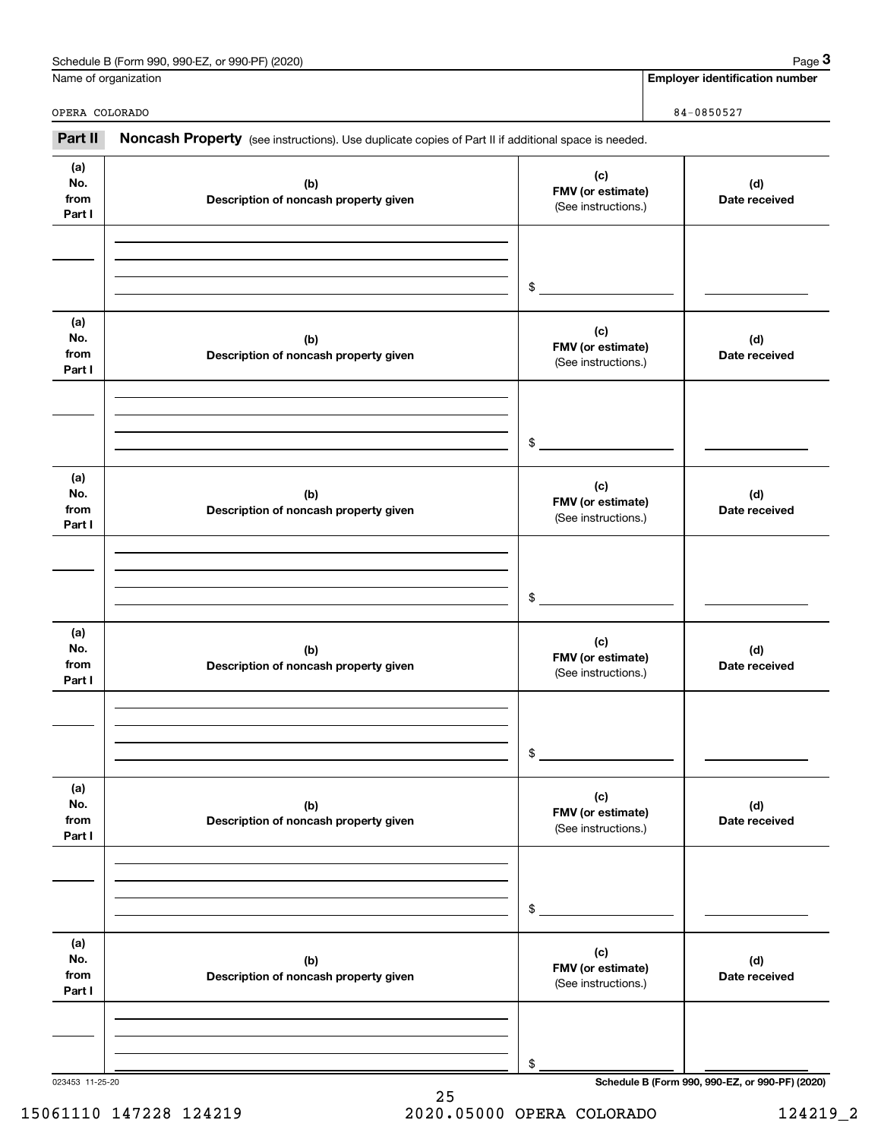|                              | Schedule B (Form 990, 990-EZ, or 990-PF) (2020)<br>Name of organization                             |                                                 | Page 3<br><b>Employer identification number</b> |
|------------------------------|-----------------------------------------------------------------------------------------------------|-------------------------------------------------|-------------------------------------------------|
| OPERA COLORADO               |                                                                                                     |                                                 | 84-0850527                                      |
| Part II                      | Noncash Property (see instructions). Use duplicate copies of Part II if additional space is needed. |                                                 |                                                 |
| (a)<br>No.<br>from<br>Part I | (b)<br>Description of noncash property given                                                        | (c)<br>FMV (or estimate)<br>(See instructions.) | (d)<br>Date received                            |
|                              |                                                                                                     | \$                                              |                                                 |
| (a)<br>No.<br>from<br>Part I | (b)<br>Description of noncash property given                                                        | (c)<br>FMV (or estimate)<br>(See instructions.) | (d)<br>Date received                            |
|                              |                                                                                                     | \$                                              |                                                 |
| (a)<br>No.<br>from<br>Part I | (b)<br>Description of noncash property given                                                        | (c)<br>FMV (or estimate)<br>(See instructions.) | (d)<br>Date received                            |
|                              |                                                                                                     | \$                                              |                                                 |
| (a)<br>No.<br>from<br>Part I | (b)<br>Description of noncash property given                                                        | (c)<br>FMV (or estimate)<br>(See instructions.) | (d)<br>Date received                            |
|                              |                                                                                                     | \$                                              |                                                 |
| (a)<br>No.<br>from<br>Part I | (b)<br>Description of noncash property given                                                        | (c)<br>FMV (or estimate)<br>(See instructions.) | (d)<br>Date received                            |
|                              |                                                                                                     | \$                                              |                                                 |
| (a)<br>No.<br>from<br>Part I | (b)<br>Description of noncash property given                                                        | (c)<br>FMV (or estimate)<br>(See instructions.) | (d)<br>Date received                            |
|                              |                                                                                                     |                                                 |                                                 |

023453 11-25-20 **Schedule B (Form 990, 990-EZ, or 990-PF) (2020)**

25 15061110 147228 124219 2020.05000 OPERA COLORADO 124219\_2

\$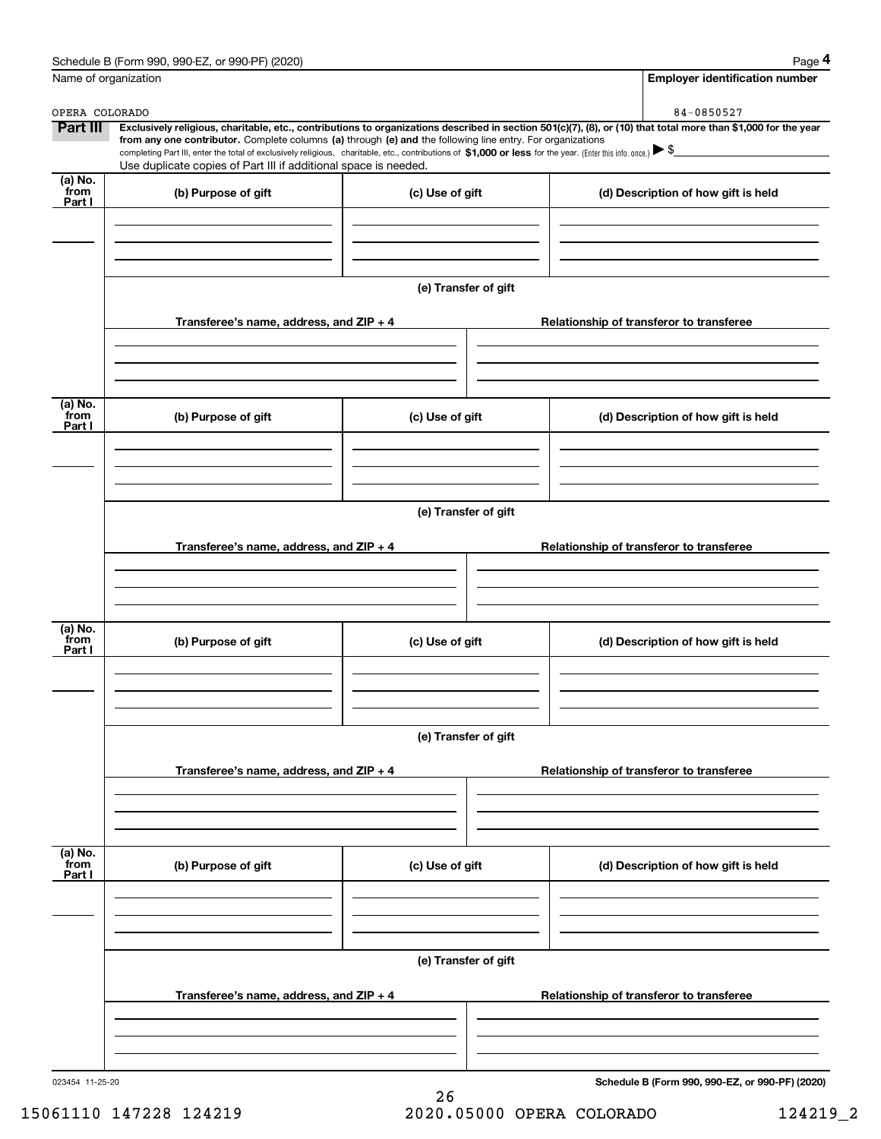|                           | Schedule B (Form 990, 990-EZ, or 990-PF) (2020)                                                                                                                                                                                                                                                 |                      | Page 4                                                                                                                                                         |  |  |
|---------------------------|-------------------------------------------------------------------------------------------------------------------------------------------------------------------------------------------------------------------------------------------------------------------------------------------------|----------------------|----------------------------------------------------------------------------------------------------------------------------------------------------------------|--|--|
|                           | Name of organization                                                                                                                                                                                                                                                                            |                      | <b>Employer identification number</b>                                                                                                                          |  |  |
| OPERA COLORADO            |                                                                                                                                                                                                                                                                                                 |                      | 84-0850527                                                                                                                                                     |  |  |
| Part III                  | from any one contributor. Complete columns (a) through (e) and the following line entry. For organizations<br>completing Part III, enter the total of exclusively religious, charitable, etc., contributions of \$1,000 or less for the year. (Enter this info. once.) $\blacktriangleright$ \$ |                      | Exclusively religious, charitable, etc., contributions to organizations described in section 501(c)(7), (8), or (10) that total more than \$1,000 for the year |  |  |
|                           | Use duplicate copies of Part III if additional space is needed.                                                                                                                                                                                                                                 |                      |                                                                                                                                                                |  |  |
| (a) No.<br>from<br>Part I | (b) Purpose of gift                                                                                                                                                                                                                                                                             | (c) Use of gift      | (d) Description of how gift is held                                                                                                                            |  |  |
|                           |                                                                                                                                                                                                                                                                                                 |                      |                                                                                                                                                                |  |  |
|                           |                                                                                                                                                                                                                                                                                                 |                      |                                                                                                                                                                |  |  |
|                           |                                                                                                                                                                                                                                                                                                 | (e) Transfer of gift |                                                                                                                                                                |  |  |
|                           | Transferee's name, address, and ZIP + 4                                                                                                                                                                                                                                                         |                      | Relationship of transferor to transferee                                                                                                                       |  |  |
|                           |                                                                                                                                                                                                                                                                                                 |                      |                                                                                                                                                                |  |  |
| (a) No.<br>from<br>Part I | (b) Purpose of gift                                                                                                                                                                                                                                                                             | (c) Use of gift      | (d) Description of how gift is held                                                                                                                            |  |  |
|                           |                                                                                                                                                                                                                                                                                                 |                      |                                                                                                                                                                |  |  |
|                           |                                                                                                                                                                                                                                                                                                 | (e) Transfer of gift |                                                                                                                                                                |  |  |
|                           | Transferee's name, address, and ZIP + 4<br>Relationship of transferor to transferee                                                                                                                                                                                                             |                      |                                                                                                                                                                |  |  |
|                           |                                                                                                                                                                                                                                                                                                 |                      |                                                                                                                                                                |  |  |
|                           |                                                                                                                                                                                                                                                                                                 |                      |                                                                                                                                                                |  |  |
| (a) No.<br>from<br>Part I | (b) Purpose of gift                                                                                                                                                                                                                                                                             | (c) Use of gift      | (d) Description of how gift is held                                                                                                                            |  |  |
|                           |                                                                                                                                                                                                                                                                                                 |                      |                                                                                                                                                                |  |  |
|                           |                                                                                                                                                                                                                                                                                                 |                      |                                                                                                                                                                |  |  |
|                           | (e) Transfer of gift                                                                                                                                                                                                                                                                            |                      |                                                                                                                                                                |  |  |
|                           | Transferee's name, address, and ZIP + 4                                                                                                                                                                                                                                                         |                      | Relationship of transferor to transferee                                                                                                                       |  |  |
|                           |                                                                                                                                                                                                                                                                                                 |                      |                                                                                                                                                                |  |  |
| (a) No.<br>from<br>Part I | (b) Purpose of gift                                                                                                                                                                                                                                                                             | (c) Use of gift      | (d) Description of how gift is held                                                                                                                            |  |  |
|                           |                                                                                                                                                                                                                                                                                                 |                      |                                                                                                                                                                |  |  |
|                           |                                                                                                                                                                                                                                                                                                 |                      |                                                                                                                                                                |  |  |
|                           | (e) Transfer of gift                                                                                                                                                                                                                                                                            |                      |                                                                                                                                                                |  |  |
|                           | Transferee's name, address, and $ZIP + 4$                                                                                                                                                                                                                                                       |                      | Relationship of transferor to transferee                                                                                                                       |  |  |
|                           |                                                                                                                                                                                                                                                                                                 |                      |                                                                                                                                                                |  |  |
|                           |                                                                                                                                                                                                                                                                                                 |                      |                                                                                                                                                                |  |  |

**Schedule B (Form 990, 990-EZ, or 990-PF) (2020)**

15061110 147228 124219 2020.05000 OPERA COLORADO 124219\_2

26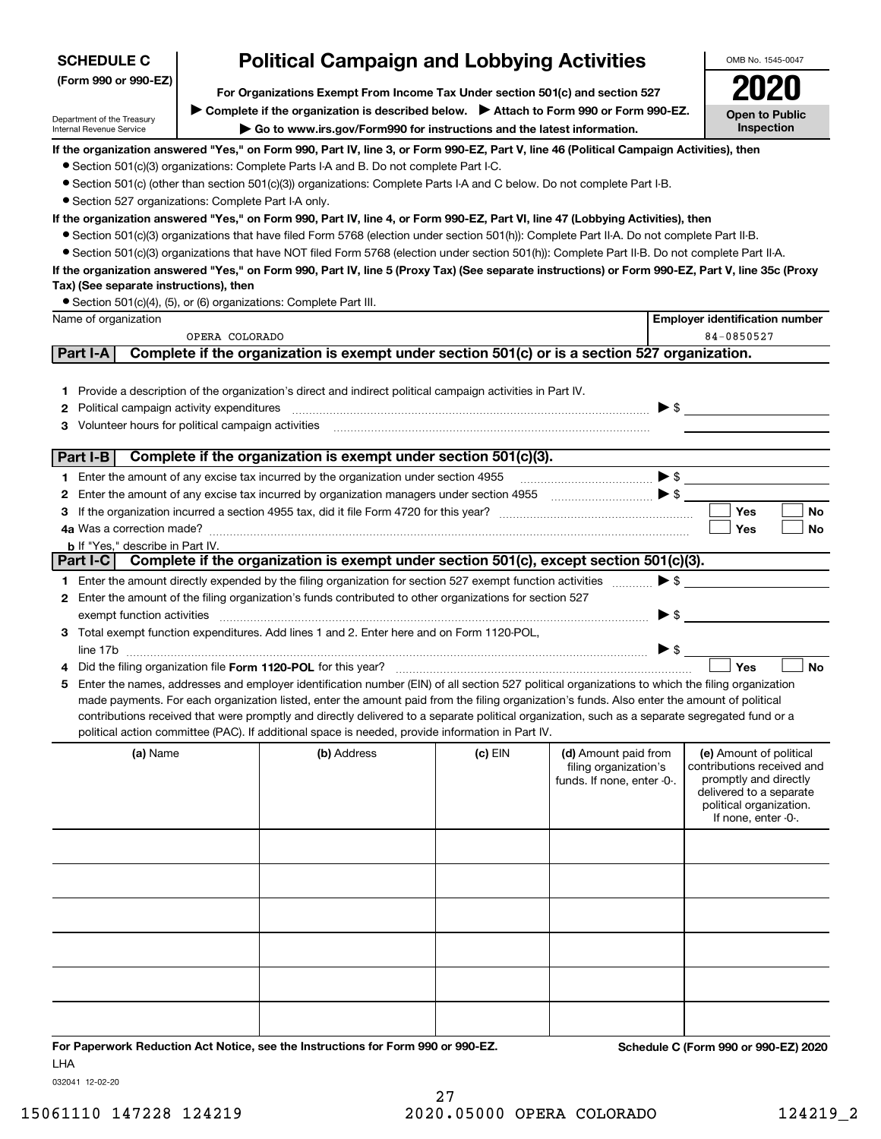| (Form 990 or 990-EZ)<br>For Organizations Exempt From Income Tax Under section 501(c) and section 527 |                |                                                                                                                                                                                                                        |           |                            |                          |                                                    |
|-------------------------------------------------------------------------------------------------------|----------------|------------------------------------------------------------------------------------------------------------------------------------------------------------------------------------------------------------------------|-----------|----------------------------|--------------------------|----------------------------------------------------|
|                                                                                                       |                |                                                                                                                                                                                                                        |           |                            |                          |                                                    |
| Department of the Treasury                                                                            |                | > Complete if the organization is described below. > Attach to Form 990 or Form 990-EZ.<br>Go to www.irs.gov/Form990 for instructions and the latest information.                                                      |           |                            |                          | <b>Open to Public</b><br>Inspection                |
| Internal Revenue Service                                                                              |                |                                                                                                                                                                                                                        |           |                            |                          |                                                    |
|                                                                                                       |                | If the organization answered "Yes," on Form 990, Part IV, line 3, or Form 990-EZ, Part V, line 46 (Political Campaign Activities), then                                                                                |           |                            |                          |                                                    |
|                                                                                                       |                | • Section 501(c)(3) organizations: Complete Parts I-A and B. Do not complete Part I-C.                                                                                                                                 |           |                            |                          |                                                    |
|                                                                                                       |                | • Section 501(c) (other than section 501(c)(3)) organizations: Complete Parts I-A and C below. Do not complete Part I-B.                                                                                               |           |                            |                          |                                                    |
| • Section 527 organizations: Complete Part I-A only.                                                  |                |                                                                                                                                                                                                                        |           |                            |                          |                                                    |
|                                                                                                       |                | If the organization answered "Yes," on Form 990, Part IV, line 4, or Form 990-EZ, Part VI, line 47 (Lobbying Activities), then                                                                                         |           |                            |                          |                                                    |
|                                                                                                       |                | • Section 501(c)(3) organizations that have filed Form 5768 (election under section 501(h)): Complete Part II-A. Do not complete Part II-B.                                                                            |           |                            |                          |                                                    |
|                                                                                                       |                | • Section 501(c)(3) organizations that have NOT filed Form 5768 (election under section 501(h)): Complete Part II-B. Do not complete Part II-A.                                                                        |           |                            |                          |                                                    |
|                                                                                                       |                | If the organization answered "Yes," on Form 990, Part IV, line 5 (Proxy Tax) (See separate instructions) or Form 990-EZ, Part V, line 35c (Proxy                                                                       |           |                            |                          |                                                    |
| Tax) (See separate instructions), then                                                                |                |                                                                                                                                                                                                                        |           |                            |                          |                                                    |
| Name of organization                                                                                  |                | • Section 501(c)(4), (5), or (6) organizations: Complete Part III.                                                                                                                                                     |           |                            |                          | <b>Employer identification number</b>              |
|                                                                                                       | OPERA COLORADO |                                                                                                                                                                                                                        |           |                            |                          | 84-0850527                                         |
| Part I-A                                                                                              |                | Complete if the organization is exempt under section 501(c) or is a section 527 organization.                                                                                                                          |           |                            |                          |                                                    |
|                                                                                                       |                |                                                                                                                                                                                                                        |           |                            |                          |                                                    |
|                                                                                                       |                |                                                                                                                                                                                                                        |           |                            |                          |                                                    |
|                                                                                                       |                | 1 Provide a description of the organization's direct and indirect political campaign activities in Part IV.                                                                                                            |           |                            |                          |                                                    |
|                                                                                                       |                | 2 Political campaign activity expenditures material contracts and the set of \$                                                                                                                                        |           |                            |                          |                                                    |
|                                                                                                       |                |                                                                                                                                                                                                                        |           |                            |                          |                                                    |
| Part I-B                                                                                              |                | Complete if the organization is exempt under section 501(c)(3).                                                                                                                                                        |           |                            |                          |                                                    |
|                                                                                                       |                |                                                                                                                                                                                                                        |           |                            |                          |                                                    |
|                                                                                                       |                | 1 Enter the amount of any excise tax incurred by the organization under section 4955                                                                                                                                   |           |                            |                          |                                                    |
| 2                                                                                                     |                | Enter the amount of any excise tax incurred by organization managers under section 4955 [11] [12] S                                                                                                                    |           |                            |                          | Yes                                                |
|                                                                                                       |                |                                                                                                                                                                                                                        |           |                            |                          | No                                                 |
|                                                                                                       |                |                                                                                                                                                                                                                        |           |                            |                          | Yes<br>No                                          |
| <b>b</b> If "Yes," describe in Part IV.<br>Part I-C                                                   |                | Complete if the organization is exempt under section 501(c), except section 501(c)(3).                                                                                                                                 |           |                            |                          |                                                    |
|                                                                                                       |                |                                                                                                                                                                                                                        |           |                            | $\blacktriangleright$ \$ |                                                    |
|                                                                                                       |                | 1 Enter the amount directly expended by the filing organization for section 527 exempt function activities<br>2 Enter the amount of the filing organization's funds contributed to other organizations for section 527 |           |                            |                          |                                                    |
|                                                                                                       |                |                                                                                                                                                                                                                        |           |                            | $\blacktriangleright$ \$ |                                                    |
|                                                                                                       |                | 3 Total exempt function expenditures. Add lines 1 and 2. Enter here and on Form 1120-POL,                                                                                                                              |           |                            |                          |                                                    |
|                                                                                                       |                |                                                                                                                                                                                                                        |           |                            | $\triangleright$ \$      |                                                    |
|                                                                                                       |                |                                                                                                                                                                                                                        |           |                            |                          | Yes<br>No                                          |
| 4<br>5.                                                                                               |                | Enter the names, addresses and employer identification number (EIN) of all section 527 political organizations to which the filing organization                                                                        |           |                            |                          |                                                    |
|                                                                                                       |                | made payments. For each organization listed, enter the amount paid from the filing organization's funds. Also enter the amount of political                                                                            |           |                            |                          |                                                    |
|                                                                                                       |                | contributions received that were promptly and directly delivered to a separate political organization, such as a separate segregated fund or a                                                                         |           |                            |                          |                                                    |
|                                                                                                       |                | political action committee (PAC). If additional space is needed, provide information in Part IV.                                                                                                                       |           |                            |                          |                                                    |
| (a) Name                                                                                              |                | (b) Address                                                                                                                                                                                                            | $(c)$ EIN | (d) Amount paid from       |                          | (e) Amount of political                            |
|                                                                                                       |                |                                                                                                                                                                                                                        |           | filing organization's      |                          | contributions received and                         |
|                                                                                                       |                |                                                                                                                                                                                                                        |           | funds. If none, enter -0-. |                          | promptly and directly                              |
|                                                                                                       |                |                                                                                                                                                                                                                        |           |                            |                          | delivered to a separate<br>political organization. |
|                                                                                                       |                |                                                                                                                                                                                                                        |           |                            |                          | If none, enter -0-.                                |
|                                                                                                       |                |                                                                                                                                                                                                                        |           |                            |                          |                                                    |
|                                                                                                       |                |                                                                                                                                                                                                                        |           |                            |                          |                                                    |
|                                                                                                       |                |                                                                                                                                                                                                                        |           |                            |                          |                                                    |
|                                                                                                       |                |                                                                                                                                                                                                                        |           |                            |                          |                                                    |
|                                                                                                       |                |                                                                                                                                                                                                                        |           |                            |                          |                                                    |
|                                                                                                       |                |                                                                                                                                                                                                                        |           |                            |                          |                                                    |
|                                                                                                       |                |                                                                                                                                                                                                                        |           |                            |                          |                                                    |
|                                                                                                       |                |                                                                                                                                                                                                                        |           |                            |                          |                                                    |
|                                                                                                       |                |                                                                                                                                                                                                                        |           |                            |                          |                                                    |
|                                                                                                       |                |                                                                                                                                                                                                                        |           |                            |                          |                                                    |

**Political Campaign and Lobbying Activities**

**For Paperwork Reduction Act Notice, see the Instructions for Form 990 or 990-EZ. Schedule C (Form 990 or 990-EZ) 2020** LHA

OMB No. 1545-0047

**2020** 

032041 12-02-20

**SCHEDULE C**

## 27 15061110 147228 124219 2020.05000 OPERA COLORADO 124219\_2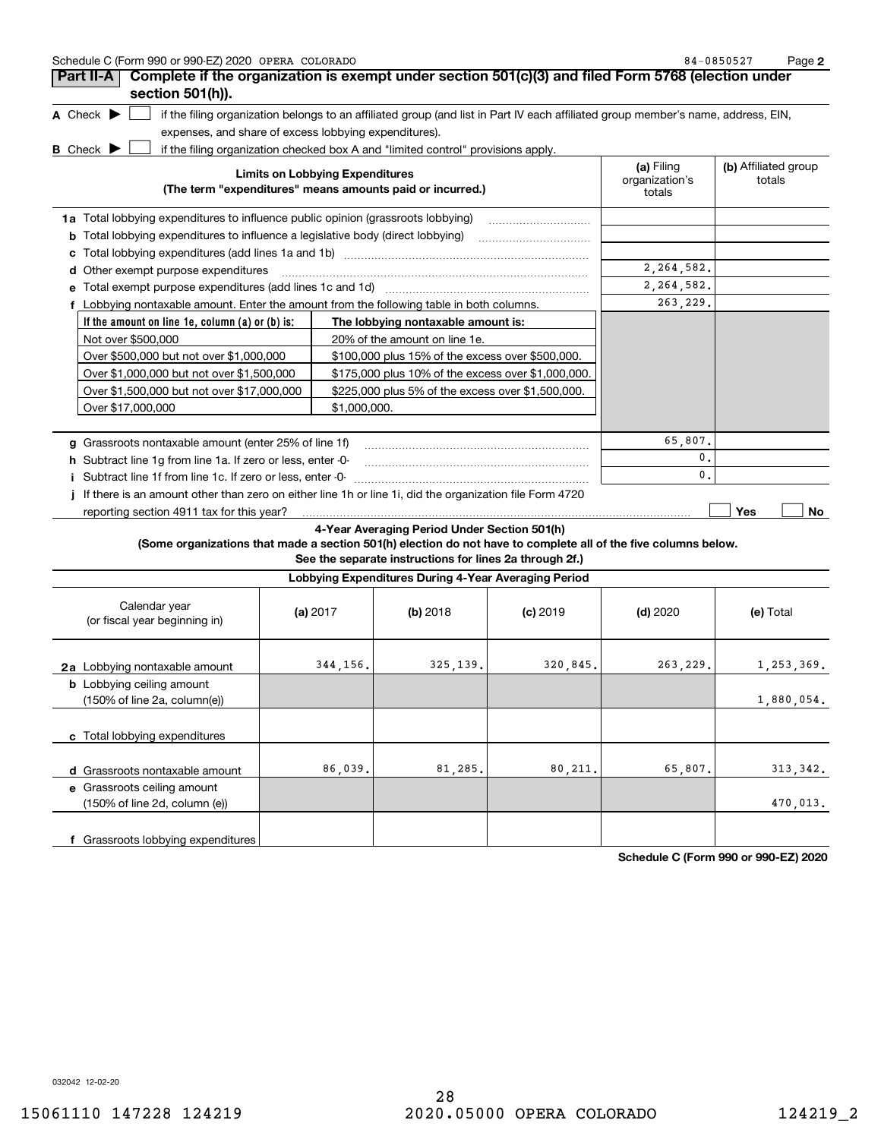|  | Schedule C (Form 990 or 990-EZ) 2020 OPERA COLORADO |  | 84-0850527 | Page |
|--|-----------------------------------------------------|--|------------|------|
|--|-----------------------------------------------------|--|------------|------|

| Part II-A                                                                              | Complete if the organization is exempt under section 501(c)(3) and filed Form 5768 (election under                                                             |                                        |                                |
|----------------------------------------------------------------------------------------|----------------------------------------------------------------------------------------------------------------------------------------------------------------|----------------------------------------|--------------------------------|
| section 501(h)).                                                                       |                                                                                                                                                                |                                        |                                |
| A Check D                                                                              | if the filing organization belongs to an affiliated group (and list in Part IV each affiliated group member's name, address, EIN,                              |                                        |                                |
| expenses, and share of excess lobbying expenditures).                                  |                                                                                                                                                                |                                        |                                |
| <b>B</b> Check $\blacktriangleright$                                                   | if the filing organization checked box A and "limited control" provisions apply.                                                                               |                                        |                                |
|                                                                                        | <b>Limits on Lobbying Expenditures</b><br>(The term "expenditures" means amounts paid or incurred.)                                                            | (a) Filing<br>organization's<br>totals | (b) Affiliated group<br>totals |
| 1a Total lobbying expenditures to influence public opinion (grassroots lobbying)       |                                                                                                                                                                |                                        |                                |
| Total lobbying expenditures to influence a legislative body (direct lobbying)<br>b     |                                                                                                                                                                |                                        |                                |
|                                                                                        |                                                                                                                                                                |                                        |                                |
| Other exempt purpose expenditures                                                      |                                                                                                                                                                | 2, 264, 582.                           |                                |
|                                                                                        |                                                                                                                                                                | 2, 264, 582.                           |                                |
| Lobbying nontaxable amount. Enter the amount from the following table in both columns. |                                                                                                                                                                | 263,229.                               |                                |
| If the amount on line 1e, column $(a)$ or $(b)$ is:                                    | The lobbying nontaxable amount is:                                                                                                                             |                                        |                                |
| Not over \$500,000                                                                     | 20% of the amount on line 1e.                                                                                                                                  |                                        |                                |
| Over \$500,000 but not over \$1,000,000                                                | \$100,000 plus 15% of the excess over \$500,000.                                                                                                               |                                        |                                |
| Over \$1,000,000 but not over \$1,500,000                                              | \$175,000 plus 10% of the excess over \$1,000,000.                                                                                                             |                                        |                                |
| Over \$1,500,000 but not over \$17,000,000                                             | \$225,000 plus 5% of the excess over \$1,500,000.                                                                                                              |                                        |                                |
| Over \$17,000,000                                                                      | \$1,000,000.                                                                                                                                                   |                                        |                                |
| Grassroots nontaxable amount (enter 25% of line 1f)<br>a                               |                                                                                                                                                                | 65,807.                                |                                |
| h Subtract line 1q from line 1a. If zero or less, enter -0-                            |                                                                                                                                                                | $\mathbf{0}$ .                         |                                |
|                                                                                        |                                                                                                                                                                | $\mathbf{0}$ .                         |                                |
|                                                                                        | If there is an amount other than zero on either line 1h or line 1i, did the organization file Form 4720                                                        |                                        |                                |
| reporting section 4911 tax for this year?                                              |                                                                                                                                                                |                                        | Yes<br><b>No</b>               |
|                                                                                        | 4-Year Averaging Period Under Section 501(h)<br>(Some organizations that made a section 501(h) election do not have to complete all of the five columns below. |                                        |                                |

**See the separate instructions for lines 2a through 2f.)**

| Lobbying Expenditures During 4-Year Averaging Period                                 |            |            |            |            |            |  |  |  |  |
|--------------------------------------------------------------------------------------|------------|------------|------------|------------|------------|--|--|--|--|
| Calendar year<br>(or fiscal year beginning in)                                       | (a) $2017$ | (b) $2018$ | $(c)$ 2019 | $(d)$ 2020 | (e) Total  |  |  |  |  |
| 2a Lobbying nontaxable amount                                                        | 344,156.   | 325, 139.  | 320,845.   | 263,229.   | 1,253,369. |  |  |  |  |
| <b>b</b> Lobbying ceiling amount<br>$(150\% \text{ of line } 2a, \text{ column}(e))$ |            |            |            |            | 1,880,054. |  |  |  |  |
| c Total lobbying expenditures                                                        |            |            |            |            |            |  |  |  |  |
| Grassroots nontaxable amount<br>a                                                    | 86,039.    | 81,285.    | 80, 211.   | 65,807.    | 313, 342.  |  |  |  |  |
| e Grassroots ceiling amount<br>(150% of line 2d, column (e))                         |            |            |            |            | 470,013.   |  |  |  |  |
| Grassroots lobbying expenditures                                                     |            |            |            |            |            |  |  |  |  |

**Schedule C (Form 990 or 990-EZ) 2020**

032042 12-02-20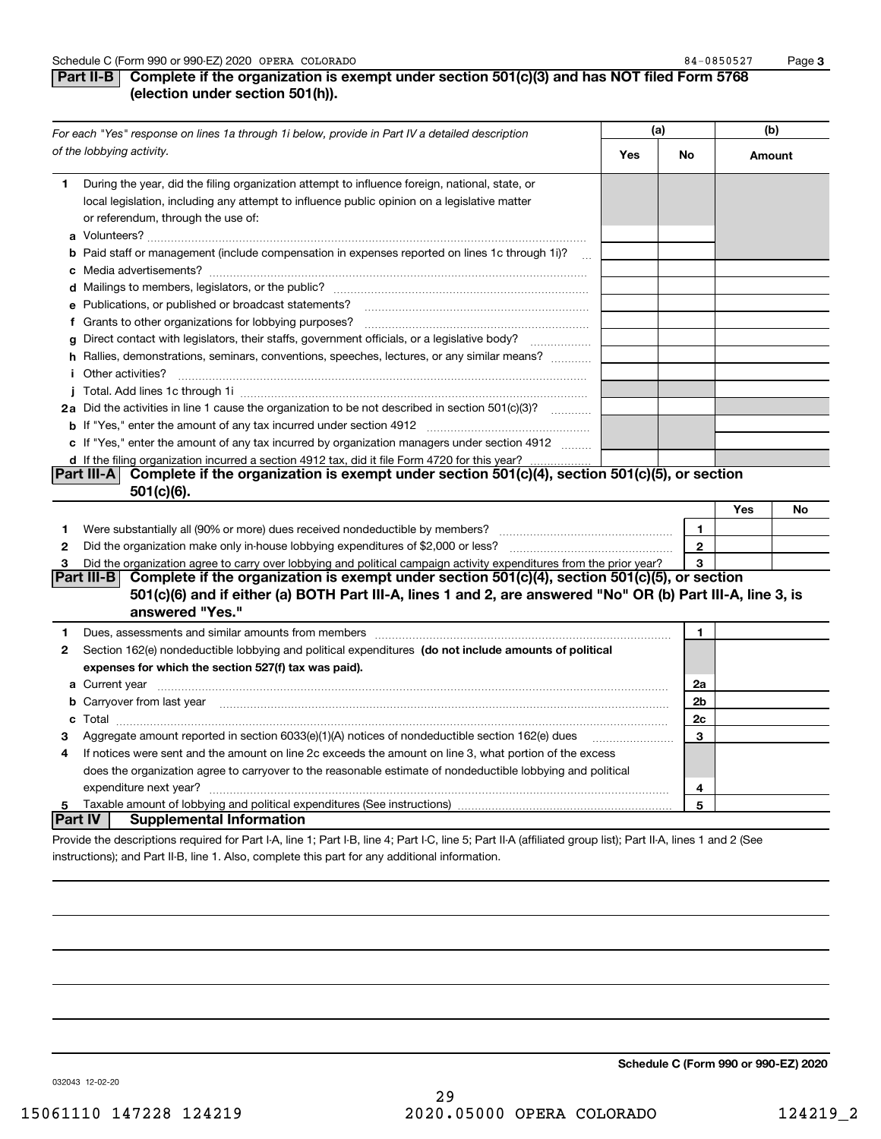#### **Part II-B** Complete if the organization is exempt under section 501(c)(3) and has NOT filed Form 5768 **(election under section 501(h)).**

|              | For each "Yes" response on lines 1a through 1i below, provide in Part IV a detailed description                                                                                                                                      | (a) |                | (b)    |    |
|--------------|--------------------------------------------------------------------------------------------------------------------------------------------------------------------------------------------------------------------------------------|-----|----------------|--------|----|
|              | of the lobbying activity.                                                                                                                                                                                                            | Yes | No             | Amount |    |
| 1            | During the year, did the filing organization attempt to influence foreign, national, state, or<br>local legislation, including any attempt to influence public opinion on a legislative matter<br>or referendum, through the use of: |     |                |        |    |
|              | <b>b</b> Paid staff or management (include compensation in expenses reported on lines 1c through 1i)?<br>$\sim$                                                                                                                      |     |                |        |    |
|              |                                                                                                                                                                                                                                      |     |                |        |    |
|              | e Publications, or published or broadcast statements?                                                                                                                                                                                |     |                |        |    |
|              |                                                                                                                                                                                                                                      |     |                |        |    |
| g            | Direct contact with legislators, their staffs, government officials, or a legislative body?                                                                                                                                          |     |                |        |    |
|              | h Rallies, demonstrations, seminars, conventions, speeches, lectures, or any similar means?                                                                                                                                          |     |                |        |    |
|              | <i>i</i> Other activities?                                                                                                                                                                                                           |     |                |        |    |
|              |                                                                                                                                                                                                                                      |     |                |        |    |
|              | 2a Did the activities in line 1 cause the organization to be not described in section 501(c)(3)?                                                                                                                                     |     |                |        |    |
|              |                                                                                                                                                                                                                                      |     |                |        |    |
|              | c If "Yes," enter the amount of any tax incurred by organization managers under section 4912                                                                                                                                         |     |                |        |    |
|              | d If the filing organization incurred a section 4912 tax, did it file Form 4720 for this year?                                                                                                                                       |     |                |        |    |
|              | Complete if the organization is exempt under section 501(c)(4), section 501(c)(5), or section<br> Part III-A                                                                                                                         |     |                |        |    |
|              | $501(c)(6)$ .                                                                                                                                                                                                                        |     |                |        |    |
|              |                                                                                                                                                                                                                                      |     |                | Yes    | No |
| 1            |                                                                                                                                                                                                                                      |     | $\mathbf{1}$   |        |    |
| $\mathbf{2}$ |                                                                                                                                                                                                                                      |     | $\mathbf{2}$   |        |    |
| 3            | Did the organization agree to carry over lobbying and political campaign activity expenditures from the prior year?                                                                                                                  |     | 3              |        |    |
|              | Complete if the organization is exempt under section 501(c)(4), section 501(c)(5), or section<br>501(c)(6) and if either (a) BOTH Part III-A, lines 1 and 2, are answered "No" OR (b) Part III-A, line 3, is<br>answered "Yes."      |     |                |        |    |
| 1            | Dues, assessments and similar amounts from members [11] matter content to assessments and similar amounts from members [11] matter content and similar amounts from members [11] matter content and the state of the state of        |     | 1              |        |    |
| $\mathbf{2}$ | Section 162(e) nondeductible lobbying and political expenditures (do not include amounts of political                                                                                                                                |     |                |        |    |
|              | expenses for which the section 527(f) tax was paid).                                                                                                                                                                                 |     |                |        |    |
|              |                                                                                                                                                                                                                                      |     | 2a             |        |    |
|              | <b>b</b> Carryover from last year manufactured contains and contained a contained and contained a contained and contained a contained and contained a contained a contained and contained a contained a contained and contained a c  |     | 2 <sub>b</sub> |        |    |
|              |                                                                                                                                                                                                                                      |     | 2c             |        |    |
| З            | Aggregate amount reported in section 6033(e)(1)(A) notices of nondeductible section 162(e) dues                                                                                                                                      |     | 3              |        |    |
| 4            | If notices were sent and the amount on line 2c exceeds the amount on line 3, what portion of the excess                                                                                                                              |     |                |        |    |
|              | does the organization agree to carryover to the reasonable estimate of nondeductible lobbying and political                                                                                                                          |     |                |        |    |
|              | expenditure next year?                                                                                                                                                                                                               |     | 4              |        |    |
| 5            |                                                                                                                                                                                                                                      |     | 5              |        |    |
|              | <b>Part IV</b><br><b>Supplemental Information</b>                                                                                                                                                                                    |     |                |        |    |
|              | Provide the descriptions required for Part I-A, line 1; Part I-B, line 4; Part I-C, line 5; Part II-A (affiliated group list); Part II-A, lines 1 and 2 (See                                                                         |     |                |        |    |

instructions); and Part II-B, line 1. Also, complete this part for any additional information.

**Schedule C (Form 990 or 990-EZ) 2020**

032043 12-02-20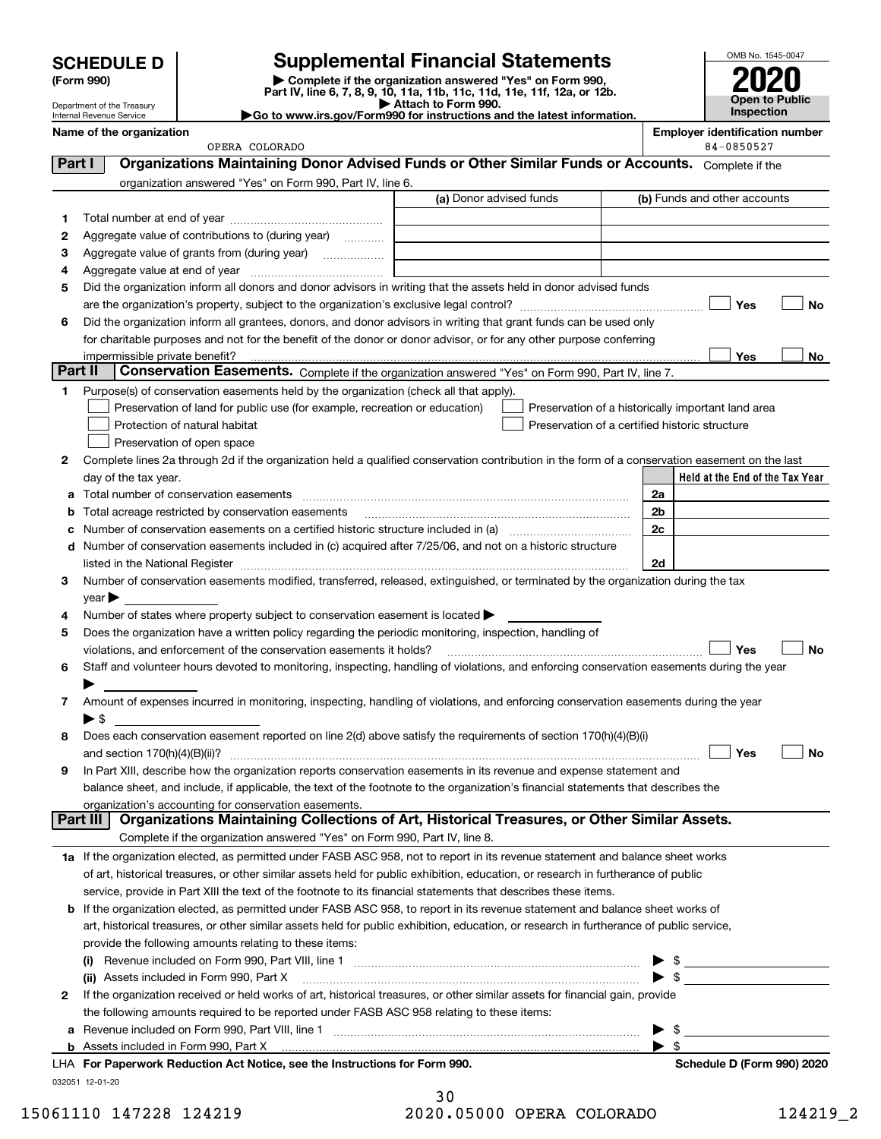| <b>SCHEDULE D</b> |  |
|-------------------|--|
|-------------------|--|

Department of the Treasury Internal Revenue Service

# **SCHEDULE D Supplemental Financial Statements**<br> **Supplemental Financial Statements**<br> **Supplemental Financial Statements**

(Form 990)<br>
Pepartment of the Treasury<br>
Department of the Treasury<br>
Department of the Treasury<br>
Department of the Treasury<br> **Co to www.irs.gov/Form990 for instructions and the latest information.**<br> **Co to www.irs.gov/Form9** 



|  | Name of the organization |
|--|--------------------------|
|  |                          |

**Name of the oriental conducts of the oriental conducts of the oriental conducts of the oriental conducts of the oriental conducts of the oriental conducts of the oriental conducts of the oriental conducts of the oriental** 

|          | OPERA COLORADO                                                                                                                                        |                         | 84-0850527                                         |
|----------|-------------------------------------------------------------------------------------------------------------------------------------------------------|-------------------------|----------------------------------------------------|
| Part I   | Organizations Maintaining Donor Advised Funds or Other Similar Funds or Accounts. Complete if the                                                     |                         |                                                    |
|          | organization answered "Yes" on Form 990, Part IV, line 6.                                                                                             |                         |                                                    |
|          |                                                                                                                                                       | (a) Donor advised funds | (b) Funds and other accounts                       |
| 1        |                                                                                                                                                       |                         |                                                    |
| 2        | Aggregate value of contributions to (during year)                                                                                                     |                         |                                                    |
| 3        |                                                                                                                                                       |                         |                                                    |
| 4        |                                                                                                                                                       |                         |                                                    |
| 5        | Did the organization inform all donors and donor advisors in writing that the assets held in donor advised funds                                      |                         |                                                    |
|          |                                                                                                                                                       |                         | Yes<br>No                                          |
|          |                                                                                                                                                       |                         |                                                    |
| 6        | Did the organization inform all grantees, donors, and donor advisors in writing that grant funds can be used only                                     |                         |                                                    |
|          | for charitable purposes and not for the benefit of the donor or donor advisor, or for any other purpose conferring                                    |                         |                                                    |
| Part II  | impermissible private benefit?                                                                                                                        |                         | Yes<br>No                                          |
|          | Conservation Easements. Complete if the organization answered "Yes" on Form 990, Part IV, line 7.                                                     |                         |                                                    |
| 1.       | Purpose(s) of conservation easements held by the organization (check all that apply).                                                                 |                         |                                                    |
|          | Preservation of land for public use (for example, recreation or education)                                                                            |                         | Preservation of a historically important land area |
|          | Protection of natural habitat                                                                                                                         |                         | Preservation of a certified historic structure     |
|          | Preservation of open space                                                                                                                            |                         |                                                    |
| 2        | Complete lines 2a through 2d if the organization held a qualified conservation contribution in the form of a conservation easement on the last        |                         |                                                    |
|          | day of the tax year.                                                                                                                                  |                         | Held at the End of the Tax Year                    |
| а        | Total number of conservation easements                                                                                                                |                         | 2a                                                 |
| b        | Total acreage restricted by conservation easements                                                                                                    |                         | 2b                                                 |
| с        |                                                                                                                                                       |                         | 2c                                                 |
|          | d Number of conservation easements included in (c) acquired after 7/25/06, and not on a historic structure                                            |                         |                                                    |
|          |                                                                                                                                                       |                         | 2d                                                 |
| 3        | Number of conservation easements modified, transferred, released, extinguished, or terminated by the organization during the tax                      |                         |                                                    |
|          | year                                                                                                                                                  |                         |                                                    |
| 4        | Number of states where property subject to conservation easement is located >                                                                         |                         |                                                    |
| 5        | Does the organization have a written policy regarding the periodic monitoring, inspection, handling of                                                |                         |                                                    |
|          | violations, and enforcement of the conservation easements it holds?                                                                                   |                         | Yes<br>No                                          |
| 6        | Staff and volunteer hours devoted to monitoring, inspecting, handling of violations, and enforcing conservation easements during the year             |                         |                                                    |
|          |                                                                                                                                                       |                         |                                                    |
| 7        | Amount of expenses incurred in monitoring, inspecting, handling of violations, and enforcing conservation easements during the year                   |                         |                                                    |
|          | $\blacktriangleright$ S                                                                                                                               |                         |                                                    |
| 8        | Does each conservation easement reported on line 2(d) above satisfy the requirements of section 170(h)(4)(B)(i)                                       |                         |                                                    |
|          |                                                                                                                                                       |                         | Yes<br>No                                          |
| 9        | In Part XIII, describe how the organization reports conservation easements in its revenue and expense statement and                                   |                         |                                                    |
|          | balance sheet, and include, if applicable, the text of the footnote to the organization's financial statements that describes the                     |                         |                                                    |
|          |                                                                                                                                                       |                         |                                                    |
| Part III | organization's accounting for conservation easements.<br>Organizations Maintaining Collections of Art, Historical Treasures, or Other Similar Assets. |                         |                                                    |
|          | Complete if the organization answered "Yes" on Form 990, Part IV, line 8.                                                                             |                         |                                                    |
|          |                                                                                                                                                       |                         |                                                    |
|          | 1a If the organization elected, as permitted under FASB ASC 958, not to report in its revenue statement and balance sheet works                       |                         |                                                    |
|          | of art, historical treasures, or other similar assets held for public exhibition, education, or research in furtherance of public                     |                         |                                                    |
|          | service, provide in Part XIII the text of the footnote to its financial statements that describes these items.                                        |                         |                                                    |
|          | <b>b</b> If the organization elected, as permitted under FASB ASC 958, to report in its revenue statement and balance sheet works of                  |                         |                                                    |
|          | art, historical treasures, or other similar assets held for public exhibition, education, or research in furtherance of public service,               |                         |                                                    |
|          | provide the following amounts relating to these items:                                                                                                |                         |                                                    |
|          | (i)                                                                                                                                                   |                         | - \$<br>▶                                          |
|          | (ii) Assets included in Form 990, Part X                                                                                                              |                         | $\blacktriangleright$ \$                           |
| 2        | If the organization received or held works of art, historical treasures, or other similar assets for financial gain, provide                          |                         |                                                    |
|          | the following amounts required to be reported under FASB ASC 958 relating to these items:                                                             |                         |                                                    |
| а        |                                                                                                                                                       |                         | -\$<br>▶                                           |
|          |                                                                                                                                                       |                         | $\blacktriangleright$ s                            |
|          | LHA For Paperwork Reduction Act Notice, see the Instructions for Form 990.                                                                            |                         | Schedule D (Form 990) 2020                         |

032051 12-01-20

30 15061110 147228 124219 2020.05000 OPERA COLORADO 124219\_2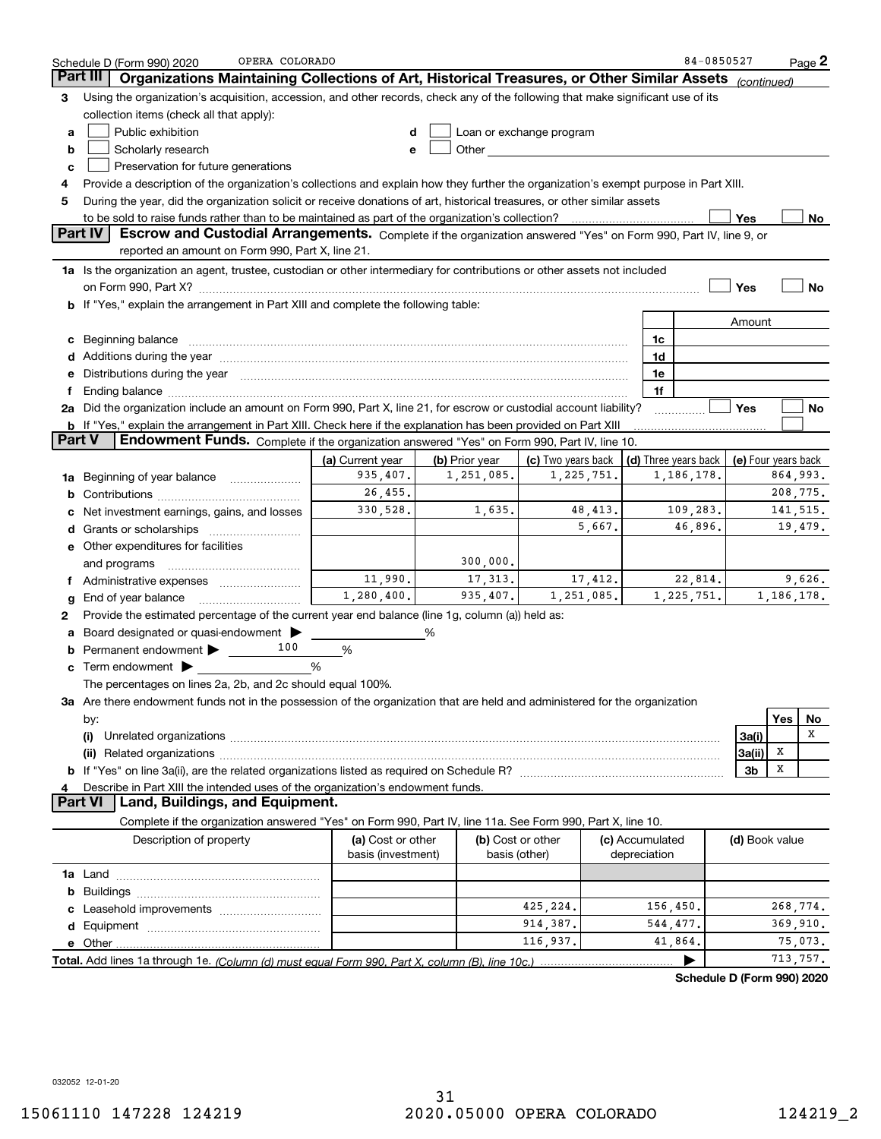|               | OPERA COLORADO<br>Schedule D (Form 990) 2020                                                                                                                                                                                   |                                         |                |                                                                                                                                                                                                                                |          |                                 | 84-0850527           |                     |            | $Page$ 2 |
|---------------|--------------------------------------------------------------------------------------------------------------------------------------------------------------------------------------------------------------------------------|-----------------------------------------|----------------|--------------------------------------------------------------------------------------------------------------------------------------------------------------------------------------------------------------------------------|----------|---------------------------------|----------------------|---------------------|------------|----------|
|               | Part III<br>Organizations Maintaining Collections of Art, Historical Treasures, or Other Similar Assets                                                                                                                        |                                         |                |                                                                                                                                                                                                                                |          |                                 |                      | (continued)         |            |          |
| 3             | Using the organization's acquisition, accession, and other records, check any of the following that make significant use of its                                                                                                |                                         |                |                                                                                                                                                                                                                                |          |                                 |                      |                     |            |          |
|               | collection items (check all that apply):                                                                                                                                                                                       |                                         |                |                                                                                                                                                                                                                                |          |                                 |                      |                     |            |          |
| а             | Public exhibition                                                                                                                                                                                                              |                                         |                | Loan or exchange program                                                                                                                                                                                                       |          |                                 |                      |                     |            |          |
| b             | Scholarly research                                                                                                                                                                                                             |                                         |                | Other the contract of the contract of the contract of the contract of the contract of the contract of the contract of the contract of the contract of the contract of the contract of the contract of the contract of the cont |          |                                 |                      |                     |            |          |
| с             | Preservation for future generations                                                                                                                                                                                            |                                         |                |                                                                                                                                                                                                                                |          |                                 |                      |                     |            |          |
| 4             | Provide a description of the organization's collections and explain how they further the organization's exempt purpose in Part XIII.                                                                                           |                                         |                |                                                                                                                                                                                                                                |          |                                 |                      |                     |            |          |
| 5             | During the year, did the organization solicit or receive donations of art, historical treasures, or other similar assets                                                                                                       |                                         |                |                                                                                                                                                                                                                                |          |                                 |                      |                     |            |          |
|               | to be sold to raise funds rather than to be maintained as part of the organization's collection?                                                                                                                               |                                         |                |                                                                                                                                                                                                                                |          |                                 |                      | Yes                 |            | No       |
|               | Escrow and Custodial Arrangements. Complete if the organization answered "Yes" on Form 990, Part IV, line 9, or<br><b>Part IV</b>                                                                                              |                                         |                |                                                                                                                                                                                                                                |          |                                 |                      |                     |            |          |
|               | reported an amount on Form 990, Part X, line 21.                                                                                                                                                                               |                                         |                |                                                                                                                                                                                                                                |          |                                 |                      |                     |            |          |
|               | 1a Is the organization an agent, trustee, custodian or other intermediary for contributions or other assets not included                                                                                                       |                                         |                |                                                                                                                                                                                                                                |          |                                 |                      |                     |            |          |
|               | on Form 990, Part X? [11] matter contracts and contracts and contracts are contracted and contracts are contracted and contract and contract of the contract of the contract of the contract of the contract of the contract o |                                         |                |                                                                                                                                                                                                                                |          |                                 |                      | Yes                 |            | No       |
|               | b If "Yes," explain the arrangement in Part XIII and complete the following table:                                                                                                                                             |                                         |                |                                                                                                                                                                                                                                |          |                                 |                      |                     |            |          |
|               |                                                                                                                                                                                                                                |                                         |                |                                                                                                                                                                                                                                |          |                                 |                      | Amount              |            |          |
| c             | Beginning balance www.communication.com/multiplication.com/multiplication.com/multiplication.com/multiplicatio                                                                                                                 |                                         |                |                                                                                                                                                                                                                                |          | 1c                              |                      |                     |            |          |
|               | d Additions during the year measurement contains and a state of the year measurement of the year measurement of                                                                                                                |                                         |                |                                                                                                                                                                                                                                |          | 1d                              |                      |                     |            |          |
| е             | Distributions during the year manufactured and an according to the state of the state of the state of the state of the state of the state of the state of the state of the state of the state of the state of the state of the |                                         |                |                                                                                                                                                                                                                                |          | 1e<br>1f                        |                      |                     |            |          |
| f.            | 2a Did the organization include an amount on Form 990, Part X, line 21, for escrow or custodial account liability?                                                                                                             |                                         |                |                                                                                                                                                                                                                                |          |                                 |                      | Yes                 |            | No       |
|               | <b>b</b> If "Yes," explain the arrangement in Part XIII. Check here if the explanation has been provided on Part XIII                                                                                                          |                                         |                |                                                                                                                                                                                                                                |          |                                 | .                    |                     |            |          |
| <b>Part V</b> | Endowment Funds. Complete if the organization answered "Yes" on Form 990, Part IV, line 10.                                                                                                                                    |                                         |                |                                                                                                                                                                                                                                |          |                                 |                      |                     |            |          |
|               |                                                                                                                                                                                                                                | (a) Current year                        | (b) Prior year | (c) Two years back                                                                                                                                                                                                             |          |                                 | (d) Three years back | (e) Four years back |            |          |
| 1a            | Beginning of year balance                                                                                                                                                                                                      | 935,407.                                | 1,251,085.     | 1,225,751.                                                                                                                                                                                                                     |          |                                 | 1,186,178.           |                     | 864,993.   |          |
| b             |                                                                                                                                                                                                                                | 26,455.                                 |                |                                                                                                                                                                                                                                |          |                                 |                      | 208,775.            |            |          |
|               | Net investment earnings, gains, and losses                                                                                                                                                                                     | 330,528.                                | 1,635.         |                                                                                                                                                                                                                                | 48, 413. |                                 | 109,283.             |                     | 141, 515.  |          |
|               | Grants or scholarships [ <i>[[[[[[[[[[[[[[[[[[[[[[[[[[[[[[[]]]]]</i>                                                                                                                                                           |                                         |                |                                                                                                                                                                                                                                | 5,667.   |                                 | 46,896.              |                     |            | 19,479.  |
|               | e Other expenditures for facilities                                                                                                                                                                                            |                                         |                |                                                                                                                                                                                                                                |          |                                 |                      |                     |            |          |
|               | and programs                                                                                                                                                                                                                   |                                         | 300,000.       |                                                                                                                                                                                                                                |          |                                 |                      |                     |            |          |
|               | f Administrative expenses                                                                                                                                                                                                      | 11,990.                                 | 17,313.        |                                                                                                                                                                                                                                | 17,412.  |                                 | 22,814.              |                     |            | 9,626.   |
| g             | End of year balance                                                                                                                                                                                                            | 1,280,400.                              | 935,407.       | 1,251,085.                                                                                                                                                                                                                     |          |                                 | 1,225,751.           |                     | 1,186,178. |          |
| 2             | Provide the estimated percentage of the current year end balance (line 1g, column (a)) held as:                                                                                                                                |                                         |                |                                                                                                                                                                                                                                |          |                                 |                      |                     |            |          |
| а             | Board designated or quasi-endowment                                                                                                                                                                                            |                                         | %              |                                                                                                                                                                                                                                |          |                                 |                      |                     |            |          |
|               | 100<br><b>b</b> Permanent endowment $\blacktriangleright$                                                                                                                                                                      | %                                       |                |                                                                                                                                                                                                                                |          |                                 |                      |                     |            |          |
|               | <b>c</b> Term endowment $\blacktriangleright$                                                                                                                                                                                  | %                                       |                |                                                                                                                                                                                                                                |          |                                 |                      |                     |            |          |
|               | The percentages on lines 2a, 2b, and 2c should equal 100%.                                                                                                                                                                     |                                         |                |                                                                                                                                                                                                                                |          |                                 |                      |                     |            |          |
|               | 3a Are there endowment funds not in the possession of the organization that are held and administered for the organization                                                                                                     |                                         |                |                                                                                                                                                                                                                                |          |                                 |                      |                     |            |          |
|               | by:                                                                                                                                                                                                                            |                                         |                |                                                                                                                                                                                                                                |          |                                 |                      |                     | Yes        | No       |
|               | (i)                                                                                                                                                                                                                            |                                         |                |                                                                                                                                                                                                                                |          |                                 |                      | 3a(i)               |            | х        |
|               |                                                                                                                                                                                                                                |                                         |                |                                                                                                                                                                                                                                |          |                                 |                      | 3a(ii)              | x          |          |
|               |                                                                                                                                                                                                                                |                                         |                |                                                                                                                                                                                                                                |          |                                 |                      | 3b                  | x          |          |
| 4             | Describe in Part XIII the intended uses of the organization's endowment funds.<br>Land, Buildings, and Equipment.<br><b>Part VI</b>                                                                                            |                                         |                |                                                                                                                                                                                                                                |          |                                 |                      |                     |            |          |
|               |                                                                                                                                                                                                                                |                                         |                |                                                                                                                                                                                                                                |          |                                 |                      |                     |            |          |
|               | Complete if the organization answered "Yes" on Form 990, Part IV, line 11a. See Form 990, Part X, line 10.                                                                                                                     |                                         |                |                                                                                                                                                                                                                                |          |                                 |                      |                     |            |          |
|               | Description of property                                                                                                                                                                                                        | (a) Cost or other<br>basis (investment) |                | (b) Cost or other<br>basis (other)                                                                                                                                                                                             |          | (c) Accumulated<br>depreciation |                      | (d) Book value      |            |          |
|               |                                                                                                                                                                                                                                |                                         |                |                                                                                                                                                                                                                                |          |                                 |                      |                     |            |          |
| b             |                                                                                                                                                                                                                                |                                         |                |                                                                                                                                                                                                                                |          |                                 |                      |                     |            |          |
| c             |                                                                                                                                                                                                                                |                                         |                | 425,224.                                                                                                                                                                                                                       |          |                                 | 156,450.             |                     | 268,774.   |          |
| d             |                                                                                                                                                                                                                                |                                         |                | 914,387.                                                                                                                                                                                                                       |          |                                 | 544,477.             |                     | 369,910.   |          |
|               |                                                                                                                                                                                                                                |                                         |                | 116,937.                                                                                                                                                                                                                       |          |                                 | 41,864.              |                     |            | 75,073.  |
|               |                                                                                                                                                                                                                                |                                         |                |                                                                                                                                                                                                                                |          |                                 |                      |                     | 713,757.   |          |

**Schedule D (Form 990) 2020**

032052 12-01-20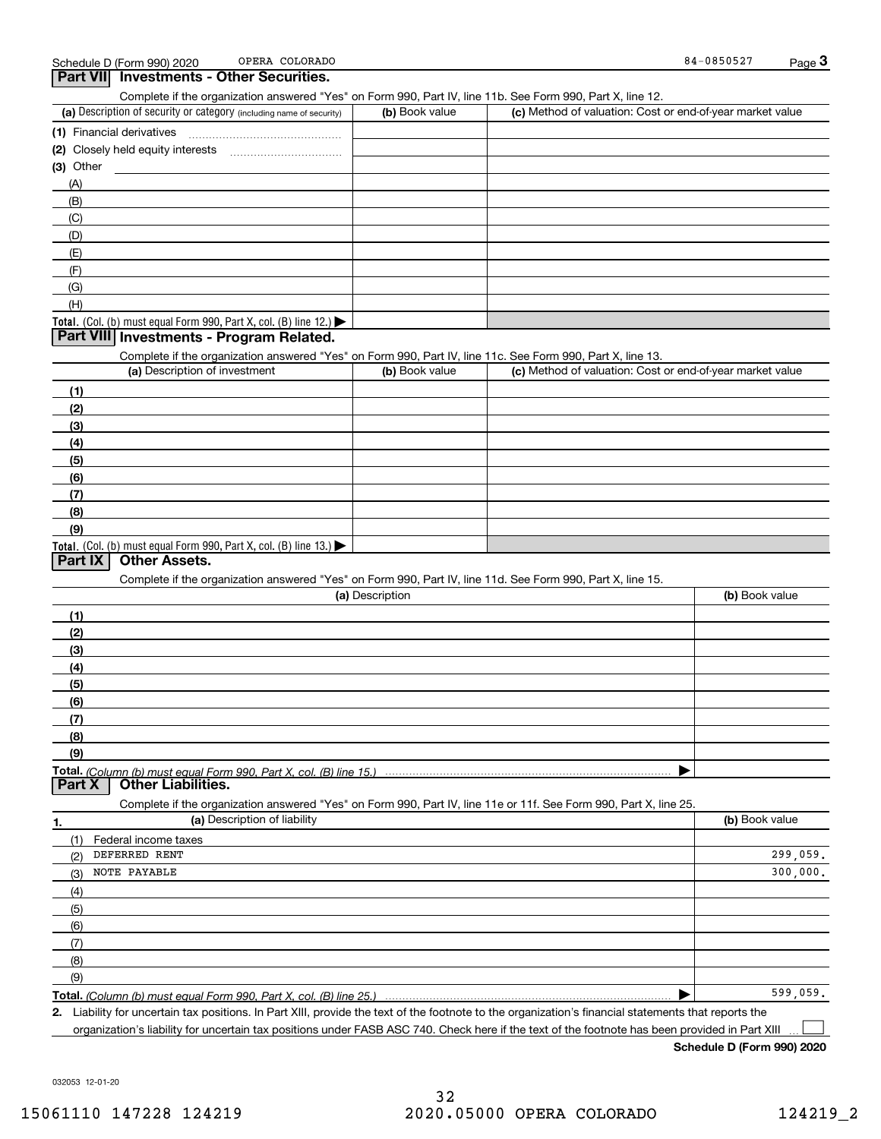| OPERA COLORADO<br>Schedule D (Form 990) 2020                                                                      |                 |                                                           | 84-0850527     | $Page$ <sup>3</sup> |
|-------------------------------------------------------------------------------------------------------------------|-----------------|-----------------------------------------------------------|----------------|---------------------|
| Part VII Investments - Other Securities.                                                                          |                 |                                                           |                |                     |
| Complete if the organization answered "Yes" on Form 990, Part IV, line 11b. See Form 990, Part X, line 12.        |                 |                                                           |                |                     |
| (a) Description of security or category (including name of security)                                              | (b) Book value  | (c) Method of valuation: Cost or end-of-year market value |                |                     |
|                                                                                                                   |                 |                                                           |                |                     |
|                                                                                                                   |                 |                                                           |                |                     |
| $(3)$ Other                                                                                                       |                 |                                                           |                |                     |
| (A)                                                                                                               |                 |                                                           |                |                     |
| (B)                                                                                                               |                 |                                                           |                |                     |
| (C)                                                                                                               |                 |                                                           |                |                     |
| (D)                                                                                                               |                 |                                                           |                |                     |
| (E)                                                                                                               |                 |                                                           |                |                     |
| (F)                                                                                                               |                 |                                                           |                |                     |
| (G)                                                                                                               |                 |                                                           |                |                     |
| (H)                                                                                                               |                 |                                                           |                |                     |
| Total. (Col. (b) must equal Form 990, Part X, col. (B) line 12.)                                                  |                 |                                                           |                |                     |
| Part VIII Investments - Program Related.                                                                          |                 |                                                           |                |                     |
| Complete if the organization answered "Yes" on Form 990, Part IV, line 11c. See Form 990, Part X, line 13.        |                 |                                                           |                |                     |
| (a) Description of investment                                                                                     | (b) Book value  | (c) Method of valuation: Cost or end-of-year market value |                |                     |
| (1)                                                                                                               |                 |                                                           |                |                     |
| (2)                                                                                                               |                 |                                                           |                |                     |
| (3)                                                                                                               |                 |                                                           |                |                     |
| (4)                                                                                                               |                 |                                                           |                |                     |
| (5)                                                                                                               |                 |                                                           |                |                     |
| (6)                                                                                                               |                 |                                                           |                |                     |
| (7)                                                                                                               |                 |                                                           |                |                     |
| (8)                                                                                                               |                 |                                                           |                |                     |
| (9)                                                                                                               |                 |                                                           |                |                     |
| Total. (Col. (b) must equal Form 990, Part X, col. (B) line 13.)                                                  |                 |                                                           |                |                     |
| <b>Other Assets.</b><br>Part IX                                                                                   |                 |                                                           |                |                     |
| Complete if the organization answered "Yes" on Form 990, Part IV, line 11d. See Form 990, Part X, line 15.        |                 |                                                           |                |                     |
|                                                                                                                   | (a) Description |                                                           | (b) Book value |                     |
| (1)                                                                                                               |                 |                                                           |                |                     |
|                                                                                                                   |                 |                                                           |                |                     |
| (2)                                                                                                               |                 |                                                           |                |                     |
| (3)                                                                                                               |                 |                                                           |                |                     |
| (4)                                                                                                               |                 |                                                           |                |                     |
| (5)                                                                                                               |                 |                                                           |                |                     |
| (6)                                                                                                               |                 |                                                           |                |                     |
| (7)                                                                                                               |                 |                                                           |                |                     |
| (8)                                                                                                               |                 |                                                           |                |                     |
| (9)                                                                                                               |                 |                                                           |                |                     |
| <b>Other Liabilities.</b>                                                                                         |                 |                                                           |                |                     |
| Part X                                                                                                            |                 |                                                           |                |                     |
| Complete if the organization answered "Yes" on Form 990, Part IV, line 11e or 11f. See Form 990, Part X, line 25. |                 |                                                           |                |                     |
| (a) Description of liability<br>1.                                                                                |                 |                                                           | (b) Book value |                     |
| (1)<br>Federal income taxes                                                                                       |                 |                                                           |                |                     |
| DEFERRED RENT<br>(2)                                                                                              |                 |                                                           |                | 299,059.            |
| NOTE PAYABLE<br>(3)                                                                                               |                 |                                                           |                | 300,000.            |
| (4)                                                                                                               |                 |                                                           |                |                     |
| (5)                                                                                                               |                 |                                                           |                |                     |
| (6)                                                                                                               |                 |                                                           |                |                     |
| (7)                                                                                                               |                 |                                                           |                |                     |
| (8)                                                                                                               |                 |                                                           |                |                     |
| (9)                                                                                                               |                 |                                                           |                |                     |
| Total. (Column (b) must equal Form 990, Part X, col. (B) line 25.)                                                |                 |                                                           |                | 599,059.            |

**2.** Liability for uncertain tax positions. In Part XIII, provide the text of the footnote to the organization's financial statements that reports the organization's liability for uncertain tax positions under FASB ASC 740. Check here if the text of the footnote has been provided in Part XIII

 $\mathcal{L}^{\text{max}}$ 

**Schedule D (Form 990) 2020**

032053 12-01-20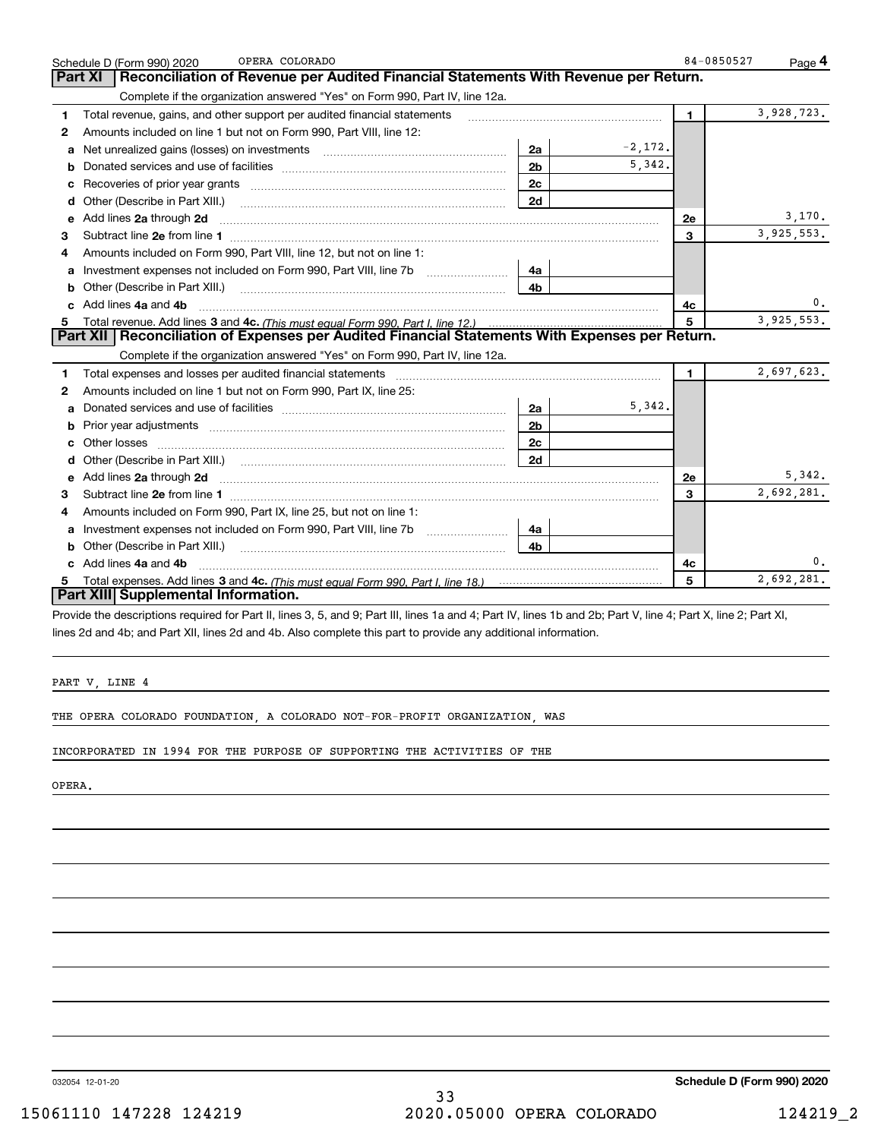|    | OPERA COLORADO<br>Schedule D (Form 990) 2020                                                                                                                                                                                        |                |           | 84-0850527     | Page 4     |
|----|-------------------------------------------------------------------------------------------------------------------------------------------------------------------------------------------------------------------------------------|----------------|-----------|----------------|------------|
|    | Reconciliation of Revenue per Audited Financial Statements With Revenue per Return.<br>Part XI                                                                                                                                      |                |           |                |            |
|    | Complete if the organization answered "Yes" on Form 990, Part IV, line 12a.                                                                                                                                                         |                |           |                |            |
| 1  | Total revenue, gains, and other support per audited financial statements                                                                                                                                                            |                |           | $\blacksquare$ | 3,928,723. |
| 2  | Amounts included on line 1 but not on Form 990, Part VIII, line 12:                                                                                                                                                                 |                |           |                |            |
| a  |                                                                                                                                                                                                                                     | 2a             | $-2,172.$ |                |            |
| b  |                                                                                                                                                                                                                                     | 2 <sub>b</sub> | 5.342.    |                |            |
|    |                                                                                                                                                                                                                                     | 2c             |           |                |            |
| d  | Other (Describe in Part XIII.) <b>Construction Contract Construction</b> Chern Construction Construction Construction                                                                                                               | 2d             |           |                |            |
| е  | Add lines 2a through 2d                                                                                                                                                                                                             |                |           | <b>2e</b>      | 3,170.     |
| з  |                                                                                                                                                                                                                                     |                |           | $\mathbf{3}$   | 3,925,553. |
| 4  | Amounts included on Form 990, Part VIII, line 12, but not on line 1:                                                                                                                                                                |                |           |                |            |
|    |                                                                                                                                                                                                                                     | 4a             |           |                |            |
| b  |                                                                                                                                                                                                                                     | 4 <sub>b</sub> |           |                |            |
| c. | Add lines 4a and 4b                                                                                                                                                                                                                 |                |           | 4c             | 0.         |
|    |                                                                                                                                                                                                                                     |                |           | 5              | 3,925,553. |
|    | Part XII   Reconciliation of Expenses per Audited Financial Statements With Expenses per Return.                                                                                                                                    |                |           |                |            |
|    | Complete if the organization answered "Yes" on Form 990, Part IV, line 12a.                                                                                                                                                         |                |           |                |            |
| 1  | Total expenses and losses per audited financial statements [11,11] [11] Total expenses and losses per audited financial statements [11] [11] Total expenses and losses per audited financial statements                             |                |           | $\blacksquare$ | 2,697,623. |
| 2  | Amounts included on line 1 but not on Form 990, Part IX, line 25:                                                                                                                                                                   |                |           |                |            |
| a  |                                                                                                                                                                                                                                     | 2a             | 5,342.    |                |            |
| b  |                                                                                                                                                                                                                                     | 2 <sub>b</sub> |           |                |            |
| c  | Other losses                                                                                                                                                                                                                        | 2c             |           |                |            |
| d  |                                                                                                                                                                                                                                     | 2d             |           |                |            |
| e  | Add lines 2a through 2d <b>contained a contained a contained a contained a</b> contained a contained a contained a contained a contained a contained a contained a contained a contained a contained a contained a contained a cont |                |           | 2e             | 5,342.     |
| 3  |                                                                                                                                                                                                                                     |                |           | 3              | 2,692,281. |
| 4  | Amounts included on Form 990, Part IX, line 25, but not on line 1:                                                                                                                                                                  |                |           |                |            |
| a  |                                                                                                                                                                                                                                     | 4a             |           |                |            |
| b  | Other (Describe in Part XIII.)                                                                                                                                                                                                      | 4 <sub>b</sub> |           |                |            |
| c. | Add lines 4a and 4b                                                                                                                                                                                                                 |                |           | 4c             | 0.         |
|    |                                                                                                                                                                                                                                     |                |           | 5              | 2,692,281. |
|    | Part XIII Supplemental Information.                                                                                                                                                                                                 |                |           |                |            |

Provide the descriptions required for Part II, lines 3, 5, and 9; Part III, lines 1a and 4; Part IV, lines 1b and 2b; Part V, line 4; Part X, line 2; Part XI, lines 2d and 4b; and Part XII, lines 2d and 4b. Also complete this part to provide any additional information.

PART V, LINE 4

THE OPERA COLORADO FOUNDATION, A COLORADO NOT-FOR-PROFIT ORGANIZATION, WAS

INCORPORATED IN 1994 FOR THE PURPOSE OF SUPPORTING THE ACTIVITIES OF THE

OPERA.

032054 12-01-20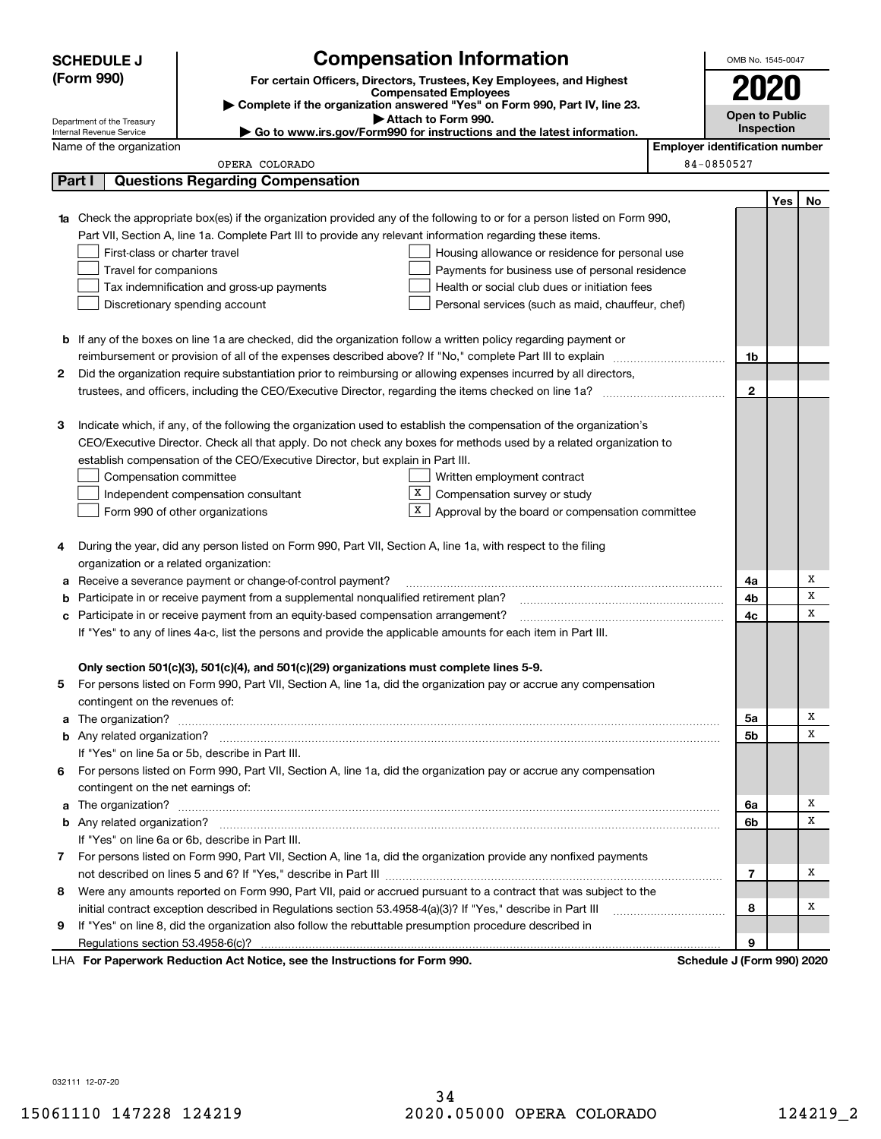|   | <b>SCHEDULE J</b>                                      | <b>Compensation Information</b>                                                                                                                                                                                                      |                                       | OMB No. 1545-0047          |     |     |
|---|--------------------------------------------------------|--------------------------------------------------------------------------------------------------------------------------------------------------------------------------------------------------------------------------------------|---------------------------------------|----------------------------|-----|-----|
|   | (Form 990)                                             | For certain Officers, Directors, Trustees, Key Employees, and Highest                                                                                                                                                                |                                       |                            |     |     |
|   |                                                        | <b>Compensated Employees</b>                                                                                                                                                                                                         |                                       | 2020                       |     |     |
|   |                                                        | Complete if the organization answered "Yes" on Form 990, Part IV, line 23.<br>Attach to Form 990.                                                                                                                                    |                                       | <b>Open to Public</b>      |     |     |
|   | Department of the Treasury<br>Internal Revenue Service | Go to www.irs.gov/Form990 for instructions and the latest information.                                                                                                                                                               |                                       | Inspection                 |     |     |
|   | Name of the organization                               |                                                                                                                                                                                                                                      | <b>Employer identification number</b> |                            |     |     |
|   |                                                        | OPERA COLORADO                                                                                                                                                                                                                       |                                       | 84-0850527                 |     |     |
|   | Part I                                                 | <b>Questions Regarding Compensation</b>                                                                                                                                                                                              |                                       |                            |     |     |
|   |                                                        |                                                                                                                                                                                                                                      |                                       |                            | Yes | No. |
|   |                                                        | Check the appropriate box(es) if the organization provided any of the following to or for a person listed on Form 990,                                                                                                               |                                       |                            |     |     |
|   |                                                        | Part VII, Section A, line 1a. Complete Part III to provide any relevant information regarding these items.                                                                                                                           |                                       |                            |     |     |
|   | First-class or charter travel                          | Housing allowance or residence for personal use                                                                                                                                                                                      |                                       |                            |     |     |
|   | Travel for companions                                  | Payments for business use of personal residence                                                                                                                                                                                      |                                       |                            |     |     |
|   |                                                        | Health or social club dues or initiation fees<br>Tax indemnification and gross-up payments                                                                                                                                           |                                       |                            |     |     |
|   |                                                        | Discretionary spending account<br>Personal services (such as maid, chauffeur, chef)                                                                                                                                                  |                                       |                            |     |     |
|   |                                                        |                                                                                                                                                                                                                                      |                                       |                            |     |     |
|   |                                                        | <b>b</b> If any of the boxes on line 1a are checked, did the organization follow a written policy regarding payment or                                                                                                               |                                       |                            |     |     |
|   |                                                        |                                                                                                                                                                                                                                      |                                       | 1b                         |     |     |
| 2 |                                                        | Did the organization require substantiation prior to reimbursing or allowing expenses incurred by all directors,                                                                                                                     |                                       |                            |     |     |
|   |                                                        |                                                                                                                                                                                                                                      |                                       | $\mathbf{2}$               |     |     |
|   |                                                        |                                                                                                                                                                                                                                      |                                       |                            |     |     |
| З |                                                        | Indicate which, if any, of the following the organization used to establish the compensation of the organization's                                                                                                                   |                                       |                            |     |     |
|   |                                                        | CEO/Executive Director. Check all that apply. Do not check any boxes for methods used by a related organization to                                                                                                                   |                                       |                            |     |     |
|   |                                                        | establish compensation of the CEO/Executive Director, but explain in Part III.                                                                                                                                                       |                                       |                            |     |     |
|   | Compensation committee                                 | Written employment contract                                                                                                                                                                                                          |                                       |                            |     |     |
|   |                                                        | $\mathbf{x}$<br>Compensation survey or study<br>Independent compensation consultant                                                                                                                                                  |                                       |                            |     |     |
|   |                                                        | Approval by the board or compensation committee<br>Form 990 of other organizations                                                                                                                                                   |                                       |                            |     |     |
| 4 |                                                        | During the year, did any person listed on Form 990, Part VII, Section A, line 1a, with respect to the filing                                                                                                                         |                                       |                            |     |     |
|   | organization or a related organization:                |                                                                                                                                                                                                                                      |                                       |                            |     |     |
| а |                                                        | Receive a severance payment or change-of-control payment?                                                                                                                                                                            |                                       | 4a                         |     | х   |
|   |                                                        | Participate in or receive payment from a supplemental nonqualified retirement plan?                                                                                                                                                  |                                       | 4b                         |     | X   |
|   |                                                        | Participate in or receive payment from an equity-based compensation arrangement?                                                                                                                                                     |                                       | 4c                         |     | х   |
|   |                                                        | If "Yes" to any of lines 4a-c, list the persons and provide the applicable amounts for each item in Part III.                                                                                                                        |                                       |                            |     |     |
|   |                                                        |                                                                                                                                                                                                                                      |                                       |                            |     |     |
|   |                                                        | Only section 501(c)(3), 501(c)(4), and 501(c)(29) organizations must complete lines 5-9.                                                                                                                                             |                                       |                            |     |     |
|   |                                                        | For persons listed on Form 990, Part VII, Section A, line 1a, did the organization pay or accrue any compensation                                                                                                                    |                                       |                            |     |     |
|   | contingent on the revenues of:                         |                                                                                                                                                                                                                                      |                                       |                            |     |     |
| a |                                                        |                                                                                                                                                                                                                                      |                                       | 5a                         |     | х   |
|   |                                                        |                                                                                                                                                                                                                                      |                                       | 5b                         |     | х   |
|   |                                                        | If "Yes" on line 5a or 5b, describe in Part III.                                                                                                                                                                                     |                                       |                            |     |     |
|   |                                                        | 6 For persons listed on Form 990, Part VII, Section A, line 1a, did the organization pay or accrue any compensation                                                                                                                  |                                       |                            |     |     |
|   | contingent on the net earnings of:                     |                                                                                                                                                                                                                                      |                                       |                            |     |     |
| a |                                                        | The organization? <b>With the contract of the contract of the contract of the contract of the contract of the contract of the contract of the contract of the contract of the contract of the contract of the contract of the co</b> |                                       | 6a                         |     | Χ   |
|   |                                                        |                                                                                                                                                                                                                                      |                                       | 6b                         |     | X   |
|   |                                                        | If "Yes" on line 6a or 6b, describe in Part III.                                                                                                                                                                                     |                                       |                            |     |     |
|   |                                                        | 7 For persons listed on Form 990, Part VII, Section A, line 1a, did the organization provide any nonfixed payments                                                                                                                   |                                       |                            |     |     |
|   |                                                        |                                                                                                                                                                                                                                      |                                       | 7                          |     | х   |
| 8 |                                                        | Were any amounts reported on Form 990, Part VII, paid or accrued pursuant to a contract that was subject to the                                                                                                                      |                                       |                            |     |     |
|   |                                                        | initial contract exception described in Regulations section 53.4958-4(a)(3)? If "Yes," describe in Part III                                                                                                                          |                                       | 8                          |     | х   |
| 9 |                                                        | If "Yes" on line 8, did the organization also follow the rebuttable presumption procedure described in                                                                                                                               |                                       |                            |     |     |
|   |                                                        |                                                                                                                                                                                                                                      |                                       | 9                          |     |     |
|   |                                                        | LHA For Paperwork Reduction Act Notice, see the Instructions for Form 990.                                                                                                                                                           |                                       | Schedule J (Form 990) 2020 |     |     |

032111 12-07-20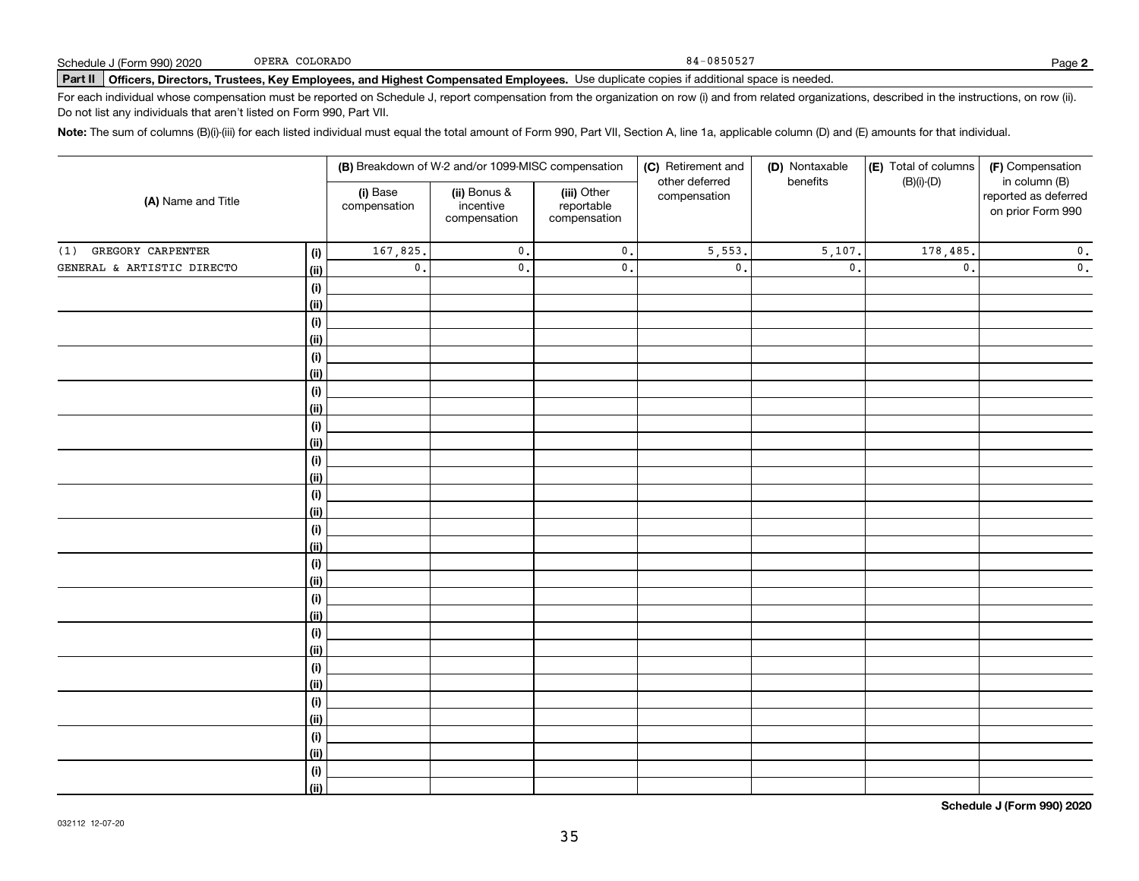84-0850527

# **Part II Officers, Directors, Trustees, Key Employees, and Highest Compensated Employees.**  Schedule J (Form 990) 2020 Page Use duplicate copies if additional space is needed.

For each individual whose compensation must be reported on Schedule J, report compensation from the organization on row (i) and from related organizations, described in the instructions, on row (ii). Do not list any individuals that aren't listed on Form 990, Part VII.

**Note:**  The sum of columns (B)(i)-(iii) for each listed individual must equal the total amount of Form 990, Part VII, Section A, line 1a, applicable column (D) and (E) amounts for that individual.

|                            |                | (B) Breakdown of W-2 and/or 1099-MISC compensation |                                           |                                           | (C) Retirement and             | (D) Nontaxable            | (E) Total of columns        | (F) Compensation                                           |
|----------------------------|----------------|----------------------------------------------------|-------------------------------------------|-------------------------------------------|--------------------------------|---------------------------|-----------------------------|------------------------------------------------------------|
| (A) Name and Title         |                | (i) Base<br>compensation                           | (ii) Bonus &<br>incentive<br>compensation | (iii) Other<br>reportable<br>compensation | other deferred<br>compensation | benefits                  | $(B)(i)-(D)$                | in column (B)<br>reported as deferred<br>on prior Form 990 |
| GREGORY CARPENTER<br>(1)   | (i)            | 167,825.                                           | $\mathfrak o$ .                           | $\mathbf 0$ .                             | 5, 553.                        | 5,107.                    | 178,485.                    | $\mathbf 0$ .                                              |
| GENERAL & ARTISTIC DIRECTO | <u>(ii)</u>    | $\overline{\mathbf{0}}$ .                          | $\mathbf{0}$ .                            | $\mathsf{0}$ .                            | $\mathsf{0}$ .                 | $\overline{\mathbf{0}}$ . | $\overline{\mathfrak{o}}$ . | $\overline{\mathbf{0}}$ .                                  |
|                            | (i)            |                                                    |                                           |                                           |                                |                           |                             |                                                            |
|                            | <u>(ii)</u>    |                                                    |                                           |                                           |                                |                           |                             |                                                            |
|                            | $(\sf{i})$     |                                                    |                                           |                                           |                                |                           |                             |                                                            |
|                            | <u>(ii)</u>    |                                                    |                                           |                                           |                                |                           |                             |                                                            |
|                            | (i)            |                                                    |                                           |                                           |                                |                           |                             |                                                            |
|                            | <u>(ii)</u>    |                                                    |                                           |                                           |                                |                           |                             |                                                            |
|                            | (i)            |                                                    |                                           |                                           |                                |                           |                             |                                                            |
|                            | <u>(ii)</u>    |                                                    |                                           |                                           |                                |                           |                             |                                                            |
|                            | (i)            |                                                    |                                           |                                           |                                |                           |                             |                                                            |
|                            | <u>(ii)</u>    |                                                    |                                           |                                           |                                |                           |                             |                                                            |
|                            | $(\sf{i})$     |                                                    |                                           |                                           |                                |                           |                             |                                                            |
|                            | (ii)<br>(i)    |                                                    |                                           |                                           |                                |                           |                             |                                                            |
|                            | (ii)           |                                                    |                                           |                                           |                                |                           |                             |                                                            |
|                            | (i)            |                                                    |                                           |                                           |                                |                           |                             |                                                            |
|                            | (ii)           |                                                    |                                           |                                           |                                |                           |                             |                                                            |
|                            | (i)            |                                                    |                                           |                                           |                                |                           |                             |                                                            |
|                            | (ii)           |                                                    |                                           |                                           |                                |                           |                             |                                                            |
|                            | (i)            |                                                    |                                           |                                           |                                |                           |                             |                                                            |
|                            | <u>(ii)</u>    |                                                    |                                           |                                           |                                |                           |                             |                                                            |
|                            | (i)            |                                                    |                                           |                                           |                                |                           |                             |                                                            |
|                            | <u>(ii)</u>    |                                                    |                                           |                                           |                                |                           |                             |                                                            |
|                            | (i)            |                                                    |                                           |                                           |                                |                           |                             |                                                            |
|                            | <u>(ii)</u>    |                                                    |                                           |                                           |                                |                           |                             |                                                            |
|                            | (i)            |                                                    |                                           |                                           |                                |                           |                             |                                                            |
|                            | <u>(ii)</u>    |                                                    |                                           |                                           |                                |                           |                             |                                                            |
|                            | (i)            |                                                    |                                           |                                           |                                |                           |                             |                                                            |
|                            | <u>(ii)</u>    |                                                    |                                           |                                           |                                |                           |                             |                                                            |
|                            | (i)            |                                                    |                                           |                                           |                                |                           |                             |                                                            |
|                            | $\overline{}}$ |                                                    |                                           |                                           |                                |                           |                             |                                                            |

**Schedule J (Form 990) 2020**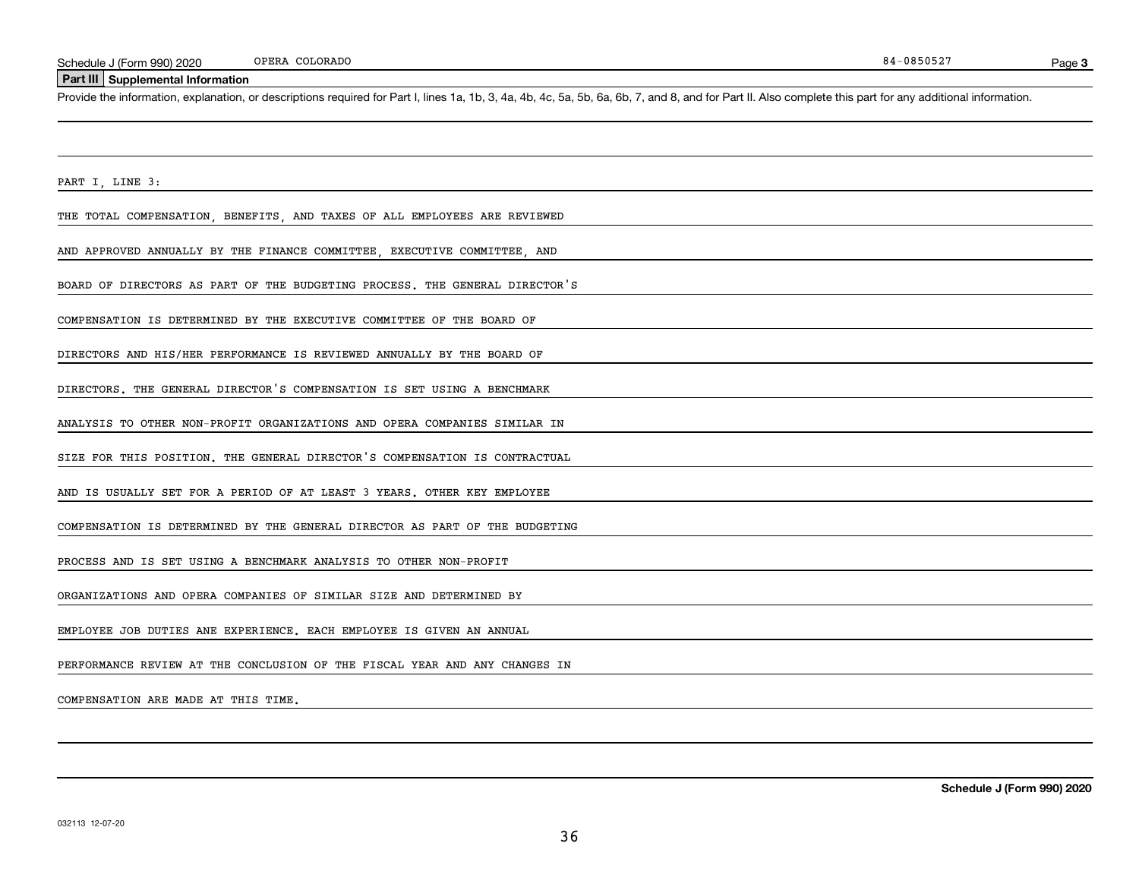#### **Part III Supplemental Information**

Schedule J (Form 990) 2020 OPERA COLORADO<br>
Part III Supplemental Information<br>
Provide the information, explanation, or descriptions required for Part I, lines 1a, 1b, 3, 4a, 4b, 4c, 5a, 5b, 6a, 6b, 7, and 8, and for Part I

PART I, LINE 3:

THE TOTAL COMPENSATION, BENEFITS, AND TAXES OF ALL EMPLOYEES ARE REVIEWED

AND APPROVED ANNUALLY BY THE FINANCE COMMITTEE, EXECUTIVE COMMITTEE, AND

BOARD OF DIRECTORS AS PART OF THE BUDGETING PROCESS. THE GENERAL DIRECTOR'S

COMPENSATION IS DETERMINED BY THE EXECUTIVE COMMITTEE OF THE BOARD OF

DIRECTORS AND HIS/HER PERFORMANCE IS REVIEWED ANNUALLY BY THE BOARD OF

DIRECTORS. THE GENERAL DIRECTOR'S COMPENSATION IS SET USING A BENCHMARK

ANALYSIS TO OTHER NON-PROFIT ORGANIZATIONS AND OPERA COMPANIES SIMILAR IN

SIZE FOR THIS POSITION. THE GENERAL DIRECTOR'S COMPENSATION IS CONTRACTUAL

AND IS USUALLY SET FOR A PERIOD OF AT LEAST 3 YEARS. OTHER KEY EMPLOYEE

COMPENSATION IS DETERMINED BY THE GENERAL DIRECTOR AS PART OF THE BUDGETING

PROCESS AND IS SET USING A BENCHMARK ANALYSIS TO OTHER NON-PROFIT

ORGANIZATIONS AND OPERA COMPANIES OF SIMILAR SIZE AND DETERMINED BY

EMPLOYEE JOB DUTIES ANE EXPERIENCE. EACH EMPLOYEE IS GIVEN AN ANNUAL

PERFORMANCE REVIEW AT THE CONCLUSION OF THE FISCAL YEAR AND ANY CHANGES IN

COMPENSATION ARE MADE AT THIS TIME.

**Schedule J (Form 990) 2020**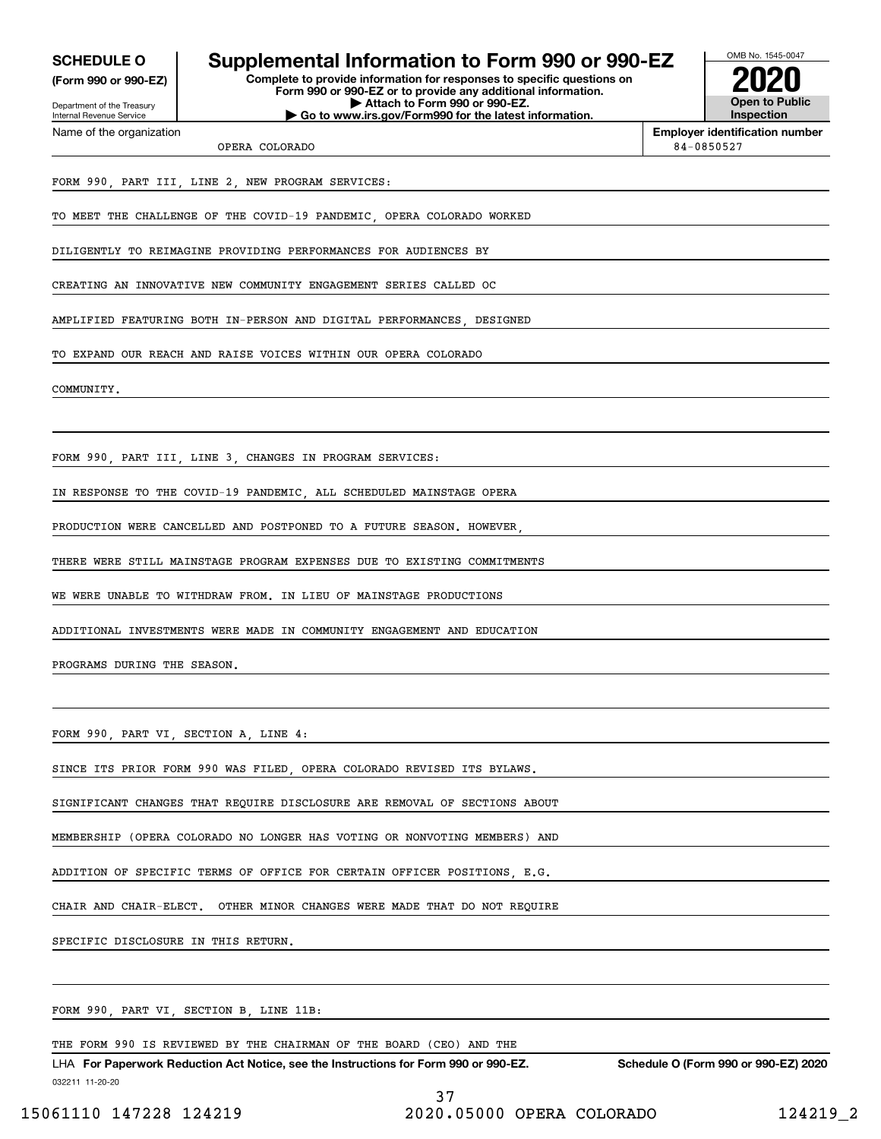**(Form 990 or 990-EZ)**

Department of the Treasury Internal Revenue Service Name of the organization

## **SCHEDULE O Supplemental Information to Form 990 or 990-EZ**

**Complete to provide information for responses to specific questions on Form 990 or 990-EZ or to provide any additional information. | Attach to Form 990 or 990-EZ. | Go to www.irs.gov/Form990 for the latest information.**



**Employer identification number** OPERA COLORADO 84-0850527

#### FORM 990, PART III, LINE 2, NEW PROGRAM SERVICES:

TO MEET THE CHALLENGE OF THE COVID-19 PANDEMIC, OPERA COLORADO WORKED

DILIGENTLY TO REIMAGINE PROVIDING PERFORMANCES FOR AUDIENCES BY

CREATING AN INNOVATIVE NEW COMMUNITY ENGAGEMENT SERIES CALLED OC

AMPLIFIED FEATURING BOTH IN-PERSON AND DIGITAL PERFORMANCES DESIGNED

TO EXPAND OUR REACH AND RAISE VOICES WITHIN OUR OPERA COLORADO

**COMMUNITY** 

FORM 990, PART III, LINE 3, CHANGES IN PROGRAM SERVICES:

IN RESPONSE TO THE COVID-19 PANDEMIC, ALL SCHEDULED MAINSTAGE OPERA

PRODUCTION WERE CANCELLED AND POSTPONED TO A FUTURE SEASON. HOWEVER,

THERE WERE STILL MAINSTAGE PROGRAM EXPENSES DUE TO EXISTING COMMITMENTS

WE WERE UNABLE TO WITHDRAW FROM. IN LIEU OF MAINSTAGE PRODUCTIONS

ADDITIONAL INVESTMENTS WERE MADE IN COMMUNITY ENGAGEMENT AND EDUCATION

PROGRAMS DURING THE SEASON.

FORM 990, PART VI, SECTION A, LINE 4:

SINCE ITS PRIOR FORM 990 WAS FILED, OPERA COLORADO REVISED ITS BYLAWS.

SIGNIFICANT CHANGES THAT REQUIRE DISCLOSURE ARE REMOVAL OF SECTIONS ABOUT

MEMBERSHIP (OPERA COLORADO NO LONGER HAS VOTING OR NONVOTING MEMBERS) AND

ADDITION OF SPECIFIC TERMS OF OFFICE FOR CERTAIN OFFICER POSITIONS, E.G.

CHAIR AND CHAIR-ELECT. OTHER MINOR CHANGES WERE MADE THAT DO NOT REQUIRE

SPECIFIC DISCLOSURE IN THIS RETURN.

FORM 990, PART VI, SECTION B, LINE 11B:

THE FORM 990 IS REVIEWED BY THE CHAIRMAN OF THE BOARD (CEO) AND THE

032211 11-20-20 LHA For Paperwork Reduction Act Notice, see the Instructions for Form 990 or 990-EZ. Schedule O (Form 990 or 990-EZ) 2020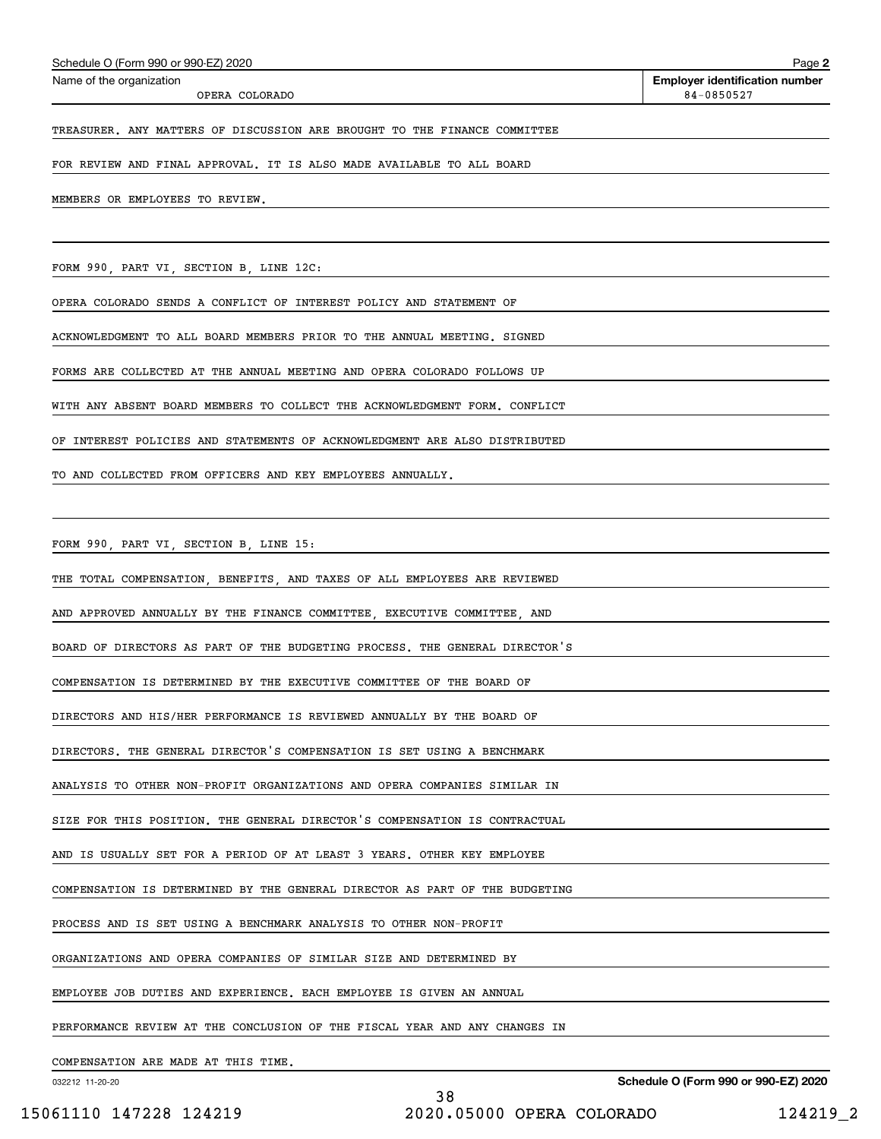| FOR REVIEW AND FINAL APPROVAL. IT IS ALSO MADE AVAILABLE TO ALL BOARD       |
|-----------------------------------------------------------------------------|
| MEMBERS OR EMPLOYEES TO REVIEW.                                             |
|                                                                             |
| FORM 990, PART VI, SECTION B, LINE 12C:                                     |
| OPERA COLORADO SENDS A CONFLICT OF INTEREST POLICY AND STATEMENT OF         |
| ACKNOWLEDGMENT TO ALL BOARD MEMBERS PRIOR TO THE ANNUAL MEETING. SIGNED     |
| FORMS ARE COLLECTED AT THE ANNUAL MEETING AND OPERA COLORADO FOLLOWS UP     |
| WITH ANY ABSENT BOARD MEMBERS TO COLLECT THE ACKNOWLEDGMENT FORM. CONFLICT  |
| OF INTEREST POLICIES AND STATEMENTS OF ACKNOWLEDGMENT ARE ALSO DISTRIBUTED  |
| TO AND COLLECTED FROM OFFICERS AND KEY EMPLOYEES ANNUALLY.                  |
|                                                                             |
| FORM 990, PART VI, SECTION B, LINE 15:                                      |
| THE TOTAL COMPENSATION, BENEFITS, AND TAXES OF ALL EMPLOYEES ARE REVIEWED   |
| AND APPROVED ANNUALLY BY THE FINANCE COMMITTEE, EXECUTIVE COMMITTEE, AND    |
| BOARD OF DIRECTORS AS PART OF THE BUDGETING PROCESS. THE GENERAL DIRECTOR'S |
| COMPENSATION IS DETERMINED BY THE EXECUTIVE COMMITTEE OF THE BOARD OF       |
| DIRECTORS AND HIS/HER PERFORMANCE IS REVIEWED ANNUALLY BY THE BOARD OF      |
| DIRECTORS. THE GENERAL DIRECTOR'S COMPENSATION IS SET USING A BENCHMARK     |
| ANALYSIS TO OTHER NON-PROFIT ORGANIZATIONS AND OPERA COMPANIES SIMILAR IN   |
| SIZE FOR THIS POSITION. THE GENERAL DIRECTOR'S COMPENSATION IS CONTRACTUAL  |
| AND IS USUALLY SET FOR A PERIOD OF AT LEAST 3 YEARS. OTHER KEY EMPLOYEE     |
| COMPENSATION IS DETERMINED BY THE GENERAL DIRECTOR AS PART OF THE BUDGETING |
| PROCESS AND IS SET USING A BENCHMARK ANALYSIS TO OTHER NON-PROFIT           |
| ORGANIZATIONS AND OPERA COMPANIES OF SIMILAR SIZE AND DETERMINED BY         |
| EMPLOYEE JOB DUTIES AND EXPERIENCE. EACH EMPLOYEE IS GIVEN AN ANNUAL        |
| PERFORMANCE REVIEW AT THE CONCLUSION OF THE FISCAL YEAR AND ANY CHANGES IN  |
| COMPENSATION ARE MADE AT THIS TIME.                                         |

**Schedule O (Form 990 or 990-EZ) 2020**

Echedule O (Form 990 or 990-EZ) 2020<br>Name of the organization **number** Name of the organization **number** 

OPERA COLORADO 84-0850527

TREASURER. ANY MATTERS OF DISCUSSION ARE BROUGHT TO THE FINANCE COMMITTEE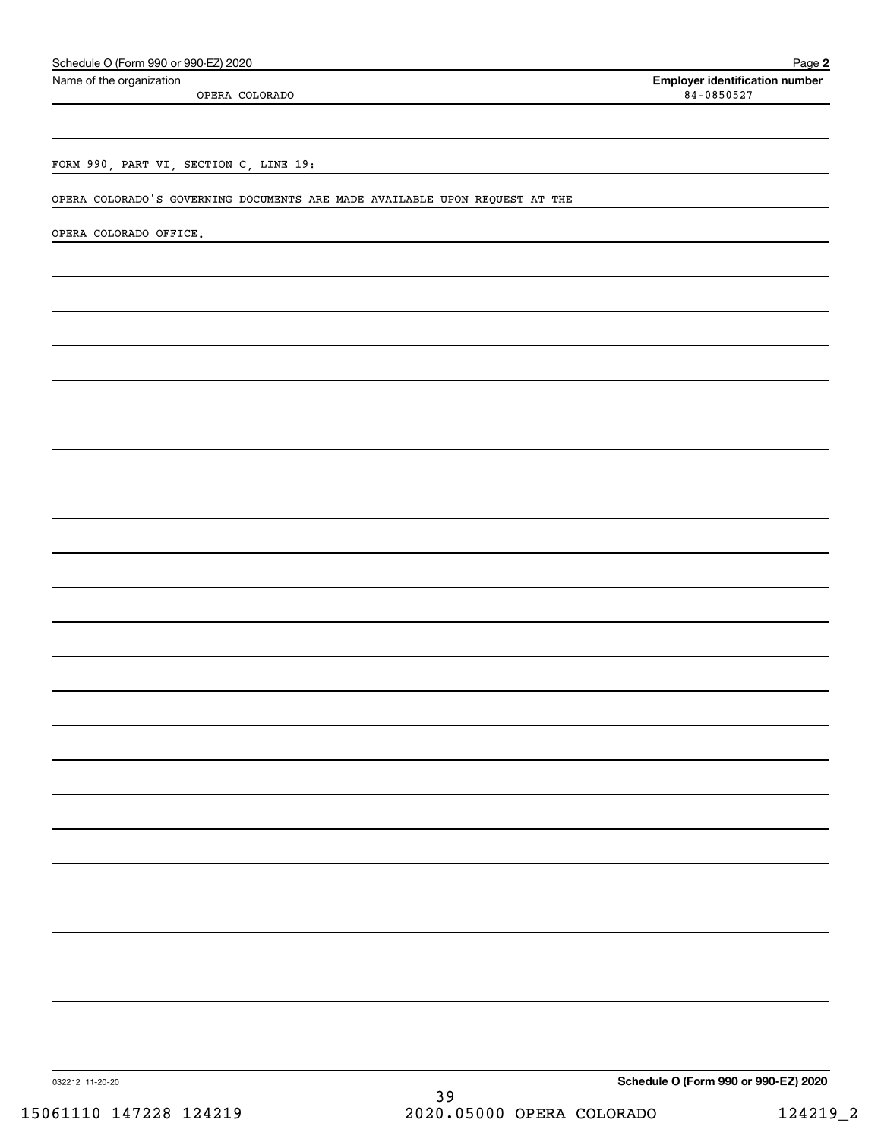| Schedule O (Form 990 or 990-EZ) 2020<br>Name of the organization<br>OPERA COLORADO |                                 | <b>Employer identification number</b><br>$84 - 0850527$ |
|------------------------------------------------------------------------------------|---------------------------------|---------------------------------------------------------|
|                                                                                    |                                 |                                                         |
| FORM 990, PART VI, SECTION C, LINE 19:                                             |                                 |                                                         |
| OPERA COLORADO'S GOVERNING DOCUMENTS ARE MADE AVAILABLE UPON REQUEST AT THE        |                                 |                                                         |
| OPERA COLORADO OFFICE.                                                             |                                 |                                                         |
|                                                                                    |                                 |                                                         |
|                                                                                    |                                 |                                                         |
|                                                                                    |                                 |                                                         |
|                                                                                    |                                 |                                                         |
|                                                                                    |                                 |                                                         |
|                                                                                    |                                 |                                                         |
|                                                                                    |                                 |                                                         |
|                                                                                    |                                 |                                                         |
|                                                                                    |                                 |                                                         |
|                                                                                    |                                 |                                                         |
|                                                                                    |                                 |                                                         |
|                                                                                    |                                 |                                                         |
|                                                                                    |                                 |                                                         |
|                                                                                    |                                 |                                                         |
|                                                                                    |                                 |                                                         |
|                                                                                    |                                 |                                                         |
|                                                                                    |                                 |                                                         |
|                                                                                    |                                 |                                                         |
|                                                                                    |                                 |                                                         |
|                                                                                    |                                 |                                                         |
|                                                                                    |                                 |                                                         |
|                                                                                    |                                 |                                                         |
|                                                                                    |                                 |                                                         |
|                                                                                    |                                 |                                                         |
|                                                                                    |                                 |                                                         |
| 032212 11-20-20                                                                    | 39<br>2020.05000 OPERA COLORADO | Schedule O (Form 990 or 990-EZ) 2020<br>124219_2        |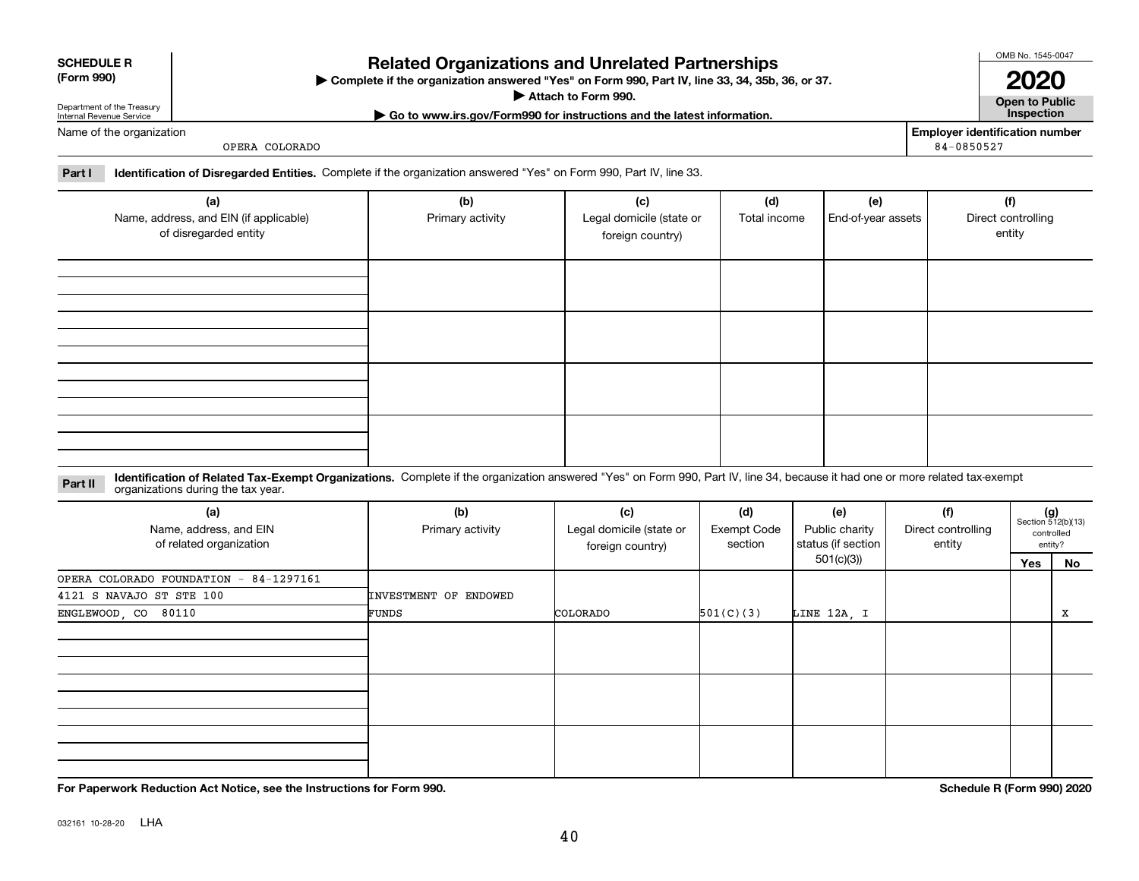| Department of the Treasury |
|----------------------------|
| Internal Revenue Service   |

**SCHEDULE R (Form 990)**

## **Related Organizations and Unrelated Partnerships**

**Complete if the organization answered "Yes" on Form 990, Part IV, line 33, 34, 35b, 36, or 37.** |

**Attach to Form 990.**  |

**| Go to www.irs.gov/Form990 for instructions and the latest information. Inspection**

**Employer identification number**

OMB No. 1545-0047

**2020**

**Open to Public**

Name of the organization OPERA COLORADO

84-0850527

**Part I Identification of Disregarded Entities.**  Complete if the organization answered "Yes" on Form 990, Part IV, line 33.

| (a)<br>Name, address, and EIN (if applicable)<br>of disregarded entity | (b)<br>Primary activity | (c)<br>Legal domicile (state or<br>foreign country) | (d)<br>Total income | (e)<br>End-of-year assets | (f)<br>Direct controlling<br>entity |
|------------------------------------------------------------------------|-------------------------|-----------------------------------------------------|---------------------|---------------------------|-------------------------------------|
|                                                                        |                         |                                                     |                     |                           |                                     |
|                                                                        |                         |                                                     |                     |                           |                                     |
|                                                                        |                         |                                                     |                     |                           |                                     |
|                                                                        |                         |                                                     |                     |                           |                                     |

**Identification of Related Tax-Exempt Organizations.** Complete if the organization answered "Yes" on Form 990, Part IV, line 34, because it had one or more related tax-exempt **Part II** organizations during the tax year.

| (a)<br>Name, address, and EIN<br>of related organization | (b)<br>Primary activity | (c)<br>Legal domicile (state or<br>foreign country) | (d)<br><b>Exempt Code</b><br>section | (e)<br>Public charity<br>status (if section | (f)<br>Direct controlling<br>entity |     | $(g)$<br>Section 512(b)(13)<br>controlled<br>entity? |
|----------------------------------------------------------|-------------------------|-----------------------------------------------------|--------------------------------------|---------------------------------------------|-------------------------------------|-----|------------------------------------------------------|
|                                                          |                         |                                                     |                                      | 501(c)(3))                                  |                                     | Yes | No                                                   |
| OPERA COLORADO FOUNDATION - 84-1297161                   |                         |                                                     |                                      |                                             |                                     |     |                                                      |
| 4121 S NAVAJO ST STE 100                                 | INVESTMENT OF ENDOWED   |                                                     |                                      |                                             |                                     |     |                                                      |
| ENGLEWOOD, CO 80110                                      | FUNDS                   | COLORADO                                            | 501(C)(3)                            | LINE 12A, I                                 |                                     |     | x                                                    |
|                                                          |                         |                                                     |                                      |                                             |                                     |     |                                                      |
|                                                          |                         |                                                     |                                      |                                             |                                     |     |                                                      |
|                                                          |                         |                                                     |                                      |                                             |                                     |     |                                                      |

**For Paperwork Reduction Act Notice, see the Instructions for Form 990. Schedule R (Form 990) 2020**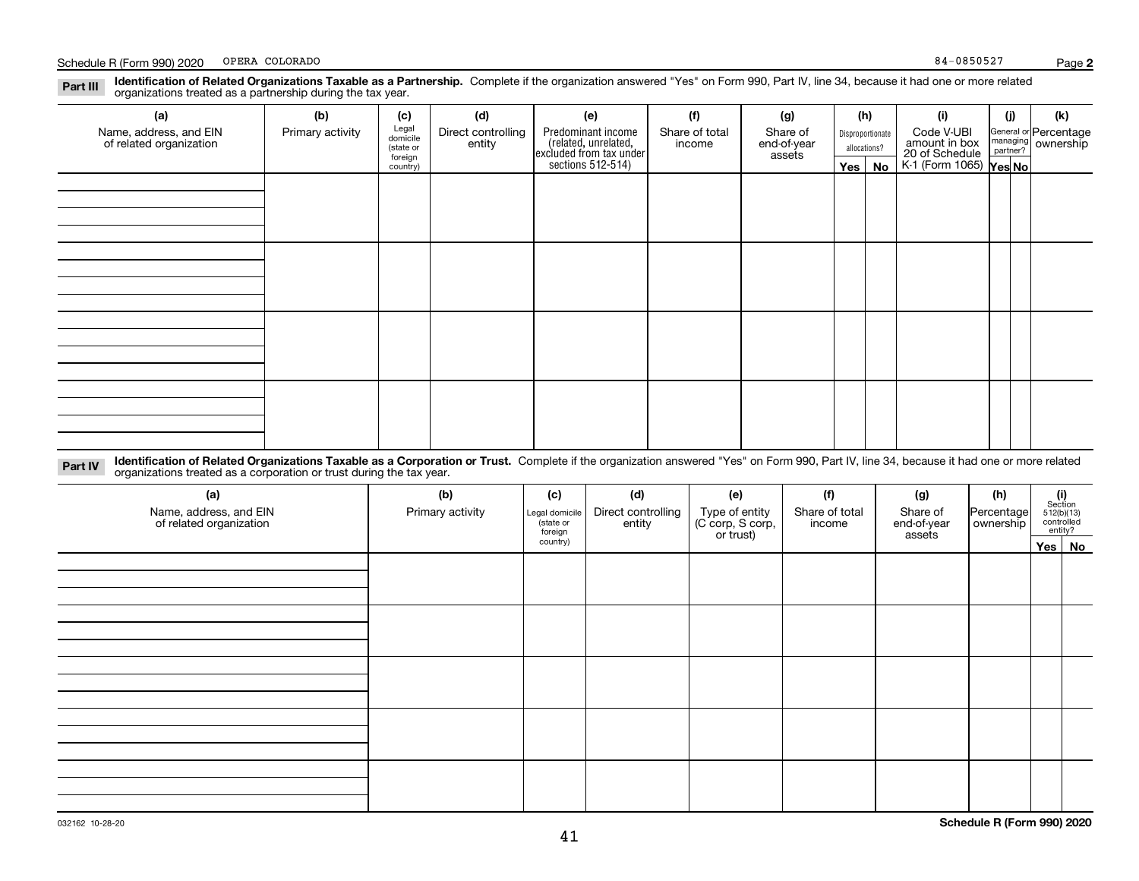#### **Identification of Related Organizations Taxable as a Partnership.** Complete if the organization answered "Yes" on Form 990, Part IV, line 34, because it had one or more related **Part III** organizations treated as a partnership during the tax year.

| (a)                     | (b)              | (c)                 | (d)                | (e)                                                                 | (f)            | (g)         |            | (h)              | (i)                                                       | (j) | (k)                   |
|-------------------------|------------------|---------------------|--------------------|---------------------------------------------------------------------|----------------|-------------|------------|------------------|-----------------------------------------------------------|-----|-----------------------|
| Name, address, and EIN  | Primary activity | Legal<br>domicile   | Direct controlling | Predominant income                                                  | Share of total | Share of    |            | Disproportionate | Code V-UBI                                                |     | General or Percentage |
| of related organization |                  | (state or           | entity             |                                                                     | income         | end-of-year |            | allocations?     |                                                           |     | managing ownership    |
|                         |                  | foreign<br>country) |                    | related, unrelated,<br>excluded from tax under<br>sections 512-514) |                | assets      | $Yes \mid$ | No               | amount in box<br>20 of Schedule<br>K-1 (Form 1065) Yes No |     |                       |
|                         |                  |                     |                    |                                                                     |                |             |            |                  |                                                           |     |                       |
|                         |                  |                     |                    |                                                                     |                |             |            |                  |                                                           |     |                       |
|                         |                  |                     |                    |                                                                     |                |             |            |                  |                                                           |     |                       |
|                         |                  |                     |                    |                                                                     |                |             |            |                  |                                                           |     |                       |
|                         |                  |                     |                    |                                                                     |                |             |            |                  |                                                           |     |                       |
|                         |                  |                     |                    |                                                                     |                |             |            |                  |                                                           |     |                       |
|                         |                  |                     |                    |                                                                     |                |             |            |                  |                                                           |     |                       |
|                         |                  |                     |                    |                                                                     |                |             |            |                  |                                                           |     |                       |
|                         |                  |                     |                    |                                                                     |                |             |            |                  |                                                           |     |                       |
|                         |                  |                     |                    |                                                                     |                |             |            |                  |                                                           |     |                       |
|                         |                  |                     |                    |                                                                     |                |             |            |                  |                                                           |     |                       |
|                         |                  |                     |                    |                                                                     |                |             |            |                  |                                                           |     |                       |
|                         |                  |                     |                    |                                                                     |                |             |            |                  |                                                           |     |                       |
|                         |                  |                     |                    |                                                                     |                |             |            |                  |                                                           |     |                       |
|                         |                  |                     |                    |                                                                     |                |             |            |                  |                                                           |     |                       |
|                         |                  |                     |                    |                                                                     |                |             |            |                  |                                                           |     |                       |
|                         |                  |                     |                    |                                                                     |                |             |            |                  |                                                           |     |                       |
|                         |                  |                     |                    |                                                                     |                |             |            |                  |                                                           |     |                       |
|                         |                  |                     |                    |                                                                     |                |             |            |                  |                                                           |     |                       |
|                         |                  |                     |                    |                                                                     |                |             |            |                  |                                                           |     |                       |

**Identification of Related Organizations Taxable as a Corporation or Trust.** Complete if the organization answered "Yes" on Form 990, Part IV, line 34, because it had one or more related **Part IV** organizations treated as a corporation or trust during the tax year.

| (a)<br>Name, address, and EIN<br>of related organization | (b)<br>Primary activity | (c)<br>Legal domicile<br>(state or<br>foreign | (d)<br>Direct controlling<br>entity | (e)<br>Type of entity<br>(C corp, S corp,<br>or trust) | (f)<br>Share of total<br>income | (h)<br>(g)<br>Share of<br>Percentage<br>end-of-year<br>ownership<br>assets |  | $(i)$ Section<br>512(b)(13)<br>controlled<br>entity? |  |
|----------------------------------------------------------|-------------------------|-----------------------------------------------|-------------------------------------|--------------------------------------------------------|---------------------------------|----------------------------------------------------------------------------|--|------------------------------------------------------|--|
|                                                          |                         | country)                                      |                                     |                                                        |                                 |                                                                            |  | Yes No                                               |  |
|                                                          |                         |                                               |                                     |                                                        |                                 |                                                                            |  |                                                      |  |
|                                                          |                         |                                               |                                     |                                                        |                                 |                                                                            |  |                                                      |  |
|                                                          |                         |                                               |                                     |                                                        |                                 |                                                                            |  |                                                      |  |
|                                                          |                         |                                               |                                     |                                                        |                                 |                                                                            |  |                                                      |  |
|                                                          |                         |                                               |                                     |                                                        |                                 |                                                                            |  |                                                      |  |
|                                                          |                         |                                               |                                     |                                                        |                                 |                                                                            |  |                                                      |  |
|                                                          |                         |                                               |                                     |                                                        |                                 |                                                                            |  |                                                      |  |
|                                                          |                         |                                               |                                     |                                                        |                                 |                                                                            |  |                                                      |  |
|                                                          |                         |                                               |                                     |                                                        |                                 |                                                                            |  |                                                      |  |
|                                                          |                         |                                               |                                     |                                                        |                                 |                                                                            |  |                                                      |  |
|                                                          |                         |                                               |                                     |                                                        |                                 |                                                                            |  |                                                      |  |
|                                                          |                         |                                               |                                     |                                                        |                                 |                                                                            |  |                                                      |  |
|                                                          |                         |                                               |                                     |                                                        |                                 |                                                                            |  |                                                      |  |
|                                                          |                         |                                               |                                     |                                                        |                                 |                                                                            |  |                                                      |  |
|                                                          |                         |                                               |                                     |                                                        |                                 |                                                                            |  |                                                      |  |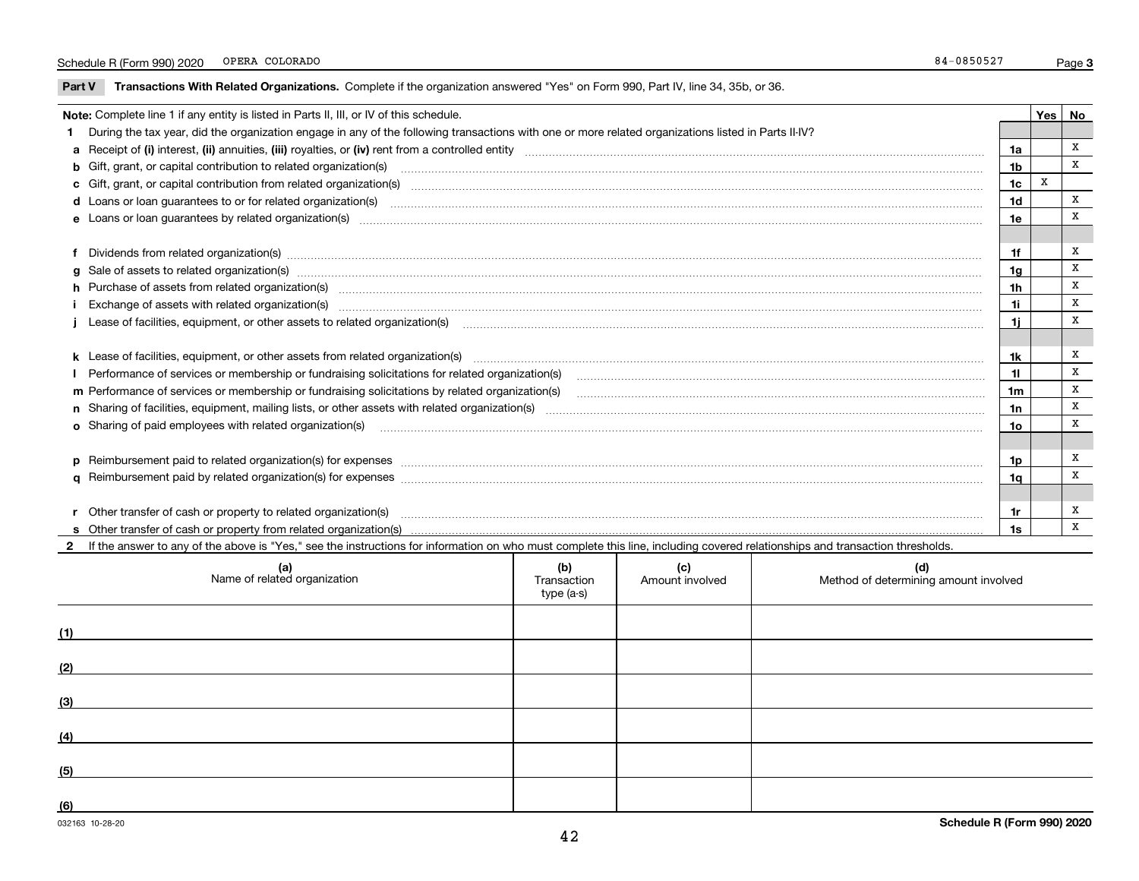**Part V** T**ransactions With Related Organizations.** Complete if the organization answered "Yes" on Form 990, Part IV, line 34, 35b, or 36.

| Note: Complete line 1 if any entity is listed in Parts II, III, or IV of this schedule. |                                                                                                                                                                                                                                |                |   |   |  |  |
|-----------------------------------------------------------------------------------------|--------------------------------------------------------------------------------------------------------------------------------------------------------------------------------------------------------------------------------|----------------|---|---|--|--|
|                                                                                         | 1 During the tax year, did the organization engage in any of the following transactions with one or more related organizations listed in Parts II-IV?                                                                          |                |   |   |  |  |
|                                                                                         |                                                                                                                                                                                                                                | 1a             |   | X |  |  |
|                                                                                         | b Gift, grant, or capital contribution to related organization(s) encourance contained and contribution to related organization(s)                                                                                             | 1 <sub>b</sub> |   | X |  |  |
|                                                                                         | c Gift, grant, or capital contribution from related organization(s) material contents and contribution from related organization(s) material contents and content of the content of the content of content of content of the c | 1 <sub>c</sub> | X |   |  |  |
|                                                                                         |                                                                                                                                                                                                                                | 1 <sub>d</sub> |   | X |  |  |
|                                                                                         |                                                                                                                                                                                                                                | 1e             |   | X |  |  |
|                                                                                         |                                                                                                                                                                                                                                |                |   |   |  |  |
|                                                                                         | f Dividends from related organization(s) manufactured contains and contained and contained contained and contained and contained and contained and contained and contained and contained and contained and contained and conta | 1f             |   | X |  |  |
|                                                                                         | g Sale of assets to related organization(s) www.communicallycommunicallycommunicallycommunicallycommunicallycommunicallycommunicallycommunicallycommunicallycommunicallycommunicallycommunicallycommunicallycommunicallycommun | 1g             |   | X |  |  |
|                                                                                         | h Purchase of assets from related organization(s) www.assettion.com/www.assettion.com/www.assettion.com/www.assettion.com/www.assettion.com/www.assettion.com/www.assettion.com/www.assettion.com/www.assettion.com/www.assett | 1 <sub>h</sub> |   | х |  |  |
|                                                                                         | i Exchange of assets with related organization(s) matching and the content of the content of the content of the content of the content of the content of the content of the content of the content of the content of the conte | 1i             |   | x |  |  |
|                                                                                         |                                                                                                                                                                                                                                | 11             |   | X |  |  |
|                                                                                         |                                                                                                                                                                                                                                |                |   |   |  |  |
|                                                                                         |                                                                                                                                                                                                                                | 1k             |   | х |  |  |
|                                                                                         |                                                                                                                                                                                                                                | 11             |   | X |  |  |
|                                                                                         | m Performance of services or membership or fundraising solicitations by related organization(s)                                                                                                                                | 1 <sub>m</sub> |   | X |  |  |
|                                                                                         |                                                                                                                                                                                                                                | 1n             |   | X |  |  |
|                                                                                         | <b>o</b> Sharing of paid employees with related organization(s)                                                                                                                                                                | 10             |   | X |  |  |
|                                                                                         |                                                                                                                                                                                                                                |                |   |   |  |  |
|                                                                                         |                                                                                                                                                                                                                                | 1p             |   | x |  |  |
|                                                                                         |                                                                                                                                                                                                                                | 1q             |   | x |  |  |
|                                                                                         |                                                                                                                                                                                                                                |                |   |   |  |  |
|                                                                                         | r Other transfer of cash or property to related organization(s)                                                                                                                                                                | 1r             |   | x |  |  |
|                                                                                         |                                                                                                                                                                                                                                | 1s             |   | x |  |  |
|                                                                                         | 2 If the answer to any of the above is "Yes," see the instructions for information on who must complete this line, including covered relationships and transaction thresholds.                                                 |                |   |   |  |  |

| (a)<br>Name of related organization | (b)<br>Transaction<br>type (a-s) | (c)<br>Amount involved | (d)<br>Method of determining amount involved |
|-------------------------------------|----------------------------------|------------------------|----------------------------------------------|
| (1)                                 |                                  |                        |                                              |
| (2)                                 |                                  |                        |                                              |
| (3)                                 |                                  |                        |                                              |
| (4)                                 |                                  |                        |                                              |
| (5)                                 |                                  |                        |                                              |
| (6)                                 |                                  |                        |                                              |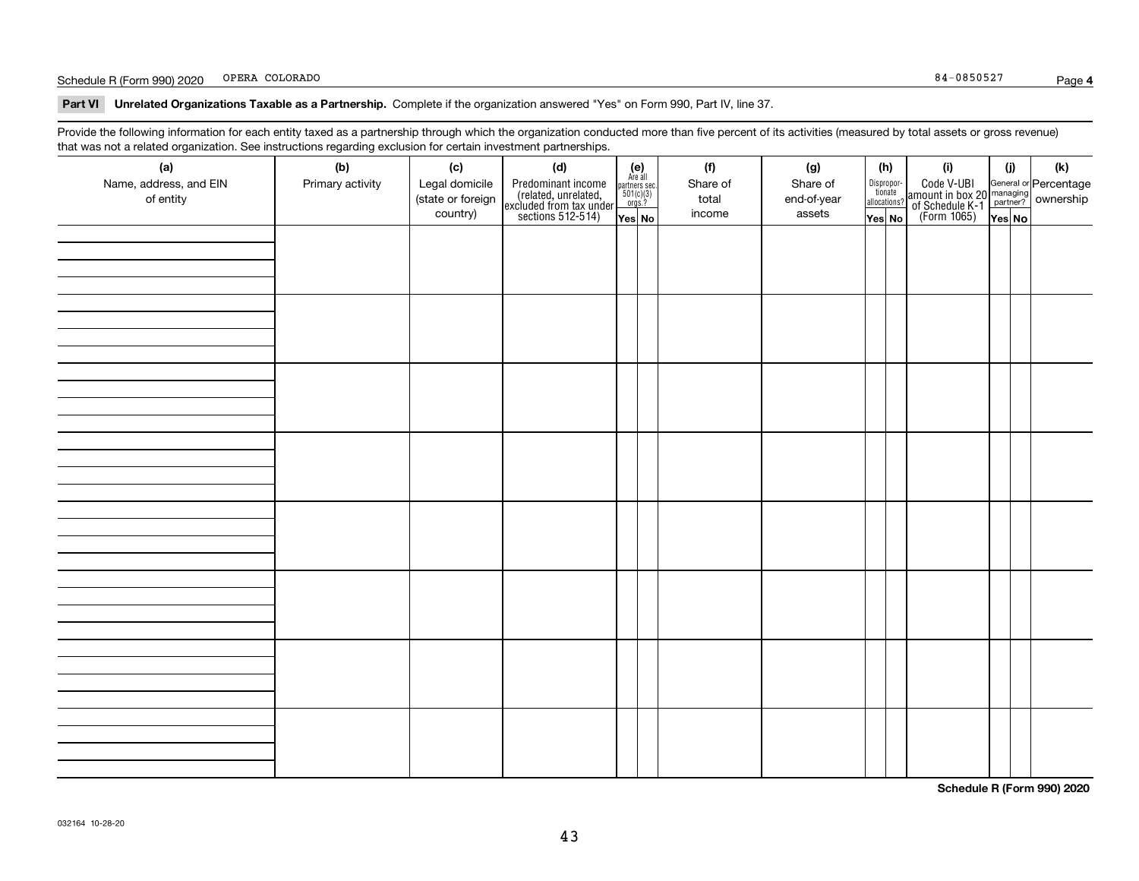#### Schedule R (Form 990) 2020 OPERA COLORADO 84-0850527 OPERA COLORADO

**Part VI Unrelated Organizations Taxable as a Partnership. Complete if the organization answered "Yes" on Form 990, Part IV, line 37.** 

Provide the following information for each entity taxed as a partnership through which the organization conducted more than five percent of its activities (measured by total assets or gross revenue) that was not a related organization. See instructions regarding exclusion for certain investment partnerships.

| (a)<br>Name, address, and EIN<br>of entity | (b)<br>Primary activity | (c)<br>Legal domicile<br>(state or foreign<br>country) | (d)<br>Predominant income<br>(related, unrelated,<br>excluded from tax under<br>sections 512-514) | $\begin{array}{c} \textbf{(e)}\\ \text{Are all} \\ \text{partners sec.}\\ 501(c)(3)\\ \text{orgs.?} \end{array}$<br>Yes No | (f)<br>Share of<br>total<br>income | (g)<br>Share of<br>end-of-year<br>assets | (h)<br>Dispropor-<br>tionate<br>allocations?<br>Yes No | (i)<br>Code V-UBI<br>amount in box 20 managing<br>of Schedule K-1 partner? ownership<br>(Form 1065)<br>ves No | (i)<br>Yes No | (k) |
|--------------------------------------------|-------------------------|--------------------------------------------------------|---------------------------------------------------------------------------------------------------|----------------------------------------------------------------------------------------------------------------------------|------------------------------------|------------------------------------------|--------------------------------------------------------|---------------------------------------------------------------------------------------------------------------|---------------|-----|
|                                            |                         |                                                        |                                                                                                   |                                                                                                                            |                                    |                                          |                                                        |                                                                                                               |               |     |
|                                            |                         |                                                        |                                                                                                   |                                                                                                                            |                                    |                                          |                                                        |                                                                                                               |               |     |
|                                            |                         |                                                        |                                                                                                   |                                                                                                                            |                                    |                                          |                                                        |                                                                                                               |               |     |
|                                            |                         |                                                        |                                                                                                   |                                                                                                                            |                                    |                                          |                                                        |                                                                                                               |               |     |
|                                            |                         |                                                        |                                                                                                   |                                                                                                                            |                                    |                                          |                                                        |                                                                                                               |               |     |
|                                            |                         |                                                        |                                                                                                   |                                                                                                                            |                                    |                                          |                                                        |                                                                                                               |               |     |
|                                            |                         |                                                        |                                                                                                   |                                                                                                                            |                                    |                                          |                                                        |                                                                                                               |               |     |
|                                            |                         |                                                        |                                                                                                   |                                                                                                                            |                                    |                                          |                                                        |                                                                                                               |               |     |

**Schedule R (Form 990) 2020**